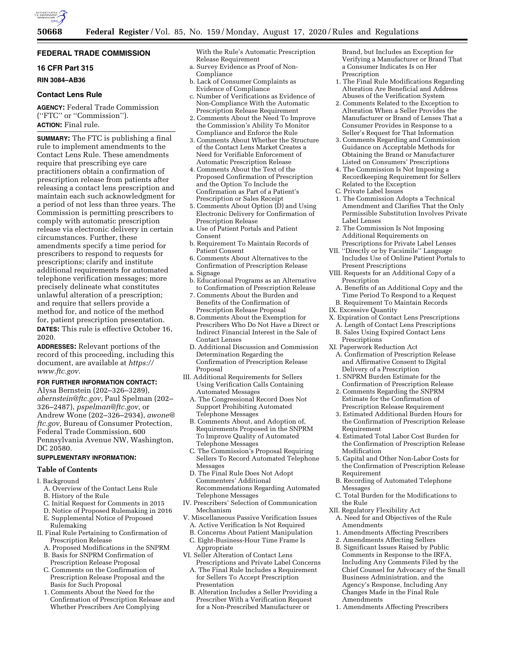

# **FEDERAL TRADE COMMISSION**

## **16 CFR Part 315**

**RIN 3084–AB36** 

### **Contact Lens Rule**

**AGENCY:** Federal Trade Commission (''FTC'' or ''Commission''). **ACTION:** Final rule.

**SUMMARY:** The FTC is publishing a final rule to implement amendments to the Contact Lens Rule. These amendments require that prescribing eye care practitioners obtain a confirmation of prescription release from patients after releasing a contact lens prescription and maintain each such acknowledgment for a period of not less than three years. The Commission is permitting prescribers to comply with automatic prescription release via electronic delivery in certain circumstances. Further, these amendments specify a time period for prescribers to respond to requests for prescriptions; clarify and institute additional requirements for automated telephone verification messages; more precisely delineate what constitutes unlawful alteration of a prescription; and require that sellers provide a method for, and notice of the method for, patient prescription presentation. **DATES:** This rule is effective October 16, 2020.

**ADDRESSES:** Relevant portions of the record of this proceeding, including this document, are available at *[https://](https://www.ftc.gov) [www.ftc.gov.](https://www.ftc.gov)* 

## **FOR FURTHER INFORMATION CONTACT:**

Alysa Bernstein (202–326–3289), *[abernstein@ftc.gov,](mailto:abernstein@ftc.gov)* Paul Spelman (202– 326–2487), *[pspelman@ftc.gov,](mailto:pspelman@ftc.gov)* or Andrew Wone (202–326–2934), *[awone@](mailto:awone@ftc.gov) [ftc.gov,](mailto:awone@ftc.gov)* Bureau of Consumer Protection, Federal Trade Commission, 600 Pennsylvania Avenue NW, Washington, DC 20580.

# **SUPPLEMENTARY INFORMATION:**

### **Table of Contents**

- I. Background
	- A. Overview of the Contact Lens Rule
	- B. History of the Rule
	- C. Initial Request for Comments in 2015
	- D. Notice of Proposed Rulemaking in 2016 E. Supplemental Notice of Proposed Rulemaking
- II. Final Rule Pertaining to Confirmation of Prescription Release
	- A. Proposed Modifications in the SNPRM
	- B. Basis for SNPRM Confirmation of Prescription Release Proposal
	- C. Comments on the Confirmation of Prescription Release Proposal and the Basis for Such Proposal
	- 1. Comments About the Need for the Confirmation of Prescription Release and Whether Prescribers Are Complying

With the Rule's Automatic Prescription Release Requirement

- a. Survey Evidence as Proof of Non-Compliance
- b. Lack of Consumer Complaints as Evidence of Compliance
- c. Number of Verifications as Evidence of Non-Compliance With the Automatic Prescription Release Requirement
- 2. Comments About the Need To Improve the Commission's Ability To Monitor Compliance and Enforce the Rule
- 3. Comments About Whether the Structure of the Contact Lens Market Creates a Need for Verifiable Enforcement of Automatic Prescription Release
- 4. Comments About the Text of the Proposed Confirmation of Prescription and the Option To Include the Confirmation as Part of a Patient's Prescription or Sales Receipt
- 5. Comments About Option (D) and Using Electronic Delivery for Confirmation of Prescription Release
- a. Use of Patient Portals and Patient Consent
- b. Requirement To Maintain Records of Patient Consent
- 6. Comments About Alternatives to the Confirmation of Prescription Release a. Signage
- b. Educational Programs as an Alternative to Confirmation of Prescription Release
- 7. Comments About the Burden and Benefits of the Confirmation of Prescription Release Proposal
- 8. Comments About the Exemption for Prescribers Who Do Not Have a Direct or Indirect Financial Interest in the Sale of Contact Lenses
- D. Additional Discussion and Commission Determination Regarding the Confirmation of Prescription Release Proposal
- III. Additional Requirements for Sellers Using Verification Calls Containing Automated Messages
	- A. The Congressional Record Does Not Support Prohibiting Automated Telephone Messages
	- B. Comments About, and Adoption of, Requirements Proposed in the SNPRM To Improve Quality of Automated Telephone Messages
	- C. The Commission's Proposal Requiring Sellers To Record Automated Telephone Messages
	- D. The Final Rule Does Not Adopt Commenters' Additional Recommendations Regarding Automated Telephone Messages
- IV. Prescribers' Selection of Communication Mechanism
- V. Miscellaneous Passive Verification Issues A. Active Verification Is Not Required
	- B. Concerns About Patient Manipulation
	- C. Eight-Business-Hour Time Frame Is
- Appropriate VI. Seller Alteration of Contact Lens
- Prescriptions and Private Label Concerns
- A. The Final Rule Includes a Requirement for Sellers To Accept Prescription Presentation
- B. Alteration Includes a Seller Providing a Prescriber With a Verification Request for a Non-Prescribed Manufacturer or

Brand, but Includes an Exception for Verifying a Manufacturer or Brand That a Consumer Indicates Is on Her Prescription

- 1. The Final Rule Modifications Regarding Alteration Are Beneficial and Address Abuses of the Verification System
- 2. Comments Related to the Exception to Alteration When a Seller Provides the Manufacturer or Brand of Lenses That a Consumer Provides in Response to a Seller's Request for That Information
- 3. Comments Regarding and Commission Guidance on Acceptable Methods for Obtaining the Brand or Manufacturer Listed on Consumers' Prescriptions
- 4. The Commission Is Not Imposing a Recordkeeping Requirement for Sellers Related to the Exception
- C. Private Label Issues
- 1. The Commission Adopts a Technical Amendment and Clarifies That the Only Permissible Substitution Involves Private Label Lenses
- 2. The Commission Is Not Imposing Additional Requirements on Prescriptions for Private Label Lenses
- VII. ''Directly or by Facsimile'' Language Includes Use of Online Patient Portals to Present Prescriptions
- VIII. Requests for an Additional Copy of a Prescription
- A. Benefits of an Additional Copy and the Time Period To Respond to a Request B. Requirement To Maintain Records
- IX. Excessive Quantity
- X. Expiration of Contact Lens Prescriptions
- A. Length of Contact Lens Prescriptions
	- B. Sales Using Expired Contact Lens Prescriptions
- XI. Paperwork Reduction Act
	- A. Confirmation of Prescription Release and Affirmative Consent to Digital Delivery of a Prescription
	- 1. SNPRM Burden Estimate for the Confirmation of Prescription Release
	- 2. Comments Regarding the SNPRM Estimate for the Confirmation of Prescription Release Requirement
	- 3. Estimated Additional Burden Hours for the Confirmation of Prescription Release Requirement
	- 4. Estimated Total Labor Cost Burden for the Confirmation of Prescription Release Modification
	- 5. Capital and Other Non-Labor Costs for the Confirmation of Prescription Release Requirement
	- B. Recording of Automated Telephone Messages
	- C. Total Burden for the Modifications to the Rule
- XII. Regulatory Flexibility Act
	- A. Need for and Objectives of the Rule Amendments
	- 1. Amendments Affecting Prescribers
	- 2. Amendments Affecting Sellers
	- B. Significant Issues Raised by Public Comments in Response to the IRFA, Including Any Comments Filed by the Chief Counsel for Advocacy of the Small Business Administration, and the Agency's Response, Including Any Changes Made in the Final Rule Amendments
	- 1. Amendments Affecting Prescribers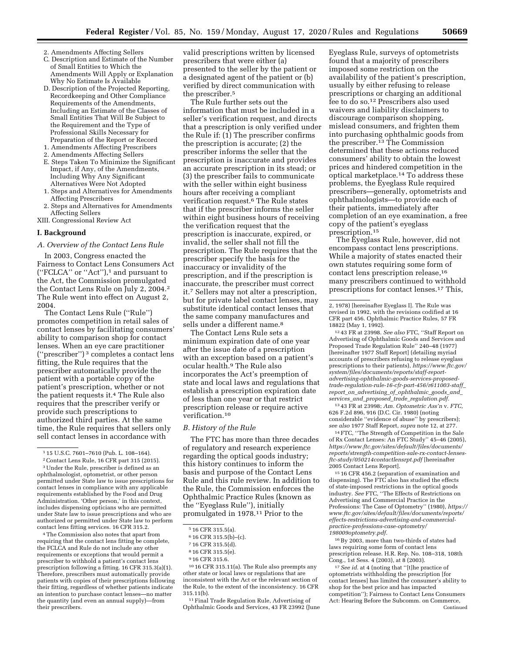- 2. Amendments Affecting Sellers
- C. Description and Estimate of the Number of Small Entities to Which the Amendments Will Apply or Explanation Why No Estimate Is Available
- D. Description of the Projected Reporting, Recordkeeping and Other Compliance Requirements of the Amendments, Including an Estimate of the Classes of Small Entities That Will Be Subject to the Requirement and the Type of Professional Skills Necessary for Preparation of the Report or Record
- 1. Amendments Affecting Prescribers 2. Amendments Affecting Sellers
- 
- E. Steps Taken To Minimize the Significant Impact, if Any, of the Amendments, Including Why Any Significant Alternatives Were Not Adopted
- 1. Steps and Alternatives for Amendments Affecting Prescribers
- 2. Steps and Alternatives for Amendments Affecting Sellers
- XIII. Congressional Review Act

#### **I. Background**

#### *A. Overview of the Contact Lens Rule*

In 2003, Congress enacted the Fairness to Contact Lens Consumers Act (''FCLCA'' or ''Act''),1 and pursuant to the Act, the Commission promulgated the Contact Lens Rule on July 2, 2004.2 The Rule went into effect on August 2, 2004.

The Contact Lens Rule (''Rule'') promotes competition in retail sales of contact lenses by facilitating consumers' ability to comparison shop for contact lenses. When an eye care practitioner (''prescriber'') 3 completes a contact lens fitting, the Rule requires that the prescriber automatically provide the patient with a portable copy of the patient's prescription, whether or not the patient requests it.<sup>4</sup> The Rule also requires that the prescriber verify or provide such prescriptions to authorized third parties. At the same time, the Rule requires that sellers only sell contact lenses in accordance with

4The Commission also notes that apart from requiring that the contact lens fitting be complete, the FCLCA and Rule do not include any other requirements or exceptions that would permit a prescriber to withhold a patient's contact lens prescription following a fitting. 16 CFR 315.3(a)(1). Therefore, prescribers must automatically provide patients with copies of their prescriptions following their fitting, regardless of whether patients indicate an intention to purchase contact lenses—no matter the quantity (and even an annual supply)—from their prescribers.

valid prescriptions written by licensed prescribers that were either (a) presented to the seller by the patient or a designated agent of the patient or (b) verified by direct communication with the prescriber.5

The Rule further sets out the information that must be included in a seller's verification request, and directs that a prescription is only verified under the Rule if: (1) The prescriber confirms the prescription is accurate; (2) the prescriber informs the seller that the prescription is inaccurate and provides an accurate prescription in its stead; or (3) the prescriber fails to communicate with the seller within eight business hours after receiving a compliant verification request.6 The Rule states that if the prescriber informs the seller within eight business hours of receiving the verification request that the prescription is inaccurate, expired, or invalid, the seller shall not fill the prescription. The Rule requires that the prescriber specify the basis for the inaccuracy or invalidity of the prescription, and if the prescription is inaccurate, the prescriber must correct it.7 Sellers may not alter a prescription, but for private label contact lenses, may substitute identical contact lenses that the same company manufactures and sells under a different name.<sup>8</sup>

The Contact Lens Rule sets a minimum expiration date of one year after the issue date of a prescription with an exception based on a patient's ocular health.9 The Rule also incorporates the Act's preemption of state and local laws and regulations that establish a prescription expiration date of less than one year or that restrict prescription release or require active verification.10

#### *B. History of the Rule*

The FTC has more than three decades of regulatory and research experience regarding the optical goods industry; this history continues to inform the basis and purpose of the Contact Lens Rule and this rule review. In addition to the Rule, the Commission enforces the Ophthalmic Practice Rules (known as the ''Eyeglass Rule''), initially promulgated in 1978.11 Prior to the

10 16 CFR 315.11(a). The Rule also preempts any other state or local laws or regulations that are inconsistent with the Act or the relevant section of the Rule, to the extent of the inconsistency. 16 CFR 315.11(b).

11Final Trade Regulation Rule, Advertising of Ophthalmic Goods and Services, 43 FR 23992 (June Eyeglass Rule, surveys of optometrists found that a majority of prescribers imposed some restriction on the availability of the patient's prescription, usually by either refusing to release prescriptions or charging an additional fee to do so.12 Prescribers also used waivers and liability disclaimers to discourage comparison shopping, mislead consumers, and frighten them into purchasing ophthalmic goods from the prescriber.<sup>13</sup> The Commission determined that these actions reduced consumers' ability to obtain the lowest prices and hindered competition in the optical marketplace.14 To address these problems, the Eyeglass Rule required prescribers—generally, optometrists and ophthalmologists—to provide each of their patients, immediately after completion of an eye examination, a free copy of the patient's eyeglass prescription.15

The Eyeglass Rule, however, did not encompass contact lens prescriptions. While a majority of states enacted their own statutes requiring some form of contact lens prescription release,<sup>16</sup> many prescribers continued to withhold prescriptions for contact lenses.17 This,

12 43 FR at 23998. *See also* FTC, ''Staff Report on Advertising of Ophthalmic Goods and Services and Proposed Trade Regulation Rule'' 240–48 (1977) [hereinafter 1977 Staff Report] (detailing myriad accounts of prescribers refusing to release eyeglass prescriptions to their patients), *[https://www.ftc.gov/](https://www.ftc.gov/system/files/documents/reports/staff-report-advertising-ophthalmic-goods-services-proposed-trade-regulation-rule-16-cfr-part-456/r611003-staff_report_on_advertising_of_ophthalmic_goods_and_services_and_proposed_trade_regulation.pdf)  system/files/documents/reports/staff-reportadvertising-ophthalmic-goods-services-proposed[trade-regulation-rule-16-cfr-part-456/r611003-staff](https://www.ftc.gov/system/files/documents/reports/staff-report-advertising-ophthalmic-goods-services-proposed-trade-regulation-rule-16-cfr-part-456/r611003-staff_report_on_advertising_of_ophthalmic_goods_and_services_and_proposed_trade_regulation.pdf)*\_ *report*\_*on*\_*advertising*\_*of*\_*ophthalmic*\_*goods*\_*and*\_ *services*\_*and*\_*proposed*\_*trade*\_*[regulation.pdf.](https://www.ftc.gov/system/files/documents/reports/staff-report-advertising-ophthalmic-goods-services-proposed-trade-regulation-rule-16-cfr-part-456/r611003-staff_report_on_advertising_of_ophthalmic_goods_and_services_and_proposed_trade_regulation.pdf)* 

13 43 FR at 23998; *Am. Optometric Ass'n* v. *FTC,*  626 F.2d 896, 916 (D.C. Cir. 1980) (noting considerable ''evidence of abuse'' by prescribers); *see also* 1977 Staff Report, *supra* note 12, at 277.

14FTC, ''The Strength of Competition in the Sale of Rx Contact Lenses: An FTC Study'' 45–46 (2005), *[https://www.ftc.gov/sites/default/files/documents/](https://www.ftc.gov/sites/default/files/documents/reports/strength-competition-sale-rx-contact-lenses-ftc-study/050214contactlensrpt.pdf) [reports/strength-competition-sale-rx-contact-lenses](https://www.ftc.gov/sites/default/files/documents/reports/strength-competition-sale-rx-contact-lenses-ftc-study/050214contactlensrpt.pdf)[ftc-study/050214contactlensrpt.pdf](https://www.ftc.gov/sites/default/files/documents/reports/strength-competition-sale-rx-contact-lenses-ftc-study/050214contactlensrpt.pdf)* [hereinafter 2005 Contact Lens Report].

15 16 CFR 456.2 (separation of examination and dispensing). The FTC also has studied the effects of state-imposed restrictions in the optical goods industry. *See* FTC, ''The Effects of Restrictions on Advertising and Commercial Practice in the Professions: The Case of Optometry'' (1980), *[https://](https://www.ftc.gov/sites/default/files/documents/reports/effects-restrictions-advertising-and-commercial-practice-professions-case-optometry/198009optometry.pdf)  [www.ftc.gov/sites/default/files/documents/reports/](https://www.ftc.gov/sites/default/files/documents/reports/effects-restrictions-advertising-and-commercial-practice-professions-case-optometry/198009optometry.pdf)  [effects-restrictions-advertising-and-commercial](https://www.ftc.gov/sites/default/files/documents/reports/effects-restrictions-advertising-and-commercial-practice-professions-case-optometry/198009optometry.pdf)[practice-professions-case-optometry/](https://www.ftc.gov/sites/default/files/documents/reports/effects-restrictions-advertising-and-commercial-practice-professions-case-optometry/198009optometry.pdf)  [198009optometry.pdf.](https://www.ftc.gov/sites/default/files/documents/reports/effects-restrictions-advertising-and-commercial-practice-professions-case-optometry/198009optometry.pdf)* 

16By 2003, more than two-thirds of states had laws requiring some form of contact lens prescription release. H.R. Rep. No. 108–318, 108th Cong., 1st Sess. 4 (2003), at 8 (2003).

17*See id.* at 4 (noting that ''[t]he practice of optometrists withholding the prescription [for contact lenses] has limited the consumer's ability to shop for the best price and has impacted competition''); Fairness to Contact Lens Consumers Act: Hearing Before the Subcomm. on Commerce, Continued

<sup>1</sup> 15 U.S.C. 7601–7610 (Pub. L. 108–164).

<sup>2</sup>Contact Lens Rule, 16 CFR part 315 (2015).

<sup>3</sup>Under the Rule, prescriber is defined as an ophthalmologist, optometrist, or other person permitted under State law to issue prescriptions for contact lenses in compliance with any applicable requirements established by the Food and Drug Administration. 'Other person,' in this context, includes dispensing opticians who are permitted under State law to issue prescriptions and who are authorized or permitted under State law to perform contact lens fitting services. 16 CFR 315.2.

<sup>5</sup> 16 CFR 315.5(a).

<sup>6</sup> 16 CFR 315.5(b)–(c).

<sup>7</sup> 16 CFR 315.5(d).

<sup>8</sup> 16 CFR 315.5(e).

<sup>9</sup> 16 CFR 315.6.

<sup>2, 1978) [</sup>hereinafter Eyeglass I]. The Rule was revised in 1992, with the revisions codified at 16 CFR part 456. Ophthalmic Practice Rules, 57 FR 18822 (May 1, 1992).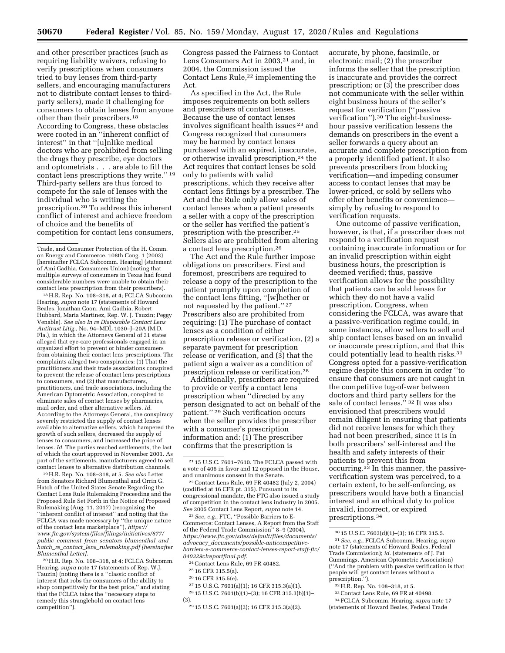and other prescriber practices (such as requiring liability waivers, refusing to verify prescriptions when consumers tried to buy lenses from third-party sellers, and encouraging manufacturers not to distribute contact lenses to thirdparty sellers), made it challenging for consumers to obtain lenses from anyone other than their prescribers.18 According to Congress, these obstacles were rooted in an ''inherent conflict of interest'' in that ''[u]nlike medical doctors who are prohibited from selling the drugs they prescribe, eye doctors and optometrists . . . are able to fill the contact lens prescriptions they write.'' 19 Third-party sellers are thus forced to compete for the sale of lenses with the individual who is writing the prescription.20 To address this inherent conflict of interest and achieve freedom of choice and the benefits of competition for contact lens consumers,

18H.R. Rep. No. 108–318, at 4; FCLCA Subcomm. Hearing, *supra* note 17 (statements of Howard Beales, Jonathan Coon, Ami Gadhia, Robert Hubbard, Maria Martinez, Rep. W. J. Tauzin; Peggy Venable). *See also In re Disposable Contact Lens Antitrust Litig.,* No. 94–MDL 1030–J–20A (M.D. Fla.), in which the Attorneys General of 31 states alleged that eye-care professionals engaged in an organized effort to prevent or hinder consumers from obtaining their contact lens prescriptions. The complaints alleged two conspiracies: (1) That the practitioners and their trade associations conspired to prevent the release of contact lens prescriptions to consumers, and (2) that manufacturers, practitioners, and trade associations, including the American Optometric Association, conspired to eliminate sales of contact lenses by pharmacies, mail order, and other alternative sellers. *Id.*  According to the Attorneys General, the conspiracy severely restricted the supply of contact lenses available to alternative sellers, which hampered the growth of such sellers, decreased the supply of lenses to consumers, and increased the price of lenses. *Id.* The parties reached settlements, the last of which the court approved in November 2001. As part of the settlements, manufacturers agreed to sell contact lenses to alternative distribution channels.

19H.R. Rep. No. 108–318, at 5. *See also* Letter from Senators Richard Blumenthal and Orrin G. Hatch of the United States Senate Regarding the Contact Lens Rule Rulemaking Proceeding and the Proposed Rule Set Forth in the Notice of Proposed Rulemaking (Aug. 11, 2017) (recognizing the ''inherent conflict of interest'' and noting that the FCLCA was made necessary by ''the unique nature of the contact lens marketplace''), *[https://](https://www.ftc.gov/system/files/filings/initiatives/677/public_comment_from_senators_blumenthal_and_hatch_re_contact_lens_rulemaking.pdf) [www.ftc.gov/system/files/filings/initiatives/677/](https://www.ftc.gov/system/files/filings/initiatives/677/public_comment_from_senators_blumenthal_and_hatch_re_contact_lens_rulemaking.pdf)  public*\_*comment*\_*from*\_*senators*\_*blumenthal*\_*and*\_ *hatch*\_*re*\_*contact*\_*lens*\_*[rulemaking.pdf \[](https://www.ftc.gov/system/files/filings/initiatives/677/public_comment_from_senators_blumenthal_and_hatch_re_contact_lens_rulemaking.pdf)hereinafter Blumenthal Letter]*.

20H.R. Rep. No. 108–318, at 4; FCLCA Subcomm. Hearing, *supra* note 17 (statements of Rep. W.J. Tauzin) (noting there is a ''classic conflict of interest that robs the consumers of the ability to shop competitively for the best price,'' and stating that the FCLCA takes the ''necessary steps to remedy this stranglehold on contact lens competition'').

Congress passed the Fairness to Contact Lens Consumers Act in 2003,<sup>21</sup> and, in 2004, the Commission issued the Contact Lens Rule,<sup>22</sup> implementing the Act.

As specified in the Act, the Rule imposes requirements on both sellers and prescribers of contact lenses. Because the use of contact lenses involves significant health issues 23 and Congress recognized that consumers may be harmed by contact lenses purchased with an expired, inaccurate, or otherwise invalid prescription,24 the Act requires that contact lenses be sold only to patients with valid prescriptions, which they receive after contact lens fittings by a prescriber. The Act and the Rule only allow sales of contact lenses when a patient presents a seller with a copy of the prescription or the seller has verified the patient's prescription with the prescriber.25 Sellers also are prohibited from altering a contact lens prescription.26

The Act and the Rule further impose obligations on prescribers. First and foremost, prescribers are required to release a copy of the prescription to the patient promptly upon completion of the contact lens fitting, ''[w]hether or not requested by the patient."<sup>27</sup> Prescribers also are prohibited from requiring: (1) The purchase of contact lenses as a condition of either prescription release or verification, (2) a separate payment for prescription release or verification, and (3) that the patient sign a waiver as a condition of prescription release or verification.28

Additionally, prescribers are required to provide or verify a contact lens prescription when ''directed by any person designated to act on behalf of the patient.'' 29 Such verification occurs when the seller provides the prescriber with a consumer's prescription information and: (1) The prescriber confirms that the prescription is

22Contact Lens Rule, 69 FR 40482 (July 2, 2004) (codified at 16 CFR pt. 315). Pursuant to its congressional mandate, the FTC also issued a study of competition in the contact lens industry in 2005. *See* 2005 Contact Lens Report, *supra* note 14.

23*See, e.g.,* FTC, ''Possible Barriers to E-Commerce: Contact Lenses, A Report from the Staff of the Federal Trade Commission'' 8–9 (2004), *[https://www.ftc.gov/sites/default/files/documents/](https://www.ftc.gov/sites/default/files/documents/advocacy_documents/possible-anticompetitive-barriers-e-commerce-contact-lenses-report-staff-ftc/040329clreportfinal.pdf) advocacy*\_*[documents/possible-anticompetitive](https://www.ftc.gov/sites/default/files/documents/advocacy_documents/possible-anticompetitive-barriers-e-commerce-contact-lenses-report-staff-ftc/040329clreportfinal.pdf)[barriers-e-commerce-contact-lenses-report-staff-ftc/](https://www.ftc.gov/sites/default/files/documents/advocacy_documents/possible-anticompetitive-barriers-e-commerce-contact-lenses-report-staff-ftc/040329clreportfinal.pdf) [040329clreportfinal.pdf.](https://www.ftc.gov/sites/default/files/documents/advocacy_documents/possible-anticompetitive-barriers-e-commerce-contact-lenses-report-staff-ftc/040329clreportfinal.pdf)* 

24Contact Lens Rule, 69 FR 40482.

- $^{\rm 25}$  16 CFR 315.5(a).
- 26 16 CFR 315.5(e).

27 15 U.S.C. 7601(a)(1); 16 CFR 315.3(a)(1). 28 15 U.S.C. 7601(b)(1)–(3); 16 CFR 315.3(b)(1)– (3).

29 15 U.S.C. 7601(a)(2); 16 CFR 315.3(a)(2).

accurate, by phone, facsimile, or electronic mail; (2) the prescriber informs the seller that the prescription is inaccurate and provides the correct prescription; or (3) the prescriber does not communicate with the seller within eight business hours of the seller's request for verification (''passive verification'').30 The eight-businesshour passive verification lessens the demands on prescribers in the event a seller forwards a query about an accurate and complete prescription from a properly identified patient. It also prevents prescribers from blocking verification—and impeding consumer access to contact lenses that may be lower-priced, or sold by sellers who offer other benefits or convenience simply by refusing to respond to verification requests.

One outcome of passive verification, however, is that, if a prescriber does not respond to a verification request containing inaccurate information or for an invalid prescription within eight business hours, the prescription is deemed verified; thus, passive verification allows for the possibility that patients can be sold lenses for which they do not have a valid prescription. Congress, when considering the FCLCA, was aware that a passive-verification regime could, in some instances, allow sellers to sell and ship contact lenses based on an invalid or inaccurate prescription, and that this could potentially lead to health risks.31 Congress opted for a passive-verification regime despite this concern in order ''to ensure that consumers are not caught in the competitive tug-of-war between doctors and third party sellers for the sale of contact lenses." <sup>32</sup> It was also envisioned that prescribers would remain diligent in ensuring that patients did not receive lenses for which they had not been prescribed, since it is in both prescribers' self-interest and the health and safety interests of their patients to prevent this from occurring.33 In this manner, the passiveverification system was perceived, to a certain extent, to be self-enforcing, as prescribers would have both a financial interest and an ethical duty to police invalid, incorrect, or expired prescriptions.34

Trade, and Consumer Protection of the H. Comm. on Energy and Commerce, 108th Cong. 1 (2003) [hereinafter FCLCA Subcomm. Hearing] (statement of Ami Gadhia, Consumers Union) (noting that multiple surveys of consumers in Texas had found considerable numbers were unable to obtain their contact lens prescription from their prescribers).

<sup>21</sup> 15 U.S.C. 7601–7610. The FCLCA passed with a vote of 406 in favor and 12 opposed in the House, and unanimous consent in the Senate.

<sup>30</sup> 15 U.S.C. 7603(d)(1)–(3); 16 CFR 315.5. 31*See, e.g.,* FCLCA Subcomm. Hearing, *supra*  note 17 (statements of Howard Beales, Federal Trade Commission); *id.* (statements of J. Pat Cummings, American Optometric Association) (''And the problem with passive verification is that people will get contact lenses without a

prescription.''). 32H.R. Rep. No. 108–318, at 5. 33Contact Lens Rule, 69 FR at 40498. 34FCLCA Subcomm. Hearing, *supra* note 17 (statements of Howard Beales, Federal Trade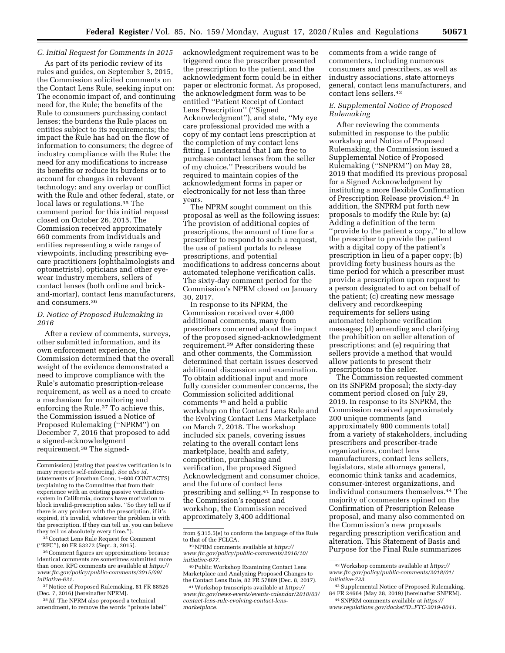# *C. Initial Request for Comments in 2015*

As part of its periodic review of its rules and guides, on September 3, 2015, the Commission solicited comments on the Contact Lens Rule, seeking input on: The economic impact of, and continuing need for, the Rule; the benefits of the Rule to consumers purchasing contact lenses; the burdens the Rule places on entities subject to its requirements; the impact the Rule has had on the flow of information to consumers; the degree of industry compliance with the Rule; the need for any modifications to increase its benefits or reduce its burdens or to account for changes in relevant technology; and any overlap or conflict with the Rule and other federal, state, or local laws or regulations.35 The comment period for this initial request closed on October 26, 2015. The Commission received approximately 660 comments from individuals and entities representing a wide range of viewpoints, including prescribing eyecare practitioners (ophthalmologists and optometrists), opticians and other eyewear industry members, sellers of contact lenses (both online and brickand-mortar), contact lens manufacturers, and consumers.36

#### *D. Notice of Proposed Rulemaking in 2016*

After a review of comments, surveys, other submitted information, and its own enforcement experience, the Commission determined that the overall weight of the evidence demonstrated a need to improve compliance with the Rule's automatic prescription-release requirement, as well as a need to create a mechanism for monitoring and enforcing the Rule.37 To achieve this, the Commission issued a Notice of Proposed Rulemaking (''NPRM'') on December 7, 2016 that proposed to add a signed-acknowledgment requirement.38 The signed-

35Contact Lens Rule Request for Comment (''RFC''), 80 FR 53272 (Sept. 3, 2015).

36 Comment figures are approximations because identical comments are sometimes submitted more than once. RFC comments are available at *[https://](https://www.ftc.gov/policy/public-comments/2015/09/initiative-621)  [www.ftc.gov/policy/public-comments/2015/09/](https://www.ftc.gov/policy/public-comments/2015/09/initiative-621) [initiative-621.](https://www.ftc.gov/policy/public-comments/2015/09/initiative-621)* 

37Notice of Proposed Rulemaking, 81 FR 88526 (Dec. 7, 2016) [hereinafter NPRM].

38 *Id.* The NPRM also proposed a technical amendment, to remove the words ''private label''

acknowledgment requirement was to be triggered once the prescriber presented the prescription to the patient, and the acknowledgment form could be in either paper or electronic format. As proposed, the acknowledgment form was to be entitled ''Patient Receipt of Contact Lens Prescription'' (''Signed Acknowledgment''), and state, ''My eye care professional provided me with a copy of my contact lens prescription at the completion of my contact lens fitting. I understand that I am free to purchase contact lenses from the seller of my choice.'' Prescribers would be required to maintain copies of the acknowledgment forms in paper or electronically for not less than three years.

The NPRM sought comment on this proposal as well as the following issues: The provision of additional copies of prescriptions, the amount of time for a prescriber to respond to such a request, the use of patient portals to release prescriptions, and potential modifications to address concerns about automated telephone verification calls. The sixty-day comment period for the Commission's NPRM closed on January 30, 2017.

In response to its NPRM, the Commission received over 4,000 additional comments, many from prescribers concerned about the impact of the proposed signed-acknowledgment requirement.39 After considering these and other comments, the Commission determined that certain issues deserved additional discussion and examination. To obtain additional input and more fully consider commenter concerns, the Commission solicited additional comments 40 and held a public workshop on the Contact Lens Rule and the Evolving Contact Lens Marketplace on March 7, 2018. The workshop included six panels, covering issues relating to the overall contact lens marketplace, health and safety, competition, purchasing and verification, the proposed Signed Acknowledgment and consumer choice, and the future of contact lens prescribing and selling.41 In response to the Commission's request and workshop, the Commission received approximately 3,400 additional

comments from a wide range of commenters, including numerous consumers and prescribers, as well as industry associations, state attorneys general, contact lens manufacturers, and contact lens sellers.42

#### *E. Supplemental Notice of Proposed Rulemaking*

After reviewing the comments submitted in response to the public workshop and Notice of Proposed Rulemaking, the Commission issued a Supplemental Notice of Proposed Rulemaking (''SNPRM'') on May 28, 2019 that modified its previous proposal for a Signed Acknowledgment by instituting a more flexible Confirmation of Prescription Release provision.43 In addition, the SNPRM put forth new proposals to modify the Rule by: (a) Adding a definition of the term ''provide to the patient a copy,'' to allow the prescriber to provide the patient with a digital copy of the patient's prescription in lieu of a paper copy; (b) providing forty business hours as the time period for which a prescriber must provide a prescription upon request to a person designated to act on behalf of the patient; (c) creating new message delivery and recordkeeping requirements for sellers using automated telephone verification messages; (d) amending and clarifying the prohibition on seller alteration of prescriptions; and (e) requiring that sellers provide a method that would allow patients to present their prescriptions to the seller.

The Commission requested comment on its SNPRM proposal; the sixty-day comment period closed on July 29, 2019. In response to its SNPRM, the Commission received approximately 200 unique comments (and approximately 900 comments total) from a variety of stakeholders, including prescribers and prescriber-trade organizations, contact lens manufacturers, contact lens sellers, legislators, state attorneys general, economic think tanks and academics, consumer-interest organizations, and individual consumers themselves.44 The majority of commenters opined on the Confirmation of Prescription Release proposal, and many also commented on the Commission's new proposals regarding prescription verification and alteration. This Statement of Basis and Purpose for the Final Rule summarizes

Commission) (stating that passive verification is in many respects self-enforcing). *See also id.*  (statements of Jonathan Coon, 1–800 CONTACTS) (explaining to the Committee that from their experience with an existing passive verificationsystem in California, doctors have motivation to block invalid-prescription sales. ''So they tell us if there is any problem with the prescription, if it's expired, it's invalid, whatever the problem is with the prescription. If they can tell us, you can believe they tell us absolutely every time.'').

from § 315.5(e) to conform the language of the Rule to that of the FCLCA.

<sup>&</sup>lt;sup>39</sup>NPRM comments available at *[https://](https://www.ftc.gov/policy/public-comments/2016/10/initiative-677) [www.ftc.gov/policy/public-comments/2016/10/](https://www.ftc.gov/policy/public-comments/2016/10/initiative-677) [initiative-677.](https://www.ftc.gov/policy/public-comments/2016/10/initiative-677)* 

<sup>40</sup>Public Workshop Examining Contact Lens Marketplace and Analyzing Proposed Changes to the Contact Lens Rule, 82 FR 57889 (Dec. 8, 2017).

<sup>41</sup>Workshop transcripts available at *[https://](https://www.ftc.gov/news-events/events-calendar/2018/03/contact-lens-rule-evolving-contact-lens-marketplace) [www.ftc.gov/news-events/events-calendar/2018/03/](https://www.ftc.gov/news-events/events-calendar/2018/03/contact-lens-rule-evolving-contact-lens-marketplace)  [contact-lens-rule-evolving-contact-lens](https://www.ftc.gov/news-events/events-calendar/2018/03/contact-lens-rule-evolving-contact-lens-marketplace)[marketplace.](https://www.ftc.gov/news-events/events-calendar/2018/03/contact-lens-rule-evolving-contact-lens-marketplace)* 

<sup>42</sup>Workshop comments available at *[https://](https://www.ftc.gov/policy/public-comments/2018/01/initiative-733) [www.ftc.gov/policy/public-comments/2018/01/](https://www.ftc.gov/policy/public-comments/2018/01/initiative-733) [initiative-733.](https://www.ftc.gov/policy/public-comments/2018/01/initiative-733)* 

<sup>43</sup>Supplemental Notice of Proposed Rulemaking, 84 FR 24664 (May 28, 2019) [hereinafter SNPRM]. 44SNPRM comments available at *[https://](https://www.regulations.gov/docket?D=FTC-2019-0041)*

*[www.regulations.gov/docket?D=FTC-2019-0041.](https://www.regulations.gov/docket?D=FTC-2019-0041)*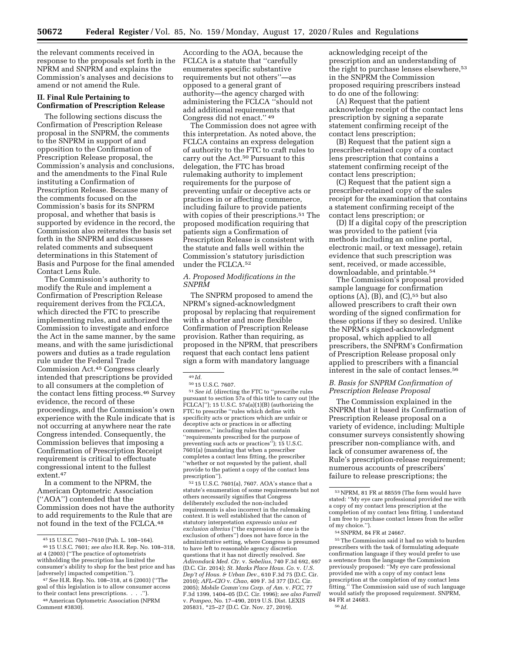the relevant comments received in response to the proposals set forth in the NPRM and SNPRM and explains the Commission's analyses and decisions to amend or not amend the Rule.

## **II. Final Rule Pertaining to Confirmation of Prescription Release**

The following sections discuss the Confirmation of Prescription Release proposal in the SNPRM, the comments to the SNPRM in support of and opposition to the Confirmation of Prescription Release proposal, the Commission's analysis and conclusions, and the amendments to the Final Rule instituting a Confirmation of Prescription Release. Because many of the comments focused on the Commission's basis for its SNPRM proposal, and whether that basis is supported by evidence in the record, the Commission also reiterates the basis set forth in the SNPRM and discusses related comments and subsequent determinations in this Statement of Basis and Purpose for the final amended Contact Lens Rule.

The Commission's authority to modify the Rule and implement a Confirmation of Prescription Release requirement derives from the FCLCA, which directed the FTC to prescribe implementing rules, and authorized the Commission to investigate and enforce the Act in the same manner, by the same means, and with the same jurisdictional powers and duties as a trade regulation rule under the Federal Trade Commission Act.45 Congress clearly intended that prescriptions be provided to all consumers at the completion of the contact lens fitting process.46 Survey evidence, the record of these proceedings, and the Commission's own experience with the Rule indicate that is not occurring at anywhere near the rate Congress intended. Consequently, the Commission believes that imposing a Confirmation of Prescription Receipt requirement is critical to effectuate congressional intent to the fullest extent.47

In a comment to the NPRM, the American Optometric Association (''AOA'') contended that the Commission does not have the authority to add requirements to the Rule that are not found in the text of the FCLCA.48

According to the AOA, because the FCLCA is a statute that ''carefully enumerates specific substantive requirements but not others''—as opposed to a general grant of authority—the agency charged with administering the FCLCA ''should not add additional requirements that Congress did not enact.'' 49

The Commission does not agree with this interpretation. As noted above, the FCLCA contains an express delegation of authority to the FTC to craft rules to carry out the Act.50 Pursuant to this delegation, the FTC has broad rulemaking authority to implement requirements for the purpose of preventing unfair or deceptive acts or practices in or affecting commerce, including failure to provide patients with copies of their prescriptions.<sup>51</sup> The proposed modification requiring that patients sign a Confirmation of Prescription Release is consistent with the statute and falls well within the Commission's statutory jurisdiction under the FCLCA.52

### *A. Proposed Modifications in the SNPRM*

The SNPRM proposed to amend the NPRM's signed-acknowledgment proposal by replacing that requirement with a shorter and more flexible Confirmation of Prescription Release provision. Rather than requiring, as proposed in the NPRM, that prescribers request that each contact lens patient sign a form with mandatory language

<sup>50</sup> 15 U.S.C. 7607. 51*See id.* (directing the FTC to ''prescribe rules pursuant to section 57a of this title to carry out [the  $FCLCA$ ]''); 15 U.S.C. 57a(a)(1)(B) (authorizing the FTC to prescribe ''rules which define with specificity acts or practices which are unfair or deceptive acts or practices in or affecting commerce,'' including rules that contain ''requirements prescribed for the purpose of preventing such acts or practices''); 15 U.S.C. 7601(a) (mandating that when a prescriber completes a contact lens fitting, the prescriber ''whether or not requested by the patient, shall provide to the patient a copy of the contact lens prescription")

52 15 U.S.C. 7601(a), 7607. AOA's stance that a statute's enumeration of some requirements but not others necessarily signifies that Congress deliberately excluded the non-included requirements is also incorrect in the rulemaking context. It is well established that the canon of statutory interpretation *expressio unius est exclusion alterius* (''the expression of one is the exclusion of others'') does not have force in the administrative setting, where Congress is presumed to have left to reasonable agency discretion questions that it has not directly resolved. *See Adirondack Med. Ctr.* v. *Sebelius,* 740 F.3d 692, 697 (D.C. Cir. 2014); *St. Marks Place Hous. Co.* v. *U.S. Dep't of Hous. & Urban Dev.,* 610 F.3d 75 (D.C. Cir. 2010); *AFL–CIO* v. *Chao,* 409 F. 3d 377 (D.C. Cir. 2005); *Mobile Comm'cns Corp. of Am.* v. *FCC,* 77 F.3d 1399, 1404–05 (D.C. Cir. 1996); *see also Farrell*  v. *Pompeo,* No. 17–490, 2019 U.S. Dist. LEXIS 205831, \*25–27 (D.C. Cir. Nov. 27, 2019).

acknowledging receipt of the prescription and an understanding of the right to purchase lenses elsewhere,53 in the SNPRM the Commission proposed requiring prescribers instead to do one of the following:

(A) Request that the patient acknowledge receipt of the contact lens prescription by signing a separate statement confirming receipt of the contact lens prescription;

(B) Request that the patient sign a prescriber-retained copy of a contact lens prescription that contains a statement confirming receipt of the contact lens prescription;

(C) Request that the patient sign a prescriber-retained copy of the sales receipt for the examination that contains a statement confirming receipt of the contact lens prescription; or

(D) If a digital copy of the prescription was provided to the patient (via methods including an online portal, electronic mail, or text message), retain evidence that such prescription was sent, received, or made accessible, downloadable, and printable.54

The Commission's proposal provided sample language for confirmation options  $(A)$ ,  $(B)$ , and  $(C)$ ,<sup>55</sup> but also allowed prescribers to craft their own wording of the signed confirmation for these options if they so desired. Unlike the NPRM's signed-acknowledgment proposal, which applied to all prescribers, the SNPRM's Confirmation of Prescription Release proposal only applied to prescribers with a financial interest in the sale of contact lenses.56

## *B. Basis for SNPRM Confirmation of Prescription Release Proposal*

The Commission explained in the SNPRM that it based its Confirmation of Prescription Release proposal on a variety of evidence, including: Multiple consumer surveys consistently showing prescriber non-compliance with, and lack of consumer awareness of, the Rule's prescription-release requirement; numerous accounts of prescribers' failure to release prescriptions; the

55The Commission said it had no wish to burden prescribers with the task of formulating adequate confirmation language if they would prefer to use a sentence from the language the Commission previously proposed: ''My eye care professional provided me with a copy of my contact lens prescription at the completion of my contact lens fitting.'' The Commission said use of such language would satisfy the proposed requirement. SNPRM, 84 FR at 24683. 56 *Id.* 

<sup>45</sup> 15 U.S.C. 7601–7610 (Pub. L. 108–164). 46 15 U.S.C. 7601; *see also* H.R. Rep. No. 108–318, at 4 (2003) (''The practice of optometrists withholding the prescription has limited the consumer's ability to shop for the best price and has

<sup>&</sup>lt;sup>47</sup> See H.R. Rep. No. 108–318, at 6 (2003) ("The goal of this legislation is to allow consumer access to their contact lens prescriptions. . . .'').

<sup>48</sup>American Optometric Association (NPRM Comment #3830).

<sup>49</sup> *Id.* 

<sup>53</sup>NPRM, 81 FR at 88559 (The form would have stated: ''My eye care professional provided me with a copy of my contact lens prescription at the completion of my contact lens fitting. I understand I am free to purchase contact lenses from the seller of my choice.'').

<sup>54</sup>SNPRM, 84 FR at 24667.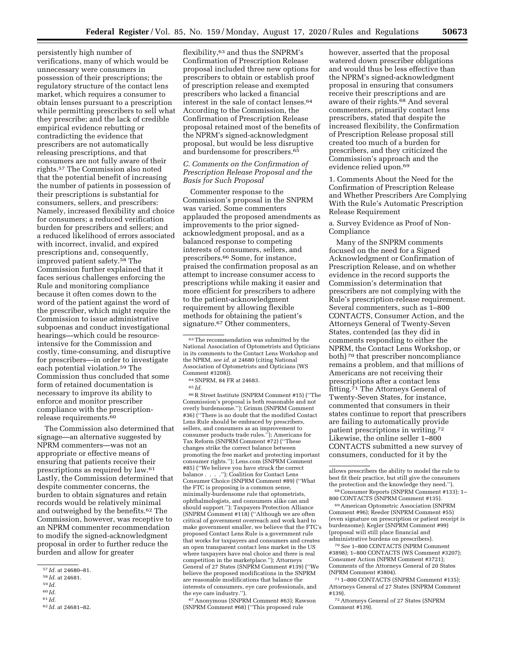persistently high number of verifications, many of which would be unnecessary were consumers in possession of their prescriptions; the regulatory structure of the contact lens market, which requires a consumer to obtain lenses pursuant to a prescription while permitting prescribers to sell what they prescribe; and the lack of credible empirical evidence rebutting or contradicting the evidence that prescribers are not automatically releasing prescriptions, and that consumers are not fully aware of their rights.57 The Commission also noted that the potential benefit of increasing the number of patients in possession of their prescriptions is substantial for consumers, sellers, and prescribers: Namely, increased flexibility and choice for consumers; a reduced verification burden for prescribers and sellers; and a reduced likelihood of errors associated with incorrect, invalid, and expired prescriptions and, consequently, improved patient safety.58 The Commission further explained that it faces serious challenges enforcing the Rule and monitoring compliance because it often comes down to the word of the patient against the word of the prescriber, which might require the Commission to issue administrative subpoenas and conduct investigational hearings—which could be resourceintensive for the Commission and costly, time-consuming, and disruptive for prescribers—in order to investigate each potential violation.59 The Commission thus concluded that some form of retained documentation is necessary to improve its ability to enforce and monitor prescriber compliance with the prescriptionrelease requirements.60

The Commission also determined that signage—an alternative suggested by NPRM commenters—was not an appropriate or effective means of ensuring that patients receive their prescriptions as required by law.61 Lastly, the Commission determined that despite commenter concerns, the burden to obtain signatures and retain records would be relatively minimal and outweighed by the benefits.62 The Commission, however, was receptive to an NPRM commenter recommendation to modify the signed-acknowledgment proposal in order to further reduce the burden and allow for greater

60 *Id.* 

flexibility,63 and thus the SNPRM's Confirmation of Prescription Release proposal included three new options for prescribers to obtain or establish proof of prescription release and exempted prescribers who lacked a financial interest in the sale of contact lenses.64 According to the Commission, the Confirmation of Prescription Release proposal retained most of the benefits of the NPRM's signed-acknowledgment proposal, but would be less disruptive and burdensome for prescribers.<sup>65</sup>

## *C. Comments on the Confirmation of Prescription Release Proposal and the Basis for Such Proposal*

Commenter response to the Commission's proposal in the SNPRM was varied. Some commenters applauded the proposed amendments as improvements to the prior signedacknowledgment proposal, and as a balanced response to competing interests of consumers, sellers, and prescribers.66 Some, for instance, praised the confirmation proposal as an attempt to increase consumer access to prescriptions while making it easier and more efficient for prescribers to adhere to the patient-acknowledgment requirement by allowing flexible methods for obtaining the patient's signature.<sup>67</sup> Other commenters,

## 65 *Id.*

66R Street Institute (SNPRM Comment #15) (''The Commission's proposal is both reasonable and not overly burdensome.''); Grimm (SNPRM Comment #36) (''There is no doubt that the modified Contact Lens Rule should be embraced by prescribers, sellers, and consumers as an improvement to consumer products trade rules.''); Americans for Tax Reform (SNPRM Comment #72) (''These changes strike the correct balance between promoting the free market and protecting important consumer rights.''); Lens.com (SNPRM Comment #85) (''We believe you have struck the correct ."); Coalition for Contact Lens Consumer Choice (SNPRM Comment #89) (''What the FTC is proposing is a common sense, minimally-burdensome rule that optometrists, ophthalmologists, and consumers alike can and should support.''); Taxpayers Protection Alliance (SNPRM Comment #118) (''Although we are often critical of government overreach and work hard to make government smaller, we believe that the FTC's proposed Contact Lens Rule is a government rule that works for taxpayers and consumers and creates an open transparent contact lens market in the US where taxpayers have real choice and there is real competition in the marketplace.''); Attorneys General of 27 States (SNPRM Comment #139) (''We believe the proposed modifications in the SNPRM are reasonable modifications that balance the interests of consumers, eye care professionals, and the eye care industry.'').

67Anonymous (SNPRM Comment #63); Rawson (SNPRM Comment #68) (''This proposed rule

however, asserted that the proposal watered down prescriber obligations and would thus be less effective than the NPRM's signed-acknowledgment proposal in ensuring that consumers receive their prescriptions and are aware of their rights.68 And several commenters, primarily contact lens prescribers, stated that despite the increased flexibility, the Confirmation of Prescription Release proposal still created too much of a burden for prescribers, and they criticized the Commission's approach and the evidence relied upon.69

1. Comments About the Need for the Confirmation of Prescription Release and Whether Prescribers Are Complying With the Rule's Automatic Prescription Release Requirement

### a. Survey Evidence as Proof of Non-Compliance

Many of the SNPRM comments focused on the need for a Signed Acknowledgment or Confirmation of Prescription Release, and on whether evidence in the record supports the Commission's determination that prescribers are not complying with the Rule's prescription-release requirement. Several commenters, such as 1–800 CONTACTS, Consumer Action, and the Attorneys General of Twenty-Seven States, contended (as they did in comments responding to either the NPRM, the Contact Lens Workshop, or both) 70 that prescriber noncompliance remains a problem, and that millions of Americans are not receiving their prescriptions after a contact lens fitting.<sup>71</sup> The Attorneys General of Twenty-Seven States, for instance, commented that consumers in their states continue to report that prescribers are failing to automatically provide patient prescriptions in writing.72 Likewise, the online seller 1–800 CONTACTS submitted a new survey of consumers, conducted for it by the

69American Optometric Association (SNPRM Comment #96); Reeder (SNPRM Comment #55) (even signature on prescription or patient receipt is burdensome); Kegler (SNPRM Comment #99) (proposal will still place financial and administrative burdens on prescribers).

70*See* 1–800 CONTACTS (NPRM Comment #3898); 1–800 CONTACTS (WS Comment #3207); Consumer Action (NPRM Comment #3721); Comments of the Attorneys General of 20 States (NPRM Comment #3804).

71 1–800 CONTACTS (SNPRM Comment #135); Attorneys General of 27 States (SNPRM Comment #139).

72Attorneys General of 27 States (SNPRM Comment #139).

<sup>57</sup> *Id.* at 24680–81.

<sup>58</sup> *Id.* at 24681.

<sup>59</sup> *Id.* 

<sup>61</sup> *Id.* 

<sup>62</sup> *Id.* at 24681–82.

<sup>63</sup>The recommendation was submitted by the National Association of Optometrists and Opticians in its comments to the Contact Lens Workshop and the NPRM, *see id.* at 24680 (citing National Association of Optometrists and Opticians (WS Comment #3208)).

<sup>64</sup>SNPRM, 84 FR at 24683.

allows prescribers the ability to model the rule to best fit their practice, but still give the consumers the protection and the knowledge they need.'').

<sup>68</sup>Consumer Reports (SNPRM Comment #133); 1– 800 CONTACTS (SNPRM Comment #135).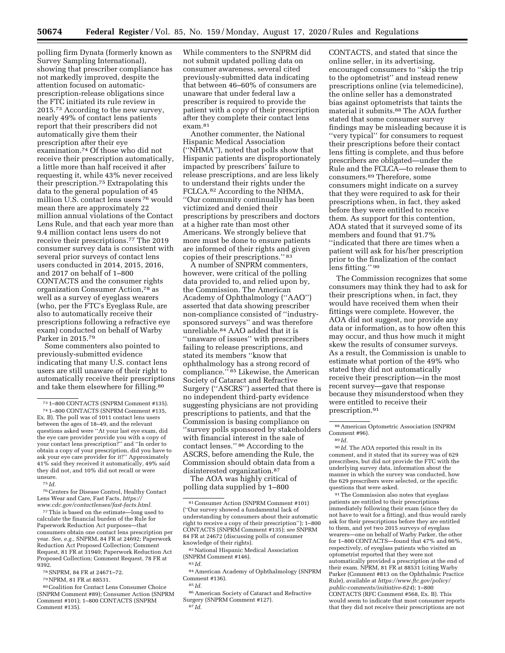polling firm Dynata (formerly known as Survey Sampling International), showing that prescriber compliance has not markedly improved, despite the attention focused on automaticprescription-release obligations since the FTC initiated its rule review in 2015.73 According to the new survey, nearly 49% of contact lens patients report that their prescribers did not automatically give them their prescription after their eye examination.74 Of those who did not receive their prescription automatically, a little more than half received it after requesting it, while 43% never received their prescription.75 Extrapolating this data to the general population of 45 million U.S. contact lens users 76 would mean there are approximately 22 million annual violations of the Contact Lens Rule, and that each year more than 9.4 million contact lens users do not receive their prescriptions.77 The 2019 consumer survey data is consistent with several prior surveys of contact lens users conducted in 2014, 2015, 2016, and 2017 on behalf of 1–800 CONTACTS and the consumer rights organization Consumer Action,78 as well as a survey of eyeglass wearers (who, per the FTC's Eyeglass Rule, are also to automatically receive their prescriptions following a refractive eye exam) conducted on behalf of Warby Parker in 2015.79

Some commenters also pointed to previously-submitted evidence indicating that many U.S. contact lens users are still unaware of their right to automatically receive their prescriptions and take them elsewhere for filling.80

75 *Id.* 

76Centers for Disease Control, Healthy Contact Lens Wear and Care, Fast Facts, *[https://](https://www.cdc.gov/contactlenses/fast-facts.html) [www.cdc.gov/contactlenses/fast-facts.html.](https://www.cdc.gov/contactlenses/fast-facts.html)* 

77This is based on the estimate—long used to calculate the financial burden of the Rule for Paperwork Reduction Act purposes—that consumers obtain one contact lens prescription per year. *See, e.g.,* SNPRM, 84 FR at 24692; Paperwork Reduction Act Proposed Collection; Comment Request, 81 FR at 31940; Paperwork Reduction Act Proposed Collection; Comment Request, 78 FR at 9392.

78SNPRM, 84 FR at 24671–72.

80Coalition for Contact Lens Consumer Choice (SNPRM Comment #89); Consumer Action (SNPRM Comment #101); 1–800 CONTACTS (SNPRM Comment #135).

While commenters to the SNPRM did not submit updated polling data on consumer awareness, several cited previously-submitted data indicating that between 46–60% of consumers are unaware that under federal law a prescriber is required to provide the patient with a copy of their prescription after they complete their contact lens exam.81

Another commenter, the National Hispanic Medical Association (''NHMA''), noted that polls show that Hispanic patients are disproportionately impacted by prescribers' failure to release prescriptions, and are less likely to understand their rights under the FCLCA.82 According to the NHMA, ''Our community continually has been victimized and denied their prescriptions by prescribers and doctors at a higher rate than most other Americans. We strongly believe that more must be done to ensure patients are informed of their rights and given copies of their prescriptions.'' 83

A number of SNPRM commenters, however, were critical of the polling data provided to, and relied upon by, the Commission. The American Academy of Ophthalmology (''AAO'') asserted that data showing prescriber non-compliance consisted of ''industrysponsored surveys'' and was therefore unreliable.84 AAO added that it is ''unaware of issues'' with prescribers failing to release prescriptions, and stated its members ''know that ophthalmology has a strong record of compliance.'' 85 Likewise, the American Society of Cataract and Refractive Surgery (''ASCRS'') asserted that there is no independent third-party evidence suggesting physicians are not providing prescriptions to patients, and that the Commission is basing compliance on ''survey polls sponsored by stakeholders with financial interest in the sale of contact lenses.'' 86 According to the ASCRS, before amending the Rule, the Commission should obtain data from a disinterested organization.87

The AOA was highly critical of polling data supplied by 1–800

85 *Id.* 

CONTACTS, and stated that since the online seller, in its advertising, encouraged consumers to ''skip the trip to the optometrist'' and instead renew prescriptions online (via telemedicine), the online seller has a demonstrated bias against optometrists that taints the material it submits.88 The AOA further stated that some consumer survey findings may be misleading because it is ''very typical'' for consumers to request their prescriptions before their contact lens fitting is complete, and thus before prescribers are obligated—under the Rule and the FCLCA—to release them to consumers.89 Therefore, some consumers might indicate on a survey that they were required to ask for their prescriptions when, in fact, they asked before they were entitled to receive them. As support for this contention, AOA stated that it surveyed some of its members and found that 91.7% ''indicated that there are times when a patient will ask for his/her prescription prior to the finalization of the contact lens fitting.'' 90

The Commission recognizes that some consumers may think they had to ask for their prescriptions when, in fact, they would have received them when their fittings were complete. However, the AOA did not suggest, nor provide any data or information, as to how often this may occur, and thus how much it might skew the results of consumer surveys. As a result, the Commission is unable to estimate what portion of the 49% who stated they did not automatically receive their prescription—in the most recent survey—gave that response because they misunderstood when they were entitled to receive their prescription.91

90 *Id.* The AOA reported this result in its comment, and it stated that its survey was of 629 prescribers, but did not provide the FTC with the underlying survey data, information about the manner in which the survey was conducted, how the 629 prescribers were selected, or the specific questions that were asked.

91The Commission also notes that eyeglass patients are entitled to their prescriptions immediately following their exam (since they do not have to wait for a fitting), and thus would rarely ask for their prescriptions before they are entitled to them, and yet two 2015 surveys of eyeglass wearers—one on behalf of Warby Parker, the other for 1–800 CONTACTS—found that 47% and 66%, respectively, of eyeglass patients who visited an optometrist reported that they were not automatically provided a prescription at the end of their exam. NPRM, 81 FR at 88531 (citing Warby Parker (Comment #813 on the Ophthalmic Practice Rule), available at *[https://www.ftc.gov/policy/](https://www.ftc.gov/policy/public-comments/initiative-624) [public-comments/initiative-624](https://www.ftc.gov/policy/public-comments/initiative-624)*); 1–800 CONTACTS (RFC Comment #568, Ex. B). This would seem to indicate that most consumer reports that they did not receive their prescriptions are not

<sup>73</sup> 1–800 CONTACTS (SNPRM Comment #135). 74 1–800 CONTACTS (SNPRM Comment #135,

Ex. B). The poll was of 1011 contact lens users between the ages of 18–49, and the relevant questions asked were ''At your last eye exam, did the eye care provider provide you with a copy of your contact lens prescription?'' and ''In order to obtain a copy of your prescription, did you have to ask your eye care provider for it?'' Approximately 41% said they received it automatically, 49% said they did not, and 10% did not recall or were unsure.

<sup>79</sup>NPRM, 81 FR at 88531.

<sup>81</sup>Consumer Action (SNPRM Comment #101) (''Our survey showed a fundamental lack of understanding by consumers about their automatic right to receive a copy of their prescription''); 1–800 CONTACTS (SNPRM Comment #135); *see* SNPRM 84 FR at 24672 (discussing polls of consumer knowledge of their rights).

<sup>82</sup>National Hispanic Medical Association (SNPRM Comment #146).

<sup>83</sup> *Id.* 

<sup>84</sup>American Academy of Ophthalmology (SNPRM Comment #136).

<sup>86</sup>American Society of Cataract and Refractive Surgery (SNPRM Comment #127). 87 *Id.* 

<sup>88</sup>American Optometric Association (SNPRM Comment #96).

<sup>89</sup> *Id.*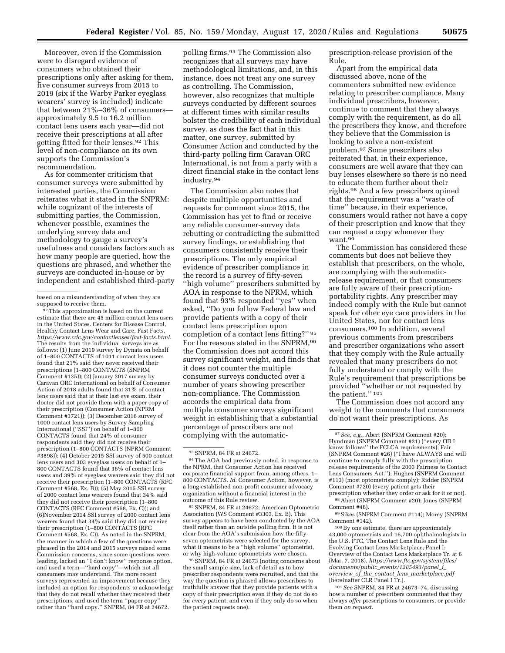Moreover, even if the Commission were to disregard evidence of consumers who obtained their prescriptions only after asking for them, five consumer surveys from 2015 to 2019 (six if the Warby Parker eyeglass wearers' survey is included) indicate that between 21%–36% of consumers approximately 9.5 to 16.2 million contact lens users each year—did not receive their prescriptions at all after getting fitted for their lenses.92 This level of non-compliance on its own supports the Commission's recommendation.

As for commenter criticism that consumer surveys were submitted by interested parties, the Commission reiterates what it stated in the SNPRM: while cognizant of the interests of submitting parties, the Commission, whenever possible, examines the underlying survey data and methodology to gauge a survey's usefulness and considers factors such as how many people are queried, how the questions are phrased, and whether the surveys are conducted in-house or by independent and established third-party

92This approximation is based on the current estimate that there are 45 million contact lens users in the United States. Centers for Disease Control, Healthy Contact Lens Wear and Care, Fast Facts, *[https://www.cdc.gov/contactlenses/fast-facts.html.](https://www.cdc.gov/contactlenses/fast-facts.html)*  The results from the individual surveys are as follows: (1) June 2019 survey by Dynata on behalf of 1–800 CONTACTS of 1011 contact lens users found that 21% said they never received their prescriptions (1–800 CONTACTS (SNPRM Comment #135)); (2) January 2017 survey by Caravan ORC International on behalf of Consumer Action of 2018 adults found that 31% of contact lens users said that at their last eye exam, their doctor did not provide them with a paper copy of their prescription (Consumer Action (NPRM Comment #3721)); (3) December 2016 survey of 1000 contact lens users by Survey Sampling International (''SSI'') on behalf of 1–800 CONTACTS found that 24% of consumer respondents said they did not receive their prescription (1–800 CONTACTS (NPRM Comment #3898)); (4) October 2015 SSI survey of 500 contact lens users and 303 eyeglass users on behalf of 1– 800 CONTACTS found that 36% of contact lens users and 39% of eyeglass wearers said they did not receive their prescription (1–800 CONTACTS (RFC Comment #568, Ex. B)); (5) May 2015 SSI survey of 2000 contact lens wearers found that 34% said they did not receive their prescription (1–800 CONTACTS (RFC Comment #568, Ex. C)); and (6)November 2014 SSI survey of 2000 contact lens wearers found that 34% said they did not receive their prescription (1–800 CONTACTS (RFC Comment #568, Ex. C)). As noted in the SNPRM, the manner in which a few of the questions were phrased in the 2014 and 2015 surveys raised some Commission concerns, since some questions were leading, lacked an ''I don't know'' response option, and used a term—''hard copy''—which not all consumers may understand. The more recent surveys represented an improvement because they included an option for respondents to acknowledge that they do not recall whether they received their prescriptions, and used the term "paper copy' rather than "hard copy." SNPRM, 84 FR at 24672.

polling firms.93 The Commission also recognizes that all surveys may have methodological limitations, and, in this instance, does not treat any one survey as controlling. The Commission, however, also recognizes that multiple surveys conducted by different sources at different times with similar results bolster the credibility of each individual survey, as does the fact that in this matter, one survey, submitted by Consumer Action and conducted by the third-party polling firm Caravan ORC International, is not from a party with a direct financial stake in the contact lens industry.94

The Commission also notes that despite multiple opportunities and requests for comment since 2015, the Commission has yet to find or receive any reliable consumer-survey data rebutting or contradicting the submitted survey findings, or establishing that consumers consistently receive their prescriptions. The only empirical evidence of prescriber compliance in the record is a survey of fifty-seven ''high volume'' prescribers submitted by AOA in response to the NPRM, which found that 93% responded ''yes'' when asked, ''Do you follow Federal law and provide patients with a copy of their contact lens prescription upon completion of a contact lens fitting?'' 95 For the reasons stated in the SNPRM,96 the Commission does not accord this survey significant weight, and finds that it does not counter the multiple consumer surveys conducted over a number of years showing prescriber non-compliance. The Commission accords the empirical data from multiple consumer surveys significant weight in establishing that a substantial percentage of prescribers are not complying with the automatic-

95SNPRM, 84 FR at 24672; American Optometric Association (WS Comment #3303, Ex. B). This survey appears to have been conducted by the AOA itself rather than an outside polling firm. It is not clear from the AOA's submission how the fiftyseven optometrists were selected for the survey, what it means to be a ''high volume'' optometrist, or why high-volume optometrists were chosen.

96SNPRM, 84 FR at 24673 (noting concerns about the small sample size, lack of detail as to how prescriber respondents were recruited, and that the way the question is phrased allows prescribers to truthfully answer that they provide patients with a copy of their prescription even if they do not do so for *every* patient, and even if they only do so when the patient requests one).

prescription-release provision of the Rule.

Apart from the empirical data discussed above, none of the commenters submitted new evidence relating to prescriber compliance. Many individual prescribers, however, continue to comment that they always comply with the requirement, as do all the prescribers they know, and therefore they believe that the Commission is looking to solve a non-existent problem.97 Some prescribers also reiterated that, in their experience, consumers are well aware that they can buy lenses elsewhere so there is no need to educate them further about their rights.98 And a few prescribers opined that the requirement was a ''waste of time'' because, in their experience, consumers would rather not have a copy of their prescription and know that they can request a copy whenever they want.<sup>99</sup>

The Commission has considered these comments but does not believe they establish that prescribers, on the whole, are complying with the automaticrelease requirement, or that consumers are fully aware of their prescriptionportability rights. Any prescriber may indeed comply with the Rule but cannot speak for other eye care providers in the United States, nor for contact lens consumers.100 In addition, several previous comments from prescribers and prescriber organizations who assert that they comply with the Rule actually revealed that many prescribers do not fully understand or comply with the Rule's requirement that prescriptions be provided ''whether or not requested by the patient.'' 101

The Commission does not accord any weight to the comments that consumers do not want their prescriptions. As

100By one estimate, there are approximately 43,000 optometrists and 16,700 ophthalmologists in the U.S. FTC, The Contact Lens Rule and the Evolving Contact Lens Marketplace, Panel I: Overview of the Contact Lens Marketplace Tr. at 6 (Mar. 7, 2018), *[https://www.ftc.gov/system/files/](https://www.ftc.gov/system/files/documents/public_events/1285493/panel_i_overview_of_the_contact_lens_marketplace.pdf)  documents/public*\_*[events/1285493/panel](https://www.ftc.gov/system/files/documents/public_events/1285493/panel_i_overview_of_the_contact_lens_marketplace.pdf)*\_*i*\_ *overview*\_*of*\_*the*\_*contact*\_*lens*\_*[marketplace.pdf](https://www.ftc.gov/system/files/documents/public_events/1285493/panel_i_overview_of_the_contact_lens_marketplace.pdf)*  [hereinafter CLR Panel I Tr.].

101*See* SNPRM, 84 FR at 24673–74, discussing how a number of prescribers commented that they always *offer* prescriptions to consumers, or provide them *on request.* 

based on a misunderstanding of when they are supposed to receive them.

<sup>93</sup>SNPRM, 84 FR at 24672.

<sup>94</sup>The AOA had previously noted, in response to the NPRM, that Consumer Action has received corporate financial support from, among others, 1– 800 CONTACTS. *Id.* Consumer Action, however, is a long-established non-profit consumer advocacy organization without a financial interest in the outcome of this Rule review.

<sup>97</sup>*See, e.g.,* Abert (SNPRM Comment #20); Hyndman (SNPRM Comment #21) (''every OD I know follows'' the FCLCA requirements); Fair (SNPRM Comment #26) (''I have ALWAYS and will continue to comply fully with the prescription release requirements of the 2003 Fairness to Contact Lens Consumers Act.''); Hughes (SNPRM Comment #113) (most optometrists comply); Ridder (SNPRM Comment #720) (every patient gets their prescription whether they order or ask for it or not).

<sup>98</sup>Abert (SNPRM Comment #20); Jones (SNPRM Comment #48).

<sup>99</sup>Sikes (SNPRM Comment #114); Morey (SNPRM Comment #142).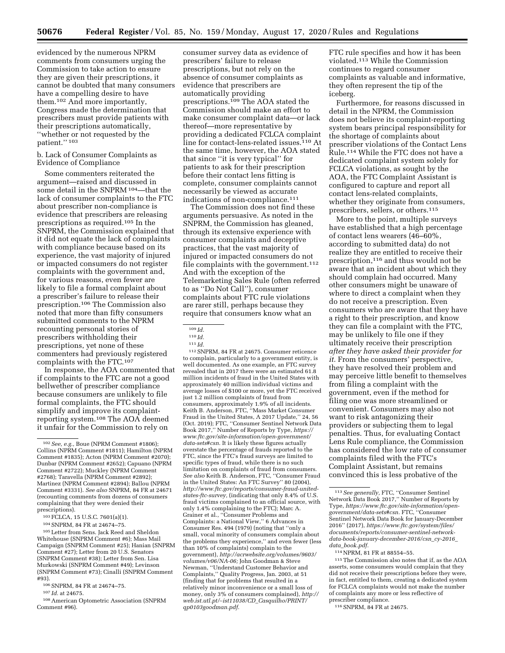evidenced by the numerous NPRM comments from consumers urging the Commission to take action to ensure they are given their prescriptions, it cannot be doubted that many consumers have a compelling desire to have them.102 And more importantly, Congress made the determination that prescribers must provide patients with their prescriptions automatically, ''whether or not requested by the patient.'' 103

#### b. Lack of Consumer Complaints as Evidence of Compliance

Some commenters reiterated the argument—raised and discussed in some detail in the SNPRM 104—that the lack of consumer complaints to the FTC about prescriber non-compliance is evidence that prescribers are releasing prescriptions as required.105 In the SNPRM, the Commission explained that it did not equate the lack of complaints with compliance because based on its experience, the vast majority of injured or impacted consumers do not register complaints with the government and, for various reasons, even fewer are likely to file a formal complaint about a prescriber's failure to release their prescription.106 The Commission also noted that more than fifty consumers submitted comments to the NPRM recounting personal stories of prescribers withholding their prescriptions, yet none of these commenters had previously registered complaints with the FTC.<sup>107</sup>

In response, the AOA commented that if complaints to the FTC are not a good bellwether of prescriber compliance because consumers are unlikely to file formal complaints, the FTC should simplify and improve its complaintreporting system.108 The AOA deemed it unfair for the Commission to rely on

103FCLCA, 15 U.S.C. 7601(a)(1).

104SNPRM, 84 FR at 24674–75.

105Letter from Sens. Jack Reed and Sheldon Whitehouse (SNPRM Comment #6); Mass Mail Campaign (SNPRM Comment #25); Hanian (SNPRM Comment #27); Letter from 20 U.S. Senators (SNPRM Comment #38); Letter from Sen. Lisa Murkowski (SNPRM Comment #49); Levinson (SNPRM Comment #73); Cinalli (SNPRM Comment #93).

106SNPRM, 84 FR at 24674–75.

107 *Id.* at 24675.

108American Optometric Association (SNPRM Comment #96).

consumer survey data as evidence of prescribers' failure to release prescriptions, but not rely on the absence of consumer complaints as evidence that prescribers are automatically providing prescriptions.<sup>109</sup> The AOA stated the Commission should make an effort to make consumer complaint data—or lack thereof—more representative by providing a dedicated FCLCA complaint line for contact-lens-related issues.110 At the same time, however, the AOA stated that since ''it is very typical'' for patients to ask for their prescription before their contact lens fitting is complete, consumer complaints cannot necessarily be viewed as accurate indications of non-compliance.<sup>111</sup>

The Commission does not find these arguments persuasive. As noted in the SNPRM, the Commission has gleaned, through its extensive experience with consumer complaints and deceptive practices, that the vast majority of injured or impacted consumers do not file complaints with the government.  $^{\rm 112}$ And with the exception of the Telemarketing Sales Rule (often referred to as ''Do Not Call''), consumer complaints about FTC rule violations are rarer still, perhaps because they require that consumers know what an

112SNPRM, 84 FR at 24675. Consumer reticence to complain, particularly to a government entity, is well documented. As one example, an FTC survey revealed that in 2017 there were an estimated 61.8 million incidents of fraud in the United States with approximately 40 million individual victims and average losses of \$100 or more, yet the FTC received just 1.2 million complaints of fraud from consumers, approximately 1.9% of all incidents. Keith B. Anderson, FTC, ''Mass Market Consumer Fraud in the United States, A 2017 Update,'' 24, 56 (Oct. 2019); FTC, ''Consumer Sentinel Network Data Book 2017,'' Number of Reports by Type, *[https://](https://www.ftc.gov/site-information/open-government/data-sets#csn)  [www.ftc.gov/site-information/open-government/](https://www.ftc.gov/site-information/open-government/data-sets#csn) [data-sets#csn.](https://www.ftc.gov/site-information/open-government/data-sets#csn)* It is likely these figures actually overstate the percentage of frauds reported to the FTC, since the FTC's fraud surveys are limited to specific types of fraud, while there is no such limitation on complaints of fraud from consumers. *See also* Keith B. Anderson, FTC, ''Consumer Fraud in the United States: An FTC Survey'' 80 (2004), *[http://www.ftc.gov/reports/consumer-fraud-united](http://www.ftc.gov/reports/consumer-fraud-united-states-ftc-survey)[states-ftc-survey,](http://www.ftc.gov/reports/consumer-fraud-united-states-ftc-survey)* (indicating that only 8.4% of U.S. fraud victims complained to an official source, with only 1.4% complaining to the FTC); Marc A. Grainer et al., ''Consumer Problems and Complaints: a National View,'' 6 Advances in Consumer Res. 494 (1979) (noting that ''only a small, vocal minority of consumers complain about the problems they experience,'' and even fewer (less than 10% of complaints) complain to the government), *[http://acrwebsite.org/volumes/9603/](http://acrwebsite.org/volumes/9603/volumes/v06/NA-06)  [volumes/v06/NA-06;](http://acrwebsite.org/volumes/9603/volumes/v06/NA-06)* John Goodman & Steve Newman, ''Understand Customer Behavior and Complaints,'' Quality Progress, Jan. 2003, at 51 (finding that for problems that resulted in a relatively minor inconvenience or a small loss of money, only 3% of consumers complained), *[http://](http://web.ist.utl.pt/~ist11038/CD_Casquilho/PRINT/qp0103goodman.pdf) web.ist.utl.pt/*∼*ist11038/CD*\_*[Casquilho/PRINT/](http://web.ist.utl.pt/~ist11038/CD_Casquilho/PRINT/qp0103goodman.pdf)  [qp0103goodman.pdf.](http://web.ist.utl.pt/~ist11038/CD_Casquilho/PRINT/qp0103goodman.pdf)* 

FTC rule specifies and how it has been violated.113 While the Commission continues to regard consumer complaints as valuable and informative, they often represent the tip of the iceberg.

Furthermore, for reasons discussed in detail in the NPRM, the Commission does not believe its complaint-reporting system bears principal responsibility for the shortage of complaints about prescriber violations of the Contact Lens Rule.114 While the FTC does not have a dedicated complaint system solely for FCLCA violations, as sought by the AOA, the FTC Complaint Assistant is configured to capture and report all contact lens-related complaints, whether they originate from consumers, prescribers, sellers, or others.115

More to the point, multiple surveys have established that a high percentage of contact lens wearers (46–60%, according to submitted data) do not realize they are entitled to receive their prescription,116 and thus would not be aware that an incident about which they should complain had occurred. Many other consumers might be unaware of where to direct a complaint when they do not receive a prescription. Even consumers who are aware that they have a right to their prescription, and know they can file a complaint with the FTC, may be unlikely to file one if they ultimately receive their prescription *after they have asked their provider for it.* From the consumers' perspective, they have resolved their problem and may perceive little benefit to themselves from filing a complaint with the government, even if the method for filing one was more streamlined or convenient. Consumers may also not want to risk antagonizing their providers or subjecting them to legal penalties. Thus, for evaluating Contact Lens Rule compliance, the Commission has considered the low rate of consumer complaints filed with the FTC's Complaint Assistant, but remains convinced this is less probative of the

114NPRM, 81 FR at 88554–55.

115The Commission also notes that if, as the AOA asserts, some consumers would complain that they did not receive their prescriptions before they were, in fact, entitled to them, creating a dedicated system for FCLCA complaints would not make the number of complaints any more or less reflective of prescriber compliance.

116SNPRM, 84 FR at 24675.

<sup>102</sup>*See, e.g.,* Boue (NPRM Comment #1806); Collins (NPRM Comment #1811); Hamilton (NPRM Comment #1835); Acton (NPRM Comment #2070); Dunbar (NPRM Comment #2652); Capuano (NPRM Comment #2722); Muckley (NPRM Comment #2768); Taravella (NPRM Comment #2892); Martinez (NPRM Comment #2894); Ballou (NPRM Comment #3331). *See also* SNPRM, 84 FR at 24671 (recounting comments from dozens of consumers complaining that they were denied their prescriptions).

<sup>109</sup> *Id.* 

<sup>110</sup> *Id.* 

<sup>111</sup> *Id.* 

<sup>113</sup>*See generally,* FTC, ''Consumer Sentinel Network Data Book 2017,'' Number of Reports by Type, *[https://www.ftc.gov/site-information/open](https://www.ftc.gov/site-information/open-government/data-sets#csn)[government/data-sets#csn.](https://www.ftc.gov/site-information/open-government/data-sets#csn)* FTC, ''Consumer Sentinel Network Data Book for January-December 2016'' (2017), *[https://www.ftc.gov/system/files/](https://www.ftc.gov/system/files/documents/reports/consumer-sentinel-network-data-book-january-december-2016/csn_cy-2016_data_book.pdf)  [documents/reports/consumer-sentinel-network](https://www.ftc.gov/system/files/documents/reports/consumer-sentinel-network-data-book-january-december-2016/csn_cy-2016_data_book.pdf)[data-book-january-december-2016/csn](https://www.ftc.gov/system/files/documents/reports/consumer-sentinel-network-data-book-january-december-2016/csn_cy-2016_data_book.pdf)*\_*cy-2016*\_ *data*\_*[book.pdf.](https://www.ftc.gov/system/files/documents/reports/consumer-sentinel-network-data-book-january-december-2016/csn_cy-2016_data_book.pdf)*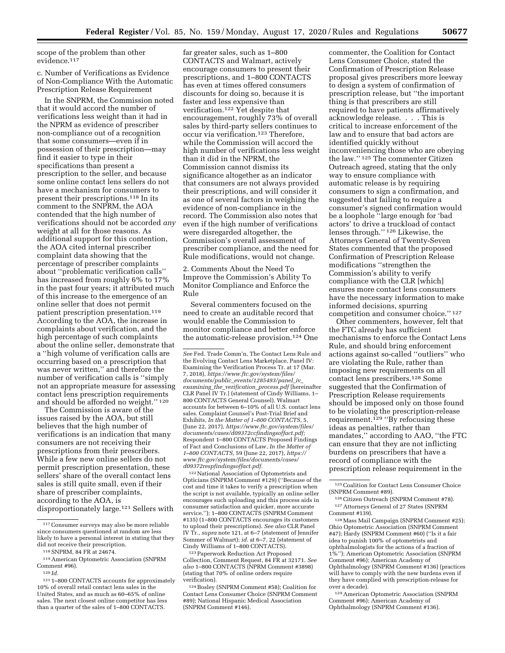scope of the problem than other evidence.117

c. Number of Verifications as Evidence of Non-Compliance With the Automatic Prescription Release Requirement

In the SNPRM, the Commission noted that it would accord the number of verifications less weight than it had in the NPRM as evidence of prescriber non-compliance out of a recognition that some consumers—even if in possession of their prescription—may find it easier to type in their specifications than present a prescription to the seller, and because some online contact lens sellers do not have a mechanism for consumers to present their prescriptions.118 In its comment to the SNPRM, the AOA contended that the high number of verifications should not be accorded *any*  weight at all for those reasons. As additional support for this contention, the AOA cited internal prescriber complaint data showing that the percentage of prescriber complaints about ''problematic verification calls'' has increased from roughly 6% to 17% in the past four years; it attributed much of this increase to the emergence of an online seller that does not permit patient prescription presentation.119 According to the AOA, the increase in complaints about verification, and the high percentage of such complaints about the online seller, demonstrate that a ''high volume of verification calls are occurring based on a prescription that was never written,'' and therefore the number of verification calls is ''simply not an appropriate measure for assessing contact lens prescription requirements and should be afforded no weight.'' 120

The Commission is aware of the issues raised by the AOA, but still believes that the high number of verifications is an indication that many consumers are not receiving their prescriptions from their prescribers. While a few new online sellers do not permit prescription presentation, these sellers' share of the overall contact lens sales is still quite small, even if their share of prescriber complaints, according to the AOA, is disproportionately large.121 Sellers with far greater sales, such as 1–800 CONTACTS and Walmart, actively encourage consumers to present their prescriptions, and 1–800 CONTACTS has even at times offered consumers discounts for doing so, because it is faster and less expensive than verification.122 Yet despite that encouragement, roughly 73% of overall sales by third-party sellers continues to occur via verification.<sup>123</sup> Therefore, while the Commission will accord the high number of verifications less weight than it did in the NPRM, the Commission cannot dismiss its significance altogether as an indicator that consumers are not always provided their prescriptions, and will consider it as one of several factors in weighing the evidence of non-compliance in the record. The Commission also notes that even if the high number of verifications were disregarded altogether, the Commission's overall assessment of prescriber compliance, and the need for Rule modifications, would not change.

2. Comments About the Need To Improve the Commission's Ability To Monitor Compliance and Enforce the Rule

Several commenters focused on the need to create an auditable record that would enable the Commission to monitor compliance and better enforce the automatic-release provision.124 One

122National Association of Optometrists and Opticians (SNPRM Comment #129) (''Because of the cost and time it takes to verify a prescription when the script is not available, typically an online seller encourages such uploading and this process aids in consumer satisfaction and quicker, more accurate service.''); 1–800 CONTACTS (SNPRM Comment #135) (1–800 CONTACTS encourages its customers to upload their prescriptions). *See also* CLR Panel IV Tr., *supra* note 121, at 6–7 (statement of Jennifer Sommer of Walmart); *id.* at 6–7, 22 (statement of Cindy Williams of 1–800 CONTACTS).

123Paperwork Reduction Act Proposed Collection, Comment Request, 84 FR at 32171. *See also* 1–800 CONTACTS (NPRM Comment #3898) (stating that 70% of online orders require verification).

124Bosley (SNPRM Comment #58); Coalition for Contact Lens Consumer Choice (SNPRM Comment #89); National Hispanic Medical Association (SNPRM Comment #146).

commenter, the Coalition for Contact Lens Consumer Choice, stated the Confirmation of Prescription Release proposal gives prescribers more leeway to design a system of confirmation of prescription release, but ''the important thing is that prescribers are still required to have patients affirmatively acknowledge release. . . . This is critical to increase enforcement of the law and to ensure that bad actors are identified quickly without inconveniencing those who are obeying the law.'' 125 The commenter Citizen Outreach agreed, stating that the only way to ensure compliance with automatic release is by requiring consumers to sign a confirmation, and suggested that failing to require a consumer's signed confirmation would be a loophole ''large enough for 'bad actors' to drive a truckload of contact lenses through.'' 126 Likewise, the Attorneys General of Twenty-Seven States commented that the proposed Confirmation of Prescription Release modifications ''strengthen the Commission's ability to verify compliance with the CLR [which] ensures more contact lens consumers have the necessary information to make informed decisions, spurring competition and consumer choice.'' 127

Other commenters, however, felt that the FTC already has sufficient mechanisms to enforce the Contact Lens Rule, and should bring enforcement actions against so-called ''outliers'' who are violating the Rule, rather than imposing new requirements on all contact lens prescribers.128 Some suggested that the Confirmation of Prescription Release requirements should be imposed only on those found to be violating the prescription-release requirement.<sup>129</sup> "By refocusing these ideas as penalties, rather than mandates,'' according to AAO, ''the FTC can ensure that they are not inflicting burdens on prescribers that have a record of compliance with the prescription release requirement in the

128Mass Mail Campaign (SNPRM Comment #25); Ohio Optometric Association (SNPRM Comment #47); Hardy (SNPRM Comment #60) (''Is it a fair idea to punish 100% of optometrists and ophthalmologists for the actions of a fraction of 1%''); American Optometric Association (SNPRM Comment #96); American Academy of Ophthalmology (SNPRM Comment #136) (practices will have to comply with the new burdens even if they have complied with prescription-release for over a decade).

129American Optometric Association (SNPRM Comment #96); American Academy of Ophthalmology (SNPRM Comment #136).

<sup>117</sup>Consumer surveys may also be more reliable since consumers questioned at random are less likely to have a personal interest in stating that they did not receive their prescription.

<sup>118</sup>SNPRM, 84 FR at 24674.

<sup>119</sup>American Optometric Association (SNPRM Comment #96).

<sup>120</sup> *Id.* 

<sup>121</sup> 1–800 CONTACTS accounts for approximately 10% of overall retail contact lens sales in the United States, and as much as 60–65% of online sales. The next closest online competitor has less than a quarter of the sales of 1–800 CONTACTS.

*See* Fed. Trade Comm'n, The Contact Lens Rule and the Evolving Contact Lens Marketplace, Panel IV: Examining the Verification Process Tr. at 17 (Mar. 7, 2018), *[https://www.ftc.gov/system/files/](https://www.ftc.gov/system/files/documents/public_events/1285493/panel_iv_examining_the_verification_process.pdf)  documents/public*\_*[events/1285493/panel](https://www.ftc.gov/system/files/documents/public_events/1285493/panel_iv_examining_the_verification_process.pdf)*\_*iv*\_ *examining*\_*the*\_*[verification](https://www.ftc.gov/system/files/documents/public_events/1285493/panel_iv_examining_the_verification_process.pdf)*\_*process.pdf* [hereinafter CLR Panel IV Tr.] (statement of Cindy Williams, 1– 800 CONTACTS General Counsel). Walmart accounts for between 6–10% of all U.S. contact lens sales. Complaint Counsel's Post-Trial Brief and Exhibits, *In the Matter of 1–800 CONTACTS,* 5, (June 22, 2017), *[https://www.ftc.gov/system/files/](https://www.ftc.gov/system/files/documents/cases/d09372ccfindingsoffact.pdf) [documents/cases/d09372ccfindingsoffact.pdf;](https://www.ftc.gov/system/files/documents/cases/d09372ccfindingsoffact.pdf)*  Respondent 1–800 CONTACTS Proposed Findings of Fact and Conclusions of Law, *In the Matter of 1–800 CONTACTS,* 59 (June 22, 2017), *[https://](https://www.ftc.gov/system/files/documents/cases/d09372respfindingsoffact.pdf) [www.ftc.gov/system/files/documents/cases/](https://www.ftc.gov/system/files/documents/cases/d09372respfindingsoffact.pdf) [d09372respfindingsoffact.pdf.](https://www.ftc.gov/system/files/documents/cases/d09372respfindingsoffact.pdf)* 

<sup>125</sup>Coalition for Contact Lens Consumer Choice (SNPRM Comment #89).

<sup>126</sup> Citizen Outreach (SNPRM Comment #78). 127Attorneys General of 27 States (SNPRM Comment #139).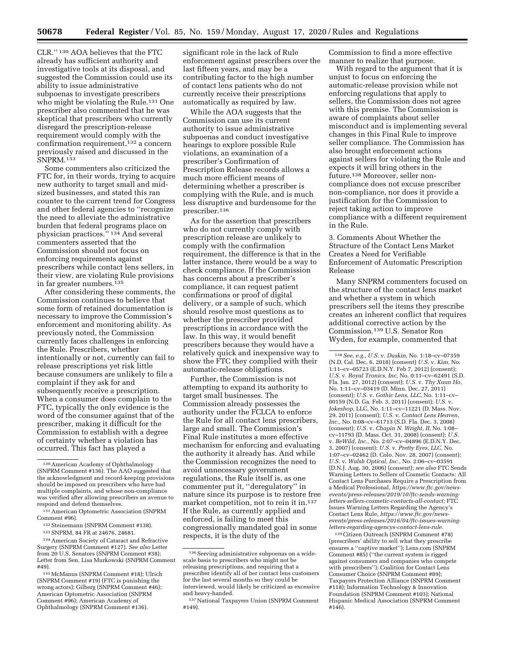CLR.'' 130 AOA believes that the FTC already has sufficient authority and investigative tools at its disposal, and suggested the Commission could use its ability to issue administrative subpoenas to investigate prescribers who might be violating the Rule.131 One prescriber also commented that he was skeptical that prescribers who currently disregard the prescription-release requirement would comply with the confirmation requirement,132 a concern previously raised and discussed in the SNPRM.133

Some commenters also criticized the FTC for, in their words, trying to acquire new authority to target small and midsized businesses, and stated this ran counter to the current trend for Congress and other federal agencies to ''recognize the need to alleviate the administrative burden that federal programs place on physician practices.'' 134 And several commenters asserted that the Commission should not focus on enforcing requirements against prescribers while contact lens sellers, in their view, are violating Rule provisions in far greater numbers.135

After considering these comments, the Commission continues to believe that some form of retained documentation is necessary to improve the Commission's enforcement and monitoring ability. As previously noted, the Commission currently faces challenges in enforcing the Rule. Prescribers, whether intentionally or not, currently can fail to release prescriptions yet risk little because consumers are unlikely to file a complaint if they ask for and subsequently receive a prescription. When a consumer does complain to the FTC, typically the only evidence is the word of the consumer against that of the prescriber, making it difficult for the Commission to establish with a degree of certainty whether a violation has occurred. This fact has played a

significant role in the lack of Rule enforcement against prescribers over the last fifteen years, and may be a contributing factor to the high number of contact lens patients who do not currently receive their prescriptions automatically as required by law.

While the AOA suggests that the Commission can use its current authority to issue administrative subpoenas and conduct investigative hearings to explore possible Rule violations, an examination of a prescriber's Confirmation of Prescription Release records allows a much more efficient means of determining whether a prescriber is complying with the Rule, and is much less disruptive and burdensome for the prescriber.136

As for the assertion that prescribers who do not currently comply with prescription release are unlikely to comply with the confirmation requirement, the difference is that in the latter instance, there would be a way to check compliance. If the Commission has concerns about a prescriber's compliance, it can request patient confirmations or proof of digital delivery, or a sample of such, which should resolve most questions as to whether the prescriber provided prescriptions in accordance with the law. In this way, it would benefit prescribers because they would have a relatively quick and inexpensive way to show the FTC they complied with their automatic-release obligations.

Further, the Commission is not attempting to expand its authority to target small businesses. The Commission already possesses the authority under the FCLCA to enforce the Rule for all contact lens prescribers, large and small. The Commission's Final Rule institutes a more effective mechanism for enforcing and evaluating the authority it already has. And while the Commission recognizes the need to avoid unnecessary government regulations, the Rule itself is, as one commenter put it, ''deregulatory'' in nature since its purpose is to restore free market competition, not to rein it in.137 If the Rule, as currently applied and enforced, is failing to meet this congressionally mandated goal in some respects, it is the duty of the

Commission to find a more effective manner to realize that purpose.

With regard to the argument that it is unjust to focus on enforcing the automatic-release provision while not enforcing regulations that apply to sellers, the Commission does not agree with this premise. The Commission is aware of complaints about seller misconduct and is implementing several changes in this Final Rule to improve seller compliance. The Commission has also brought enforcement actions against sellers for violating the Rule and expects it will bring others in the future.138 Moreover, seller noncompliance does not excuse prescriber non-compliance, nor does it provide a justification for the Commission to reject taking action to improve compliance with a different requirement in the Rule.

3. Comments About Whether the Structure of the Contact Lens Market Creates a Need for Verifiable Enforcement of Automatic Prescription Release

Many SNPRM commenters focused on the structure of the contact lens market and whether a system in which prescribers sell the items they prescribe creates an inherent conflict that requires additional corrective action by the Commission.139 U.S. Senator Ron Wyden, for example, commented that

139Citizen Outreach (SNPRM Comment #78) (prescribers' ability to sell what they prescribe ensures a ''captive market''); Lens.com (SNPRM Comment #85) (''the current system is rigged against consumers and companies who compete with prescribers''); Coalition for Contact Lens Consumer Choice (SNPRM Comment #89); Taxpayers Protection Alliance (SNPRM Comment #118); Information Technology & Innovation Foundation (SNPRM Comment #103); National Hispanic Medical Association (SNPRM Comment #146).

<sup>130</sup>American Academy of Ophthalmology (SNPRM Comment #136). The AAO suggested that the acknowledgment and record-keeping provisions should be imposed on prescribers who have had multiple complaints, and whose non-compliance was verified after allowing prescribers an avenue to respond and defend themselves.

<sup>131</sup>American Optometric Association (SNPRM Comment #96).

<sup>132</sup>Steinemann (SNPRM Comment #138). 133SNPRM, 84 FR at 24676, 24681.

<sup>134</sup>American Society of Cataract and Refractive Surgery (SNPRM Comment #127). *See also* Letter from 20 U.S. Senators (SNPRM Comment #38); Letter from Sen. Lisa Murkowski (SNPRM Comment #49).

<sup>135</sup>McManus (SNPRM Comment #18); Ulrich (SNPRM Comment #19) (FTC is punishing the wrong actors); Gilberg (SNPRM Comment #46); American Optometric Association (SNPRM Comment #96); American Academy of Ophthalmology (SNPRM Comment #136).

 $^{136}\!\operatorname{Serving}$  administrative subpoenas on a widescale basis to prescribers who might not be releasing prescriptions, and requiring that a prescriber identify all of her contact lens customers for the last several months so they could be interviewed, would likely be criticized as excessive and heavy-handed.

<sup>137</sup>National Taxpayers Union (SNPRM Comment #149).

<sup>138</sup>*See, e.g., U.S.* v. *Duskin,* No. 1:18–cv–07359 (N.D. Cal. Dec. 6, 2018) (consent) *U.S.* v. *Kim,* No. 1:11–cv–05723 (E.D.N.Y. Feb 7, 2012) (consent); *U.S.* v. *Royal Tronics, Inc,* No. 0:11–cv–62491 (S.D. Fla. Jan. 27, 2012) (consent); *U.S.* v. *Thy Xuan Ho,*  No. 1:11–cv–03419 (D. Minn. Dec. 27, 2011) (consent); *U.S.* v. *Gothic Lens, LLC,* No. 1:11–cv– 00159 (N.D. Ga. Feb. 3, 2011) (consent); *U.S.* v. *Jokeshop,* LLC, No. 1:11–cv–11221 (D. Mass. Nov. 29, 2011) (consent); *U.S.* v. *Contact Lens Heaven, Inc.,* No. 0:08–cv–61713 (S.D. Fla. Dec. 3, 2008) (consent); *U.S.* v. *Chapin N. Wright, II,* No. 1:08– cv–11793 (D. Mass. Oct. 31, 2008) (consent); *U.S.*  v. *BeWild, Inc.,* No. 2:07–cv–04896 (E.D.N.Y. Dec. 3, 2007) (consent); *U.S.* v. *Pretty Eyes, LLC,* No. 1:07–cv–02462 (D. Colo. Nov. 28, 2007) (consent); *U.S.* v. *Walsh Optical, Inc.,* No. 2:06–cv–03591 (D.N.J. Aug. 30, 2006) (consent); *see also* FTC Sends Warning Letters to Sellers of Cosmetic Contacts: All Contact Lens Purchases Require a Prescription from a Medical Professional, *[https://www.ftc.gov/news](https://www.ftc.gov/news-events/press-releases/2019/10/ftc-sends-warning-letters-sellers-cosmetic-contacts-all-contact)[events/press-releases/2019/10/ftc-sends-warning](https://www.ftc.gov/news-events/press-releases/2019/10/ftc-sends-warning-letters-sellers-cosmetic-contacts-all-contact)[letters-sellers-cosmetic-contacts-all-contact;](https://www.ftc.gov/news-events/press-releases/2019/10/ftc-sends-warning-letters-sellers-cosmetic-contacts-all-contact)* FTC Issues Warning Letters Regarding the Agency's Contact Lens Rule, *[https://www.ftc.gov/news](https://www.ftc.gov/news-events/press-releases/2016/04/ftc-issues-warning-letters-regarding-agencys-contact-lens-rule)[events/press-releases/2016/04/ftc-issues-warning](https://www.ftc.gov/news-events/press-releases/2016/04/ftc-issues-warning-letters-regarding-agencys-contact-lens-rule)[letters-regarding-agencys-contact-lens-rule.](https://www.ftc.gov/news-events/press-releases/2016/04/ftc-issues-warning-letters-regarding-agencys-contact-lens-rule)*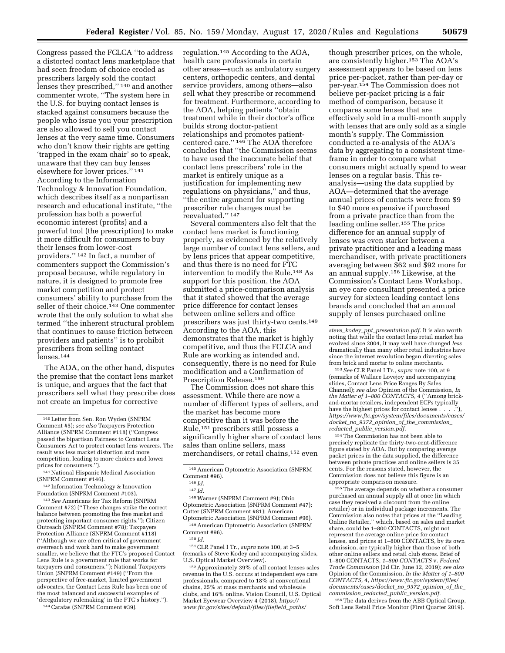Congress passed the FCLCA ''to address a distorted contact lens marketplace that had seen freedom of choice eroded as prescribers largely sold the contact lenses they prescribed,"<sup>140</sup> and another commenter wrote, ''The system here in the U.S. for buying contact lenses is stacked against consumers because the people who issue you your prescription are also allowed to sell you contact lenses at the very same time. Consumers who don't know their rights are getting 'trapped in the exam chair' so to speak, unaware that they can buy lenses elsewhere for lower prices.'' 141 According to the Information Technology & Innovation Foundation, which describes itself as a nonpartisan research and educational institute, ''the profession has both a powerful economic interest (profits) and a powerful tool (the prescription) to make it more difficult for consumers to buy their lenses from lower-cost providers.'' 142 In fact, a number of commenters support the Commission's proposal because, while regulatory in nature, it is designed to promote free market competition and protect consumers' ability to purchase from the seller of their choice.<sup>143</sup> One commenter wrote that the only solution to what she termed ''the inherent structural problem that continues to cause friction between providers and patients'' is to prohibit prescribers from selling contact lenses.144

The AOA, on the other hand, disputes the premise that the contact lens market is unique, and argues that the fact that prescribers sell what they prescribe does not create an impetus for corrective

141National Hispanic Medical Association (SNPRM Comment #146).

142 Information Technology & Innovation Foundation (SNPRM Comment #103).

143*See* Americans for Tax Reform (SNPRM Comment #72) (''These changes strike the correct balance between promoting the free market and protecting important consumer rights.''); Citizen Outreach (SNPRM Comment #78); Taxpayers Protection Alliance (SNPRM Comment #118) (''Although we are often critical of government overreach and work hard to make government smaller, we believe that the FTC's proposed Contact Lens Rule is a government rule that works for taxpayers and consumers.''); National Taxpayers Union (SNPRM Comment #149) (''From the perspective of free-market, limited government advocates, the Contact Lens Rule has been one of the most balanced and successful examples of 'deregulatory rulemaking' in the FTC's history.'').

144Carafas (SNPRM Comment #39).

regulation.145 According to the AOA, health care professionals in certain other areas—such as ambulatory surgery centers, orthopedic centers, and dental service providers, among others—also sell what they prescribe or recommend for treatment. Furthermore, according to the AOA, helping patients ''obtain treatment while in their doctor's office builds strong doctor-patient relationships and promotes patientcentered care.'' 146 The AOA therefore concludes that ''the Commission seems to have used the inaccurate belief that contact lens prescribers' role in the market is entirely unique as a justification for implementing new regulations on physicians,'' and thus, ''the entire argument for supporting prescriber rule changes must be reevaluated."<sup>147</sup>

Several commenters also felt that the contact lens market is functioning properly, as evidenced by the relatively large number of contact lens sellers, and by lens prices that appear competitive, and thus there is no need for FTC intervention to modify the Rule.148 As support for this position, the AOA submitted a price-comparison analysis that it stated showed that the average price difference for contact lenses between online sellers and office prescribers was just thirty-two cents.149 According to the AOA, this demonstrates that the market is highly competitive, and thus the FCLCA and Rule are working as intended and, consequently, there is no need for Rule modification and a Confirmation of Prescription Release.150

The Commission does not share this assessment. While there are now a number of different types of sellers, and the market has become more competitive than it was before the Rule,151 prescribers still possess a significantly higher share of contact lens sales than online sellers, mass merchandisers, or retail chains,152 even

148Warner (SNPRM Comment #9); Ohio Optometric Association (SNPRM Comment #47); Cutter (SNPRM Comment #81); American Optometric Association (SNPRM Comment #96).

149American Optometric Association (SNPRM Comment #96).

151CLR Panel I Tr., *supra* note 100, at 3–5 (remarks of Steve Kodey and accompanying slides, U.S. Optical Market Overview).

152Approximately 39% of all contact lenses sales revenue in the U.S. occurs at independent eye care professionals, compared to 18% at conventional chains, 25% at mass merchants and wholesale clubs, and 16% online. Vision Council, U.S. Optical Market Eyewear Overview 4 (2018), *[https://](https://www.ftc.gov/sites/default/files/filefield_paths/steve_kodey_ppt_presentation.pdf) [www.ftc.gov/sites/default/files/filefield](https://www.ftc.gov/sites/default/files/filefield_paths/steve_kodey_ppt_presentation.pdf)*\_*paths/* 

though prescriber prices, on the whole, are consistently higher.153 The AOA's assessment appears to be based on lens price per-packet, rather than per-day or per-year.154 The Commission does not believe per-packet pricing is a fair method of comparison, because it compares some lenses that are effectively sold in a multi-month supply with lenses that are only sold as a single month's supply. The Commission conducted a re-analysis of the AOA's data by aggregating to a consistent timeframe in order to compare what consumers might actually spend to wear lenses on a regular basis. This reanalysis—using the data supplied by AOA—determined that the average annual prices of contacts were from \$9 to \$40 more expensive if purchased from a private practice than from the leading online seller.155 The price difference for an annual supply of lenses was even starker between a private practitioner and a leading mass merchandiser, with private practitioners averaging between \$62 and \$92 more for an annual supply.156 Likewise, at the Commission's Contact Lens Workshop, an eye care consultant presented a price survey for sixteen leading contact lens brands and concluded that an annual supply of lenses purchased online

*steve*\_*kodey*\_*ppt*\_*[presentation.pdf.](https://www.ftc.gov/sites/default/files/filefield_paths/steve_kodey_ppt_presentation.pdf)* It is also worth noting that while the contact lens retail market has evolved since 2004, it may well have changed *less*  dramatically than many other retail industries have since the internet revolution began diverting sales from brick and mortar to online merchants.

153*See* CLR Panel I Tr., *supra* note 100, at 9 (remarks of Wallace Lovejoy and accompanying slides, Contact Lens Price Ranges By Sales Channel); *see also* Opinion of the Commission, *In the Matter of 1–800 CONTACTS,* 4 (''Among brickand-mortar retailers, independent ECPs typically have the highest prices for contact lenses . . . . *[https://www.ftc.gov/system/files/documents/cases/](https://www.ftc.gov/system/files/documents/cases/docket_no_9372_opinion_of_the_commission_redacted_public_version.pdf) docket*\_*no*\_*9372*\_*opinion*\_*of*\_*the*\_*[commission](https://www.ftc.gov/system/files/documents/cases/docket_no_9372_opinion_of_the_commission_redacted_public_version.pdf)*\_ *redacted*\_*public*\_*[version.pdf.](https://www.ftc.gov/system/files/documents/cases/docket_no_9372_opinion_of_the_commission_redacted_public_version.pdf)* 

154The Commission has not been able to precisely replicate the thirty-two-cent-difference figure stated by AOA. But by comparing average packet prices in the data supplied, the difference between private practices and online sellers is 35 cents. For the reasons stated, however, the Commission does not believe this figure is an appropriate comparison measure.

155The average depends on whether a consumer purchased an annual supply all at once (in which case they received a discount from the online retailer) or in individual package increments. The Commission also notes that prices at the ''Leading Online Retailer,'' which, based on sales and market share, could be 1–800 CONTACTS, might not represent the average online price for contact lenses, and prices at 1–800 CONTACTS, by its own admission, are typically higher than those of both other online sellers and retail club stores. Brief of 1–800 CONTACTS, *1–800 CONTACTS* v. *Federal Trade Commission* (2d Cir. June 12, 2019); *see also*  Opinion of the Commission, *In the Matter of 1–800 CONTACTS,* 4, *[https://www.ftc.gov/system/files/](https://www.ftc.gov/system/files/documents/cases/docket_no_9372_opinion_of_the_commission_redacted_public_version.pdf)  [documents/cases/docket](https://www.ftc.gov/system/files/documents/cases/docket_no_9372_opinion_of_the_commission_redacted_public_version.pdf)*\_*no*\_*9372*\_*opinion*\_*of*\_*the*\_ *[commission](https://www.ftc.gov/system/files/documents/cases/docket_no_9372_opinion_of_the_commission_redacted_public_version.pdf)*\_*redacted*\_*public*\_*version.pdf.* 

156The data derives from the ABB Optical Group, Soft Lens Retail Price Monitor (First Quarter 2019).

<sup>140</sup>Letter from Sen. Ron Wyden (SNPRM Comment #5); *see also* Taxpayers Protection Alliance (SNPRM Comment #118) (''Congress passed the bipartisan Fairness to Contact Lens Consumers Act to protect contact lens wearers. The result was less market distortion and more competition, leading to more choices and lower prices for consumers.'').

<sup>145</sup>American Optometric Association (SNPRM Comment #96).

<sup>146</sup> *Id.* 

<sup>147</sup> *Id.* 

<sup>150</sup> *Id.*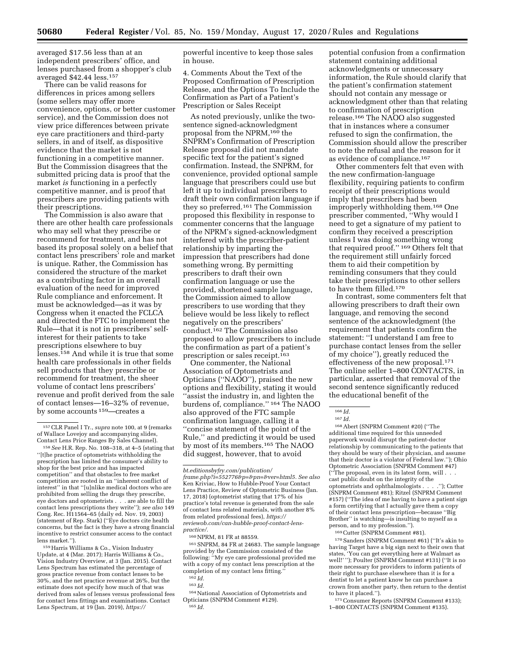averaged \$17.56 less than at an independent prescribers' office, and lenses purchased from a shopper's club averaged \$42.44 less.157

There can be valid reasons for differences in prices among sellers (some sellers may offer more convenience, options, or better customer service), and the Commission does not view price differences between private eye care practitioners and third-party sellers, in and of itself, as dispositive evidence that the market is not functioning in a competitive manner. But the Commission disagrees that the submitted pricing data is proof that the market *is* functioning in a perfectly competitive manner, and is proof that prescribers are providing patients with their prescriptions.

The Commission is also aware that there are other health care professionals who may sell what they prescribe or recommend for treatment, and has not based its proposal solely on a belief that contact lens prescribers' role and market is unique. Rather, the Commission has considered the structure of the market as a contributing factor in an overall evaluation of the need for improved Rule compliance and enforcement. It must be acknowledged—as it was by Congress when it enacted the FCLCA and directed the FTC to implement the Rule—that it is not in prescribers' selfinterest for their patients to take prescriptions elsewhere to buy lenses.158 And while it is true that some health care professionals in other fields sell products that they prescribe or recommend for treatment, the sheer volume of contact lens prescribers' revenue and profit derived from the sale of contact lenses—16–32% of revenue, by some accounts 159—creates a

159Harris Williams & Co., Vision Industry Update, at 4 (Mar. 2017); Harris Williams & Co., Vision Industry Overview, at 3 (Jan. 2015). Contact Lens Spectrum has estimated the percentage of gross practice revenue from contact lenses to be 30%, and the net practice revenue at 26%, but the estimate does not specify how much of that was derived from sales of lenses versus professional fees for contact lens fittings and examinations. Contact Lens Spectrum, at 19 (Jan. 2019), *[https://](https://bt.editionsbyfry.com/publication/frame.php?i=552776&p=&pn=&ver=html5)*

powerful incentive to keep those sales in house.

4. Comments About the Text of the Proposed Confirmation of Prescription Release, and the Options To Include the Confirmation as Part of a Patient's Prescription or Sales Receipt

As noted previously, unlike the twosentence signed-acknowledgment proposal from the NPRM,<sup>160</sup> the SNPRM's Confirmation of Prescription Release proposal did not mandate specific text for the patient's signed confirmation. Instead, the SNPRM, for convenience, provided optional sample language that prescribers could use but left it up to individual prescribers to draft their own confirmation language if they so preferred.161 The Commission proposed this flexibility in response to commenter concerns that the language of the NPRM's signed-acknowledgment interfered with the prescriber-patient relationship by imparting the impression that prescribers had done something wrong. By permitting prescribers to draft their own confirmation language or use the provided, shortened sample language, the Commission aimed to allow prescribers to use wording that they believe would be less likely to reflect negatively on the prescribers' conduct.162 The Commission also proposed to allow prescribers to include the confirmation as part of a patient's prescription or sales receipt.163

One commenter, the National Association of Optometrists and Opticians (''NAOO''), praised the new options and flexibility, stating it would ''assist the industry in, and lighten the burdens of, compliance.'' 164 The NAOO also approved of the FTC sample confirmation language, calling it a ''concise statement of the point of the Rule,'' and predicting it would be used by most of its members.165 The NAOO did suggest, however, that to avoid

160NPRM, 81 FR at 88559.

161SNPRM, 84 FR at 24683. The sample language provided by the Commission consisted of the following: ''My eye care professional provided me with a copy of my contact lens prescription at the completion of my contact lens fitting.''  $162$  *Id.* 

163 *Id.* 

164National Association of Optometrists and Opticians (SNPRM Comment #129). 165 *Id.* 

Other commenters felt that even with the new confirmation-language flexibility, requiring patients to confirm receipt of their prescriptions would imply that prescribers had been improperly withholding them.168 One prescriber commented, ''Why would I need to get a signature of my patient to confirm they received a prescription unless I was doing something wrong that required proof.'' 169 Others felt that the requirement still unfairly forced them to aid their competition by reminding consumers that they could take their prescriptions to other sellers to have them filled.170

In contrast, some commenters felt that allowing prescribers to draft their own language, and removing the second sentence of the acknowledgment (the requirement that patients confirm the statement: ''I understand I am free to purchase contact lenses from the seller of my choice''), greatly reduced the effectiveness of the new proposal.171 The online seller 1–800 CONTACTS, in particular, asserted that removal of the second sentence significantly reduced the educational benefit of the

168Abert (SNPRM Comment #20) (''The additional time required for this unneeded paperwork would disrupt the patient-doctor relationship by communicating to the patients that they should be wary of their physician, and assume that their doctor is a violator of Federal law.''); Ohio Optometric Association (SNPRM Comment #47) (''The proposal, even in its latest form, will . . . cast public doubt on the integrity of the optometrists and ophthalmologists . (SNPRM Comment #81); Ritzel (SNPRM Comment #157) (''The idea of me having to have a patient sign a form certifying that I actually gave them a copy of their contact lens prescription—because ''Big Brother'' is watching—is insulting to myself as a person, and to my profession.'').

169Cutter (SNPRM Comment #81).

170Sanders (SNPRM Comment #61) (''It's akin to having Target have a big sign next to their own that states, 'You can get everything here at Walmart as well!' ''); Poulter (SNPRM Comment #131) (''It is no more necessary for providers to inform patients of their right to purchase elsewhere than it is for a dentist to let a patient know he can purchase a crown from another party, then return to the dentist to have it placed.'').

171Consumer Reports (SNPRM Comment #133); 1–800 CONTACTS (SNPRM Comment #135).

<sup>157</sup>CLR Panel I Tr., *supra* note 100, at 9 (remarks of Wallace Lovejoy and accompanying slides, Contact Lens Price Ranges By Sales Channel).

<sup>158</sup>*See* H.R. Rep. No. 108–318, at 4–5 (stating that ''[t]he practice of optometrists withholding the prescription has limited the consumer's ability to shop for the best price and has impacted competition'' and that obstacles to free market competition are rooted in an ''inherent conflict of interest'' in that ''[u]nlike medical doctors who are prohibited from selling the drugs they prescribe, eye doctors and optometrists . . . are able to fill the contact lens prescriptions they write''); *see also* 149 Cong. Rec. H11564–65 (daily ed. Nov. 19, 2003) (statement of Rep. Stark) (''Eye doctors cite health concerns, but the fact is they have a strong financial incentive to restrict consumer access to the contact lens market.'').

*[bt.editionsbyfry.com/publication/](https://bt.editionsbyfry.com/publication/frame.php?i=552776&p=&pn=&ver=html5) [frame.php?i=552776&p=&pn=&ver=html5.](https://bt.editionsbyfry.com/publication/frame.php?i=552776&p=&pn=&ver=html5) See also*  Ken Kriviac, How to Hubble-Proof Your Contact Lens Practice, Review of Optometric Business (Jan. 17, 2018) (optometrist stating that 17% of his practice's total revenue is generated from the sale of contact lens related materials, with another 8% from related professional fees), *[https://](https://reviewob.com/can-hubble-proof-contact-lens-practice/) [reviewob.com/can-hubble-proof-contact-lens](https://reviewob.com/can-hubble-proof-contact-lens-practice/)[practice/.](https://reviewob.com/can-hubble-proof-contact-lens-practice/)* 

potential confusion from a confirmation statement containing additional acknowledgments or unnecessary information, the Rule should clarify that the patient's confirmation statement should not contain any message or acknowledgment other than that relating to confirmation of prescription release.166 The NAOO also suggested that in instances where a consumer refused to sign the confirmation, the Commission should allow the prescriber to note the refusal and the reason for it as evidence of compliance.167

<sup>166</sup> *Id.* 

<sup>167</sup> *Id.*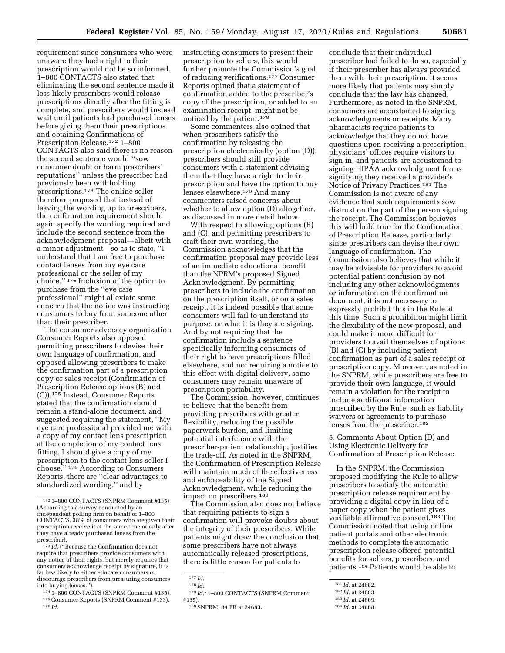conclude that their individual

requirement since consumers who were unaware they had a right to their prescription would not be so informed. 1–800 CONTACTS also stated that eliminating the second sentence made it less likely prescribers would release prescriptions directly after the fitting is complete, and prescribers would instead wait until patients had purchased lenses before giving them their prescriptions and obtaining Confirmations of Prescription Release.<sup>172</sup> 1-800 CONTACTS also said there is no reason the second sentence would ''sow consumer doubt or harm prescribers' reputations'' unless the prescriber had previously been withholding prescriptions.173 The online seller therefore proposed that instead of leaving the wording up to prescribers, the confirmation requirement should again specify the wording required and include the second sentence from the acknowledgment proposal—albeit with a minor adjustment—so as to state, ''I understand that I am free to purchase contact lenses from my eye care professional or the seller of my choice.'' 174 Inclusion of the option to purchase from the ''eye care professional'' might alleviate some concern that the notice was instructing consumers to buy from someone other than their prescriber.

The consumer advocacy organization Consumer Reports also opposed permitting prescribers to devise their own language of confirmation, and opposed allowing prescribers to make the confirmation part of a prescription copy or sales receipt (Confirmation of Prescription Release options (B) and (C)).175 Instead, Consumer Reports stated that the confirmation should remain a stand-alone document, and suggested requiring the statement, ''My eye care professional provided me with a copy of my contact lens prescription at the completion of my contact lens fitting. I should give a copy of my prescription to the contact lens seller I choose.'' 176 According to Consumers Reports, there are ''clear advantages to standardized wording,'' and by

 $^{173}\,Id.$  ("Because the Confirmation does not require that prescribers provide consumers with any notice of their rights, but merely requires that consumers acknowledge receipt by signature, it is far less likely to either educate consumers or discourage prescribers from pressuring consumers instructing consumers to present their prescription to sellers, this would further promote the Commission's goal of reducing verifications.177 Consumer Reports opined that a statement of confirmation added to the prescriber's copy of the prescription, or added to an examination receipt, might not be noticed by the patient.178

Some commenters also opined that when prescribers satisfy the confirmation by releasing the prescription electronically (option (D)), prescribers should still provide consumers with a statement advising them that they have a right to their prescription and have the option to buy lenses elsewhere.179 And many commenters raised concerns about whether to allow option (D) altogether, as discussed in more detail below.

With respect to allowing options (B) and (C), and permitting prescribers to craft their own wording, the Commission acknowledges that the confirmation proposal may provide less of an immediate educational benefit than the NPRM's proposed Signed Acknowledgment. By permitting prescribers to include the confirmation on the prescription itself, or on a sales receipt, it is indeed possible that some consumers will fail to understand its purpose, or what it is they are signing. And by not requiring that the confirmation include a sentence specifically informing consumers of their right to have prescriptions filled elsewhere, and not requiring a notice to this effect with digital delivery, some consumers may remain unaware of prescription portability.

The Commission, however, continues to believe that the benefit from providing prescribers with greater flexibility, reducing the possible paperwork burden, and limiting potential interference with the prescriber-patient relationship, justifies the trade-off. As noted in the SNPRM, the Confirmation of Prescription Release will maintain much of the effectiveness and enforceability of the Signed Acknowledgment, while reducing the impact on prescribers.180

The Commission also does not believe that requiring patients to sign a confirmation will provoke doubts about the integrity of their prescribers. While patients might draw the conclusion that some prescribers have not always automatically released prescriptions, there is little reason for patients to

prescriber had failed to do so, especially if their prescriber has always provided them with their prescription. It seems more likely that patients may simply conclude that the law has changed. Furthermore, as noted in the SNPRM, consumers are accustomed to signing acknowledgments or receipts. Many pharmacists require patients to acknowledge that they do not have questions upon receiving a prescription; physicians' offices require visitors to sign in; and patients are accustomed to signing HIPAA acknowledgment forms signifying they received a provider's Notice of Privacy Practices.181 The Commission is not aware of any evidence that such requirements sow distrust on the part of the person signing the receipt. The Commission believes this will hold true for the Confirmation of Prescription Release, particularly since prescribers can devise their own language of confirmation. The Commission also believes that while it may be advisable for providers to avoid potential patient confusion by not including any other acknowledgments or information on the confirmation document, it is not necessary to expressly prohibit this in the Rule at this time. Such a prohibition might limit the flexibility of the new proposal, and could make it more difficult for providers to avail themselves of options (B) and (C) by including patient confirmation as part of a sales receipt or prescription copy. Moreover, as noted in the SNPRM, while prescribers are free to provide their own language, it would remain a violation for the receipt to include additional information proscribed by the Rule, such as liability waivers or agreements to purchase lenses from the prescriber.182

5. Comments About Option (D) and Using Electronic Delivery for Confirmation of Prescription Release

In the SNPRM, the Commission proposed modifying the Rule to allow prescribers to satisfy the automatic prescription release requirement by providing a digital copy in lieu of a paper copy when the patient gives verifiable affirmative consent.183 The Commission noted that using online patient portals and other electronic methods to complete the automatic prescription release offered potential benefits for sellers, prescribers, and patients.184 Patients would be able to

<sup>172</sup> 1–800 CONTACTS (SNPRM Comment #135) (According to a survey conducted by an independent polling firm on behalf of 1–800 CONTACTS, 38% of consumers who are given their prescription receive it at the same time or only after they have already purchased lenses from the prescriber).

<sup>&</sup>lt;sup>174</sup> 1–800 CONTACTS (SNPRM Comment #135). <sup>175</sup> Consumer Reports (SNPRM Comment #133). <sup>176</sup> *Id.* 

<sup>177</sup> *Id.* 

<sup>178</sup> *Id.* 

<sup>179</sup> *Id.;* 1–800 CONTACTS (SNPRM Comment #135).

<sup>180</sup>SNPRM, 84 FR at 24683.

<sup>181</sup> *Id.* at 24682.

<sup>182</sup> *Id.* at 24683.

<sup>183</sup> *Id.* at 24669.

<sup>184</sup> *Id.* at 24668.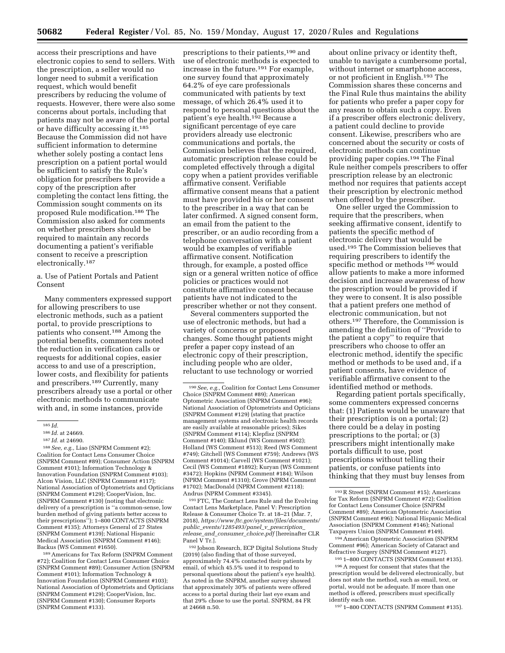access their prescriptions and have electronic copies to send to sellers. With the prescription, a seller would no longer need to submit a verification request, which would benefit prescribers by reducing the volume of requests. However, there were also some concerns about portals, including that patients may not be aware of the portal or have difficulty accessing it.185 Because the Commission did not have sufficient information to determine whether solely posting a contact lens prescription on a patient portal would be sufficient to satisfy the Rule's obligation for prescribers to provide a copy of the prescription after completing the contact lens fitting, the Commission sought comments on its proposed Rule modification.186 The Commission also asked for comments on whether prescribers should be required to maintain any records documenting a patient's verifiable consent to receive a prescription electronically.187

a. Use of Patient Portals and Patient Consent

Many commenters expressed support for allowing prescribers to use electronic methods, such as a patient portal, to provide prescriptions to patients who consent.188 Among the potential benefits, commenters noted the reduction in verification calls or requests for additional copies, easier access to and use of a prescription, lower costs, and flexibility for patients and prescribers.189 Currently, many prescribers already use a portal or other electronic methods to communicate with and, in some instances, provide

188*See, e.g.,* Liao (SNPRM Comment #2); Coalition for Contact Lens Consumer Choice (SNPRM Comment #89); Consumer Action (SNPRM Comment #101); Information Technology & Innovation Foundation (SNPRM Comment #103); Alcon Vision, LLC (SNPRM Comment #117); National Association of Optometrists and Opticians (SNPRM Comment #129); CooperVision, Inc. (SNPRM Comment #130) (noting that electronic delivery of a prescription is ''a common-sense, low burden method of giving patients better access to their prescriptions''); 1–800 CONTACTS (SNPRM Comment #135); Attorneys General of 27 States (SNPRM Comment #139); National Hispanic Medical Association (SNPRM Comment #146); Backus (WS Comment #1650).

189Americans for Tax Reform (SNPRM Comment #72); Coalition for Contact Lens Consumer Choice (SNPRM Comment #89); Consumer Action (SNPRM Comment #101); Information Technology & Innovation Foundation (SNPRM Comment #103); National Association of Optometrists and Opticians (SNPRM Comment #129); CooperVision, Inc. (SNPRM Comment #130); Consumer Reports (SNPRM Comment #133).

prescriptions to their patients,190 and use of electronic methods is expected to increase in the future.191 For example, one survey found that approximately 64.2% of eye care professionals communicated with patients by text message, of which 26.4% used it to respond to personal questions about the patient's eye health.192 Because a significant percentage of eye care providers already use electronic communications and portals, the Commission believes that the required, automatic prescription release could be completed effectively through a digital copy when a patient provides verifiable affirmative consent. Verifiable affirmative consent means that a patient must have provided his or her consent to the prescriber in a way that can be later confirmed. A signed consent form, an email from the patient to the prescriber, or an audio recording from a telephone conversation with a patient would be examples of verifiable affirmative consent. Notification through, for example, a posted office sign or a general written notice of office policies or practices would not constitute affirmative consent because patients have not indicated to the prescriber whether or not they consent.

Several commenters supported the use of electronic methods, but had a variety of concerns or proposed changes. Some thought patients might prefer a paper copy instead of an electronic copy of their prescription, including people who are older, reluctant to use technology or worried

191FTC, The Contact Lens Rule and the Evolving Contact Lens Marketplace, Panel V: Prescription Release & Consumer Choice Tr. at 18–21 (Mar. 7, 2018), *[https://www.ftc.gov/system/files/documents/](https://www.ftc.gov/system/files/documents/public_events/1285493/panel_v_prescription_release_and_consumer_choice.pdf) public*\_*[events/1285493/panel](https://www.ftc.gov/system/files/documents/public_events/1285493/panel_v_prescription_release_and_consumer_choice.pdf)*\_*v*\_*prescription*\_ *release*\_*and*\_*consumer*\_*[choice.pdf](https://www.ftc.gov/system/files/documents/public_events/1285493/panel_v_prescription_release_and_consumer_choice.pdf)* [hereinafter CLR Panel V<sub>Tr.</sub>].

192 Jobson Research, ECP Digital Solutions Study (2019) (also finding that of those surveyed, approximately 74.4% contacted their patients by email, of which 45.5% used it to respond to personal questions about the patient's eye health). As noted in the SNPRM, another survey showed that approximately 30% of patients were offered access to a portal during their last eye exam and that 29% chose to use the portal. SNPRM, 84 FR at 24668 n.50.

about online privacy or identity theft, unable to navigate a cumbersome portal, without internet or smartphone access, or not proficient in English.193 The Commission shares these concerns and the Final Rule thus maintains the ability for patients who prefer a paper copy for any reason to obtain such a copy. Even if a prescriber offers electronic delivery, a patient could decline to provide consent. Likewise, prescribers who are concerned about the security or costs of electronic methods can continue providing paper copies.194 The Final Rule neither compels prescribers to offer prescription release by an electronic method nor requires that patients accept their prescription by electronic method when offered by the prescriber.

One seller urged the Commission to require that the prescribers, when seeking affirmative consent, identify to patients the specific method of electronic delivery that would be used.195 The Commission believes that requiring prescribers to identify the specific method or methods<sup>196</sup> would allow patients to make a more informed decision and increase awareness of how the prescription would be provided if they were to consent. It is also possible that a patient prefers one method of electronic communication, but not others.197 Therefore, the Commission is amending the definition of ''Provide to the patient a copy'' to require that prescribers who choose to offer an electronic method, identify the specific method or methods to be used and, if a patient consents, have evidence of verifiable affirmative consent to the identified method or methods.

Regarding patient portals specifically, some commenters expressed concerns that: (1) Patients would be unaware that their prescription is on a portal; (2) there could be a delay in posting prescriptions to the portal; or (3) prescribers might intentionally make portals difficult to use, post prescriptions without telling their patients, or confuse patients into thinking that they must buy lenses from

194American Optometric Association (SNPRM Comment #96); American Society of Cataract and Refractive Surgery (SNPRM Comment #127).

195 1–800 CONTACTS (SNPRM Comment #135). 196A request for consent that states that the prescription would be delivered electronically, but does not state the method, such as email, text, or portal, would not be adequate. If more than one method is offered, prescribers must specifically identify each one.

197 1–800 CONTACTS (SNPRM Comment #135).

 $\overline{\phantom{a}185}$  *Id.* 

<sup>186</sup> *Id.* at 24669.

<sup>187</sup> *Id.* at 24690.

<sup>190</sup>*See, e.g.,* Coalition for Contact Lens Consumer Choice (SNPRM Comment #89); American Optometric Association (SNPRM Comment #96); National Association of Optometrists and Opticians (SNPRM Comment #129) (stating that practice management systems and electronic health records are easily available at reasonable prices); Sikes (SNPRM Comment #114); Klepfisz (SNPRM Comment #140); Eklund (WS Comment #502); Holland (WS Comment #513); Reed (WS Comment #749); Gitchell (WS Comment #759); Andrews (WS Comment #1014); Carvell (WS Comment #1021); Cecil (WS Comment #1892); Kuryan (WS Comment #3472); Hopkins (NPRM Comment #184); Wilson (NPRM Comment #1310); Grove (NPRM Comment #1702); MacDonald (NPRM Comment #2118); Andrus (NPRM Comment #3345).

<sup>193</sup>R Street (SNPRM Comment #15); Americans for Tax Reform (SNPRM Comment #72); Coalition for Contact Lens Consumer Choice (SNPRM Comment #89); American Optometric Association (SNPRM Comment #96); National Hispanic Medical Association (SNPRM Comment #146); National Taxpayers Union (SNPRM Comment #149).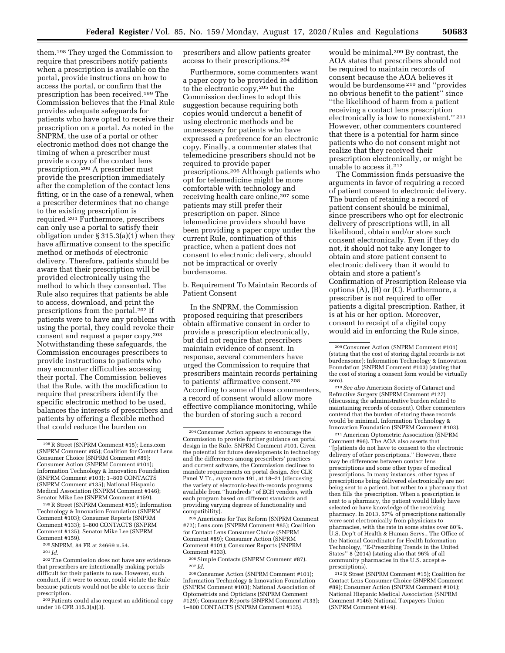them.198 They urged the Commission to require that prescribers notify patients when a prescription is available on the portal, provide instructions on how to access the portal, or confirm that the prescription has been received.199 The Commission believes that the Final Rule provides adequate safeguards for patients who have opted to receive their prescription on a portal. As noted in the SNPRM, the use of a portal or other electronic method does not change the timing of when a prescriber must provide a copy of the contact lens prescription.200 A prescriber must provide the prescription immediately after the completion of the contact lens fitting, or in the case of a renewal, when a prescriber determines that no change to the existing prescription is required.201 Furthermore, prescribers can only use a portal to satisfy their obligation under § 315.3(a)(1) when they have affirmative consent to the specific method or methods of electronic delivery. Therefore, patients should be aware that their prescription will be provided electronically using the method to which they consented. The Rule also requires that patients be able to access, download, and print the prescriptions from the portal.202 If patients were to have any problems with using the portal, they could revoke their consent and request a paper copy.203 Notwithstanding these safeguards, the Commission encourages prescribers to provide instructions to patients who may encounter difficulties accessing their portal. The Commission believes that the Rule, with the modification to require that prescribers identify the specific electronic method to be used, balances the interests of prescribers and patients by offering a flexible method that could reduce the burden on

199R Street (SNPRM Comment #15); Information Technology & Innovation Foundation (SNPRM Comment #103); Consumer Reports (SNPRM Comment #133); 1–800 CONTACTS (SNPRM Comment #135); Senator Mike Lee (SNPRM Comment #159).

201 *Id.* 

203Patients could also request an additional copy under 16 CFR 315.3(a)(3).

prescribers and allow patients greater access to their prescriptions.204

Furthermore, some commenters want a paper copy to be provided in addition to the electronic copy,205 but the Commission declines to adopt this suggestion because requiring both copies would undercut a benefit of using electronic methods and be unnecessary for patients who have expressed a preference for an electronic copy. Finally, a commenter states that telemedicine prescribers should not be required to provide paper prescriptions.206 Although patients who opt for telemedicine might be more comfortable with technology and receiving health care online,<sup>207</sup> some patients may still prefer their prescription on paper. Since telemedicine providers should have been providing a paper copy under the current Rule, continuation of this practice, when a patient does not consent to electronic delivery, should not be impractical or overly burdensome.

b. Requirement To Maintain Records of Patient Consent

In the SNPRM, the Commission proposed requiring that prescribers obtain affirmative consent in order to provide a prescription electronically, but did not require that prescribers maintain evidence of consent. In response, several commenters have urged the Commission to require that prescribers maintain records pertaining to patients' affirmative consent.208 According to some of these commenters, a record of consent would allow more effective compliance monitoring, while the burden of storing such a record

205Americans for Tax Reform (SNPRM Comment #72); Lens.com (SNPRM Comment #85); Coalition for Contact Lens Consumer Choice (SNPRM Comment #89); Consumer Action (SNPRM Comment #101); Consumer Reports (SNPRM Comment #133).

206Simple Contacts (SNPRM Comment #87). 207 *Id.* 

208Consumer Action (SNPRM Comment #101); Information Technology & Innovation Foundation (SNPRM Comment #103); National Association of Optometrists and Opticians (SNPRM Comment #129); Consumer Reports (SNPRM Comment #133); 1–800 CONTACTS (SNPRM Comment #135).

would be minimal.209 By contrast, the AOA states that prescribers should not be required to maintain records of consent because the AOA believes it would be burdensome 210 and ''provides no obvious benefit to the patient'' since ''the likelihood of harm from a patient receiving a contact lens prescription electronically is low to nonexistent.'' 211 However, other commenters countered that there is a potential for harm since patients who do not consent might not realize that they received their prescription electronically, or might be unable to access it.212

The Commission finds persuasive the arguments in favor of requiring a record of patient consent to electronic delivery. The burden of retaining a record of patient consent should be minimal, since prescribers who opt for electronic delivery of prescriptions will, in all likelihood, obtain and/or store such consent electronically. Even if they do not, it should not take any longer to obtain and store patient consent to electronic delivery than it would to obtain and store a patient's Confirmation of Prescription Release via options (A), (B) or (C). Furthermore, a prescriber is not required to offer patients a digital prescription. Rather, it is at his or her option. Moreover, consent to receipt of a digital copy would aid in enforcing the Rule since,

211American Optometric Association (SNPRM Comment #96). The AOA also asserts that ''[p]atients do not have to consent to the electronic delivery of other prescriptions.'' However, there may be differences between contact lens prescriptions and some other types of medical prescriptions. In many instances, other types of prescriptions being delivered electronically are not being sent to a patient, but rather to a pharmacy that then fills the prescription. When a prescription is sent to a pharmacy, the patient would likely have selected or have knowledge of the receiving pharmacy. In 2013, 57% of prescriptions nationally were sent electronically from physicians to pharmacies, with the rate in some states over 80%. U.S. Dep't of Health & Human Servs., The Office of the National Coordinator for Health Information Technology, ''E-Prescribing Trends in the United States'' 8 (2014) (stating also that 96% of all community pharmacies in the U.S. accept eprescriptions).

212R Street (SNPRM Comment #15); Coalition for Contact Lens Consumer Choice (SNPRM Comment #89); Consumer Action (SNPRM Comment #101); National Hispanic Medical Association (SNPRM Comment #146); National Taxpayers Union (SNPRM Comment #149).

<sup>198</sup>R Street (SNPRM Comment #15); Lens.com (SNPRM Comment #85); Coalition for Contact Lens Consumer Choice (SNPRM Comment #89); Consumer Action (SNPRM Comment #101); Information Technology & Innovation Foundation (SNPRM Comment #103); 1–800 CONTACTS (SNPRM Comment #135); National Hispanic Medical Association (SNPRM Comment #146); Senator Mike Lee (SNPRM Comment #159).

<sup>200</sup>SNPRM, 84 FR at 24669 n.54.

<sup>202</sup>The Commission does not have any evidence that prescribers are intentionally making portals difficult for their patients to use. However, such conduct, if it were to occur, could violate the Rule because patients would not be able to access their prescription.

<sup>204</sup>Consumer Action appears to encourage the Commission to provide further guidance on portal design in the Rule. SNPRM Comment #101. Given the potential for future developments in technology and the differences among prescribers' practices and current software, the Commission declines to mandate requirements on portal design. *See* CLR Panel V Tr., *supra* note 191, at 18–21 (discussing the variety of electronic-health-records programs available from ''hundreds'' of ECH vendors, with each program based on different standards and providing varying degrees of functionality and compatibility).

<sup>209</sup>Consumer Action (SNPRM Comment #101) (stating that the cost of storing digital records is not burdensome); Information Technology & Innovation Foundation (SNPRM Comment #103) (stating that the cost of storing a consent form would be virtually zero).

<sup>210</sup>*See also* American Society of Cataract and Refractive Surgery (SNPRM Comment #127) (discussing the administrative burden related to maintaining records of consent). Other commenters contend that the burden of storing these records would be minimal. Information Technology & Innovation Foundation (SNPRM Comment #103).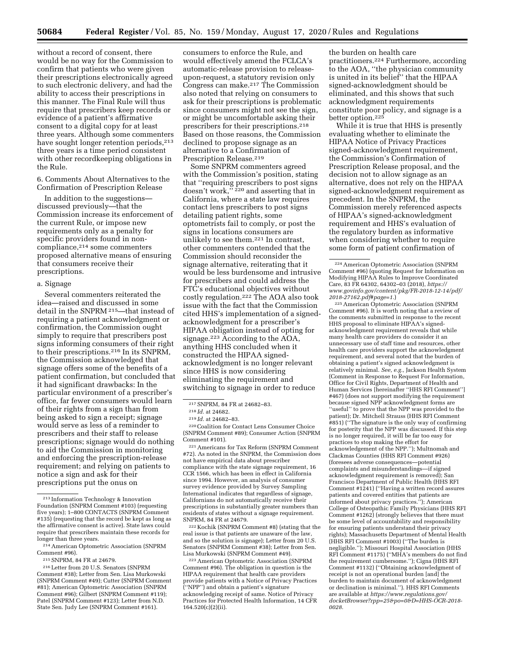without a record of consent, there would be no way for the Commission to confirm that patients who were given their prescriptions electronically agreed to such electronic delivery, and had the ability to access their prescriptions in this manner. The Final Rule will thus require that prescribers keep records or evidence of a patient's affirmative consent to a digital copy for at least three years. Although some commenters have sought longer retention periods,<sup>213</sup> three years is a time period consistent with other recordkeeping obligations in the Rule.

6. Comments About Alternatives to the Confirmation of Prescription Release

In addition to the suggestions discussed previously—that the Commission increase its enforcement of the current Rule, or impose new requirements only as a penalty for specific providers found in noncompliance,214 some commenters proposed alternative means of ensuring that consumers receive their prescriptions.

## a. Signage

Several commenters reiterated the idea—raised and discussed in some detail in the SNPRM 215—that instead of requiring a patient acknowledgment or confirmation, the Commission ought simply to require that prescribers post signs informing consumers of their right to their prescriptions.216 In its SNPRM, the Commission acknowledged that signage offers some of the benefits of a patient confirmation, but concluded that it had significant drawbacks: In the particular environment of a prescriber's office, far fewer consumers would learn of their rights from a sign than from being asked to sign a receipt; signage would serve as less of a reminder to prescribers and their staff to release prescriptions; signage would do nothing to aid the Commission in monitoring and enforcing the prescription-release requirement; and relying on patients to notice a sign and ask for their prescriptions put the onus on

consumers to enforce the Rule, and would effectively amend the FCLCA's automatic-release provision to releaseupon-request, a statutory revision only Congress can make.217 The Commission also noted that relying on consumers to ask for their prescriptions is problematic since consumers might not see the sign, or might be uncomfortable asking their prescribers for their prescriptions.218 Based on those reasons, the Commission declined to propose signage as an alternative to a Confirmation of Prescription Release.<sup>219</sup>

Some SNPRM commenters agreed with the Commission's position, stating that ''requiring prescribers to post signs doesn't work,'' 220 and asserting that in California, where a state law requires contact lens prescribers to post signs detailing patient rights, some optometrists fail to comply, or post the signs in locations consumers are unlikely to see them.221 In contrast, other commenters contended that the Commission should reconsider the signage alternative, reiterating that it would be less burdensome and intrusive for prescribers and could address the FTC's educational objectives without costly regulation.222 The AOA also took issue with the fact that the Commission cited HHS's implementation of a signedacknowledgment for a prescriber's HIPAA obligation instead of opting for signage.223 According to the AOA, anything HHS concluded when it constructed the HIPAA signedacknowledgment is no longer relevant since HHS is now considering eliminating the requirement and switching to signage in order to reduce

220Coalition for Contact Lens Consumer Choice (SNPRM Comment #89); Consumer Action (SNPRM Comment #101).

221Americans for Tax Reform (SNPRM Comment #72). As noted in the SNPRM, the Commission does not have empirical data about prescriber compliance with the state signage requirement, 16 CCR 1566, which has been in effect in California since 1994. However, an analysis of consumer survey evidence provided by Survey Sampling International indicates that regardless of signage, Californians do not automatically receive their prescriptions in substantially greater numbers than residents of states without a signage requirement. SNPRM, 84 FR at 24679.

222 Kochik (SNPRM Comment #8) (stating that the real issue is that patients are unaware of the law, and so the solution is signage); Letter from 20 U.S. Senators (SNPRM Comment #38); Letter from Sen. Lisa Murkowski (SNPRM Comment #49).

223American Optometric Association (SNPRM Comment #96). The obligation in question is the HIPAA requirement that health care providers provide patients with a Notice of Privacy Practices (''NPP'') and obtain a patient's signature acknowledging receipt of same. Notice of Privacy Practices for Protected Health Information, 14 CFR 164.520(c)(2)(ii).

the burden on health care practitioners.224 Furthermore, according to the AOA, ''the physician community is united in its belief'' that the HIPAA signed-acknowledgment should be eliminated, and this shows that such acknowledgment requirements constitute poor policy, and signage is a better option.225

While it is true that HHS is presently evaluating whether to eliminate the HIPAA Notice of Privacy Practices signed-acknowledgment requirement, the Commission's Confirmation of Prescription Release proposal, and the decision not to allow signage as an alternative, does not rely on the HIPAA signed-acknowledgment requirement as precedent. In the SNPRM, the Commission merely referenced aspects of HIPAA's signed-acknowledgment requirement and HHS's evaluation of the regulatory burden as informative when considering whether to require some form of patient confirmation of

225American Optometric Association (SNPRM Comment #96). It is worth noting that a review of the comments submitted in response to the recent HHS proposal to eliminate HIPAA's signedacknowledgment requirement reveals that while many health care providers do consider it an unnecessary use of staff time and resources, other health care providers support the acknowledgment requirement, and several noted that the burden of obtaining a patient's signed acknowledgment is relatively minimal. *See, e.g.,* Jackson Health System (Comment in Response to Request For Information, Office for Civil Rights, Department of Health and Human Services [hereinafter ''HHS RFI Comment''] #467) (does not support modifying the requirement because signed NPP acknowledgment forms are "useful" to prove that the NPP was provided to the patient); Dr. Mitchell Strauss (HHS RFI Comment #851) (''The signature is the only way of confirming for posterity that the NPP was discussed. If this step is no longer required, it will be far too easy for practices to stop making the effort for acknowledgement of the NPP.''); Multnomah and Clackmas Counties (HHS RFI Comment #926) (foresees adverse consequences—potential complaints and misunderstandings—if signed acknowledgment requirement is removed); San Francisco Department of Public Health (HHS RFI Comment #1241) (''Having a written record assures patients and covered entities that patients are informed about privacy practices.''); American College of Osteopathic Family Physicians (HHS RFI Comment #1262) (strongly believes that there must be some level of accountability and responsibility for ensuring patients understand their privacy rights); Massachusetts Department of Mental Health (HHS RFI Comment #1003) (''The burden is negligible.''); Missouri Hospital Association (HHS RFI Comment #1175) (''MHA's members do not find the requirement cumbersome.''); Cigna (HHS RFI Comment #1132) (''Obtaining acknowledgment of receipt is not an operational burden [and] the burden to maintain document of acknowledgment or declination is minimal.''). HHS RFI Comments are available at *[https://www.regulations.gov/](https://www.regulations.gov/docketBrowser?rpp=25&po=0&D=HHS-OCR-2018-0028) [docketBrowser?rpp=25&po=0&D=HHS-OCR-2018-](https://www.regulations.gov/docketBrowser?rpp=25&po=0&D=HHS-OCR-2018-0028)  [0028.](https://www.regulations.gov/docketBrowser?rpp=25&po=0&D=HHS-OCR-2018-0028)* 

<sup>213</sup> Information Technology & Innovation Foundation (SNPRM Comment #103) (requesting five years); 1–800 CONTACTS (SNPRM Comment #135) (requesting that the record be kept as long as the affirmative consent is active). State laws could require that prescribers maintain these records for longer than three years.

<sup>214</sup>American Optometric Association (SNPRM Comment #96).

<sup>215</sup>SNPRM, 84 FR at 24679.

<sup>216</sup>Letter from 20 U.S. Senators (SNPRM Comment #38); Letter from Sen. Lisa Murkowski (SNPRM Comment #49); Cutter (SNPRM Comment #81); American Optometric Association (SNPRM Comment #96); Gilbert (SNPRM Comment #119); Patel (SNPRM Comment #123); Letter from N.D. State Sen. Judy Lee (SNPRM Comment #161).

<sup>217</sup>SNPRM, 84 FR at 24682–83.

<sup>218</sup> *Id.* at 24682.

<sup>219</sup> *Id.* at 24682–83.

<sup>224</sup>American Optometric Association (SNPRM Comment #96) (quoting Request for Information on Modifying HIPAA Rules to Improve Coordinated Care, 83 FR 64302, 64302–03 (2018), *[https://](https://www.govinfo.gov/content/pkg/FR-2018-12-14/pdf/2018-27162.pdf#page=1) [www.govinfo.gov/content/pkg/FR-2018-12-14/pdf/](https://www.govinfo.gov/content/pkg/FR-2018-12-14/pdf/2018-27162.pdf#page=1)  [2018-27162.pdf#page=1.](https://www.govinfo.gov/content/pkg/FR-2018-12-14/pdf/2018-27162.pdf#page=1)*)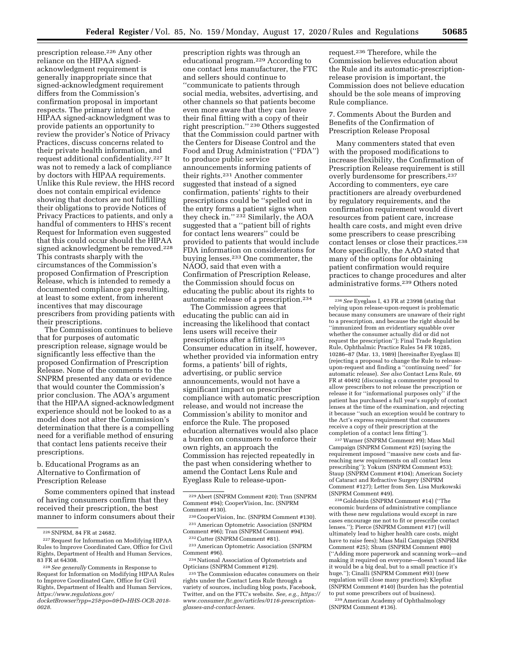prescription release.226 Any other reliance on the HIPAA signedacknowledgment requirement is generally inappropriate since that signed-acknowledgment requirement differs from the Commission's confirmation proposal in important respects. The primary intent of the HIPAA signed-acknowledgment was to provide patients an opportunity to review the provider's Notice of Privacy Practices, discuss concerns related to their private health information, and request additional confidentiality.227 It was not to remedy a lack of compliance by doctors with HIPAA requirements. Unlike this Rule review, the HHS record does not contain empirical evidence showing that doctors are not fulfilling their obligations to provide Notices of Privacy Practices to patients, and only a handful of commenters to HHS's recent Request for Information even suggested that this could occur should the HIPAA signed acknowledgment be removed.228 This contrasts sharply with the circumstances of the Commission's proposed Confirmation of Prescription Release, which is intended to remedy a documented compliance gap resulting, at least to some extent, from inherent incentives that may discourage prescribers from providing patients with their prescriptions.

The Commission continues to believe that for purposes of automatic prescription release, signage would be significantly less effective than the proposed Confirmation of Prescription Release. None of the comments to the SNPRM presented any data or evidence that would counter the Commission's prior conclusion. The AOA's argument that the HIPAA signed-acknowledgment experience should not be looked to as a model does not alter the Commission's determination that there is a compelling need for a verifiable method of ensuring that contact lens patients receive their prescriptions.

b. Educational Programs as an Alternative to Confirmation of Prescription Release

Some commenters opined that instead of having consumers confirm that they received their prescription, the best manner to inform consumers about their

prescription rights was through an educational program.229 According to one contact lens manufacturer, the FTC and sellers should continue to ''communicate to patients through social media, websites, advertising, and other channels so that patients become even more aware that they can leave their final fitting with a copy of their right prescription.'' 230 Others suggested that the Commission could partner with the Centers for Disease Control and the Food and Drug Administration (''FDA'') to produce public service announcements informing patients of their rights.231 Another commenter suggested that instead of a signed confirmation, patients' rights to their prescriptions could be ''spelled out in the entry forms a patient signs when they check in.'' 232 Similarly, the AOA suggested that a ''patient bill of rights for contact lens wearers'' could be provided to patients that would include FDA information on considerations for buying lenses.233 One commenter, the NAOO, said that even with a Confirmation of Prescription Release, the Commission should focus on educating the public about its rights to automatic release of a prescription.234

The Commission agrees that educating the public can aid in increasing the likelihood that contact lens users will receive their prescriptions after a fitting.235 Consumer education in itself, however, whether provided via information entry forms, a patients' bill of rights, advertising, or public service announcements, would not have a significant impact on prescriber compliance with automatic prescription release, and would not increase the Commission's ability to monitor and enforce the Rule. The proposed education alternatives would also place a burden on consumers to enforce their own rights, an approach the Commission has rejected repeatedly in the past when considering whether to amend the Contact Lens Rule and Eyeglass Rule to release-uponrequest.236 Therefore, while the Commission believes education about the Rule and its automatic-prescriptionrelease provision is important, the Commission does not believe education should be the sole means of improving Rule compliance.

7. Comments About the Burden and Benefits of the Confirmation of Prescription Release Proposal

Many commenters stated that even with the proposed modifications to increase flexibility, the Confirmation of Prescription Release requirement is still overly burdensome for prescribers.237 According to commenters, eye care practitioners are already overburdened by regulatory requirements, and the confirmation requirement would divert resources from patient care, increase health care costs, and might even drive some prescribers to cease prescribing contact lenses or close their practices.238 More specifically, the AAO stated that many of the options for obtaining patient confirmation would require practices to change procedures and alter administrative forms.239 Others noted

237Warner (SNPRM Comment #9); Mass Mail Campaign (SNPRM Comment #25) (saying the requirement imposed ''massive new costs and farreaching new requirements on all contact lens prescribing''); Yokum (SNPRM Comment #53); Staup (SNPRM Comment #104); American Society of Cataract and Refractive Surgery (SNPRM Comment #127); Letter from Sen. Lisa Murkowski (SNPRM Comment #49).

238 Goldstein (SNPRM Comment #14) (''The economic burdens of administrative compliance with these new regulations would except in rare cases encourage me not to fit or prescribe contact lenses.''); Pierce (SNPRM Comment #17) (will ultimately lead to higher health care costs, might have to raise fees); Mass Mail Campaign (SNPRM Comment #25); Shum (SNPRM Comment #80) (''Adding more paperwork and scanning work—and making it required on everyone—doesn't sound like it would be a big deal, but to a small practice it's huge.''); Cinalli (SNPRM Comment #93) (new regulation will close many practices); Klepfisz (SNPRM Comment #140) (burden has the potential to put some prescribers out of business).

239American Academy of Ophthalmology (SNPRM Comment #136).

<sup>226</sup>SNPRM, 84 FR at 24682.

<sup>227</sup>Request for Information on Modifying HIPAA Rules to Improve Coordinated Care, Office for Civil Rights, Department of Health and Human Services, 83 FR at 64308.

<sup>228</sup>*See generally* Comments in Response to Request for Information on Modifying HIPAA Rules to Improve Coordinated Care, Office for Civil Rights, Department of Health and Human Services, *[https://www.regulations.gov/](https://www.regulations.gov/docketBrowser?rpp=25&po=0&D=HHS-OCR-2018-0028)* 

*[docketBrowser?rpp=25&po=0&D=HHS-OCR-2018-](https://www.regulations.gov/docketBrowser?rpp=25&po=0&D=HHS-OCR-2018-0028)  [0028.](https://www.regulations.gov/docketBrowser?rpp=25&po=0&D=HHS-OCR-2018-0028)* 

<sup>229</sup>Abert (SNPRM Comment #20); Tran (SNPRM Comment #94); CooperVision, Inc. (SNPRM Comment #130).

<sup>230</sup>CooperVision, Inc. (SNPRM Comment #130). 231American Optometric Association (SNPRM Comment #96); Tran (SNPRM Comment #94).

<sup>232</sup>Cutter (SNPRM Comment #81).

<sup>233</sup>American Optometric Association (SNPRM Comment #96).

<sup>234</sup>National Association of Optometrists and Opticians (SNPRM Comment #129).

<sup>235</sup>The Commission educates consumers on their rights under the Contact Lens Rule through a variety of sources, including blog posts, Facebook, Twitter, and on the FTC's website. *See, e.g., [https://](https://www.consumer.ftc.gov/articles/0116-prescription-glasses-and-contact-lenses) [www.consumer.ftc.gov/articles/0116-prescription](https://www.consumer.ftc.gov/articles/0116-prescription-glasses-and-contact-lenses)[glasses-and-contact-lenses.](https://www.consumer.ftc.gov/articles/0116-prescription-glasses-and-contact-lenses)* 

<sup>236</sup>*See* Eyeglass I, 43 FR at 23998 (stating that relying upon release-upon-request is problematic because many consumers are unaware of their right to a prescription, and because the right should be ''immunized from an evidentiary squabble over whether the consumer actually did or did not request the prescription''); Final Trade Regulation Rule, Ophthalmic Practice Rules 54 FR 10285, 10286–87 (Mar. 13, 1989) [hereinafter Eyeglass II] (rejecting a proposal to change the Rule to releaseupon-request and finding a ''continuing need'' for automatic release). *See also* Contact Lens Rule, 69 FR at 40492 (discussing a commenter proposal to allow prescribers to not release the prescription or release it for ''informational purposes only'' if the patient has purchased a full year's supply of contact lenses at the time of the examination, and rejecting it because ''such an exception would be contrary to the Act's express requirement that consumers receive a copy of their prescription at the completion of a contact lens fitting'').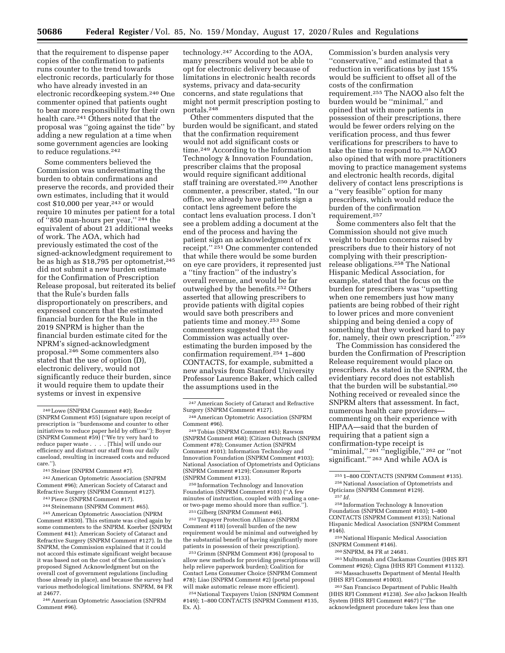that the requirement to dispense paper copies of the confirmation to patients runs counter to the trend towards electronic records, particularly for those who have already invested in an electronic recordkeeping system.240 One commenter opined that patients ought to bear more responsibility for their own health care.241 Others noted that the proposal was ''going against the tide'' by adding a new regulation at a time when some government agencies are looking to reduce regulations.242

Some commenters believed the Commission was underestimating the burden to obtain confirmations and preserve the records, and provided their own estimates, including that it would cost \$10,000 per year,<sup>243</sup> or would require 10 minutes per patient for a total of ''850 man-hours per year,'' 244 the equivalent of about 21 additional weeks of work. The AOA, which had previously estimated the cost of the signed-acknowledgment requirement to be as high as \$18,795 per optometrist,245 did not submit a new burden estimate for the Confirmation of Prescription Release proposal, but reiterated its belief that the Rule's burden falls disproportionately on prescribers, and expressed concern that the estimated financial burden for the Rule in the 2019 SNPRM is higher than the financial burden estimate cited for the NPRM's signed-acknowledgment proposal.246 Some commenters also stated that the use of option (D), electronic delivery, would not significantly reduce their burden, since it would require them to update their systems or invest in expensive

241Steiner (SNPRM Comment #7).

242American Optometric Association (SNPRM Comment #96); American Society of Cataract and Refractive Surgery (SNPRM Comment #127).

243Pierce (SNPRM Comment #17). <sup>244</sup> Steinemann (SNPRM Comment #65).

246American Optometric Association (SNPRM Comment #96).

technology.247 According to the AOA, many prescribers would not be able to opt for electronic delivery because of limitations in electronic health records systems, privacy and data-security concerns, and state regulations that might not permit prescription posting to portals.248

Other commenters disputed that the burden would be significant, and stated that the confirmation requirement would not add significant costs or time.249 According to the Information Technology & Innovation Foundation, prescriber claims that the proposal would require significant additional staff training are overstated.250 Another commenter, a prescriber, stated, ''In our office, we already have patients sign a contact lens agreement before the contact lens evaluation process. I don't see a problem adding a document at the end of the process and having the patient sign an acknowledgment of rx receipt.'' 251 One commenter contended that while there would be some burden on eye care providers, it represented just a ''tiny fraction'' of the industry's overall revenue, and would be far outweighed by the benefits.252 Others asserted that allowing prescribers to provide patients with digital copies would save both prescribers and patients time and money.253 Some commenters suggested that the Commission was actually overestimating the burden imposed by the confirmation requirement.254 1–800 CONTACTS, for example, submitted a new analysis from Stanford University Professor Laurence Baker, which called the assumptions used in the

250 Information Technology and Innovation Foundation (SNPRM Comment #103) (''A few minutes of instruction, coupled with reading a oneor two-page memo should more than suffice.'').

251 Gilberg (SNPRM Comment #46).

252Taxpayer Protection Alliance (SNPRM Comment #118) (overall burden of the new requirement would be minimal and outweighed by the substantial benefit of having significantly more patients in possession of their prescription).

253 Grimm (SNPRM Comment #36) (proposal to allow new methods for providing prescriptions will help relieve paperwork burden); Coalition for Contact Lens Consumer Choice (SNPRM Comment #78); Liao (SNPRM Comment #2) (portal proposal will make automatic release more efficient).

254National Taxpayers Union (SNPRM Comment #149); 1–800 CONTACTS (SNPRM Comment #135, Ex. A).

Commission's burden analysis very ''conservative,'' and estimated that a reduction in verifications by just 15% would be sufficient to offset all of the costs of the confirmation requirement.255 The NAOO also felt the burden would be ''minimal,'' and opined that with more patients in possession of their prescriptions, there would be fewer orders relying on the verification process, and thus fewer verifications for prescribers to have to take the time to respond to.256 NAOO also opined that with more practitioners moving to practice management systems and electronic health records, digital delivery of contact lens prescriptions is a ''very feasible'' option for many prescribers, which would reduce the burden of the confirmation requirement.257

Some commenters also felt that the Commission should not give much weight to burden concerns raised by prescribers due to their history of not complying with their prescriptionrelease obligations.258 The National Hispanic Medical Association, for example, stated that the focus on the burden for prescribers was ''upsetting when one remembers just how many patients are being robbed of their right to lower prices and more convenient shipping and being denied a copy of something that they worked hard to pay for, namely, their own prescription.'' 259

The Commission has considered the burden the Confirmation of Prescription Release requirement would place on prescribers. As stated in the SNPRM, the evidentiary record does not establish that the burden will be substantial.260 Nothing received or revealed since the SNPRM alters that assessment. In fact, numerous health care providers commenting on their experience with HIPAA—said that the burden of requiring that a patient sign a confirmation-type receipt is "minimal,"<sup>261"</sup>"negligible,"<sup>262</sup> or "not significant."<sup>263</sup> And while AOA is

#### 257 *Id.*

258 Information Technology & Innovation Foundation (SNPRM Comment #103); 1–800 CONTACTS (SNPRM Comment #135); National Hispanic Medical Association (SNPRM Comment #146).

259National Hispanic Medical Association (SNPRM Comment #146).

261Multnomah and Clackamas Counties (HHS RFI Comment #926); Cigna (HHS RFI Comment #1132). 262Massachusetts Department of Mental Health (HHS RFI Comment #1003).

263San Francisco Department of Public Health (HHS RFI Comment #1238). *See also* Jackson Health System (HHS RFI Comment #467) (''The acknowledgment procedure takes less than one

<sup>240</sup>Lowe (SNPRM Comment #40); Reeder (SNPRM Comment #55) (signature upon receipt of prescription is ''burdensome and counter to other initiatives to reduce paper held by offices''); Boyer (SNPRM Comment #59) (''We try very hard to reduce paper waste . . . . [This] will undo our efficiency and distract our staff from our daily caseload, resulting in increased costs and reduced care.'').

<sup>245</sup>American Optometric Association (NPRM Comment #3830). This estimate was cited again by some commenters to the SNPRM. Koerber (SNPRM Comment #41); American Society of Cataract and Refractive Surgery (SNPRM Comment #127). In the SNPRM, the Commission explained that it could not accord this estimate significant weight because it was based not on the cost of the Commission's proposed Signed Acknowledgment but on the overall cost of government regulations (including those already in place), and because the survey had various methodological limitations. SNPRM, 84 FR at 24677.

<sup>247</sup>American Society of Cataract and Refractive Surgery (SNPRM Comment #127).

<sup>248</sup>American Optometric Association (SNPRM Comment #96).

<sup>249</sup>Tobias (SNPRM Comment #45); Rawson (SNPRM Comment #68); (Citizen Outreach (SNPRM Comment #78); Consumer Action (SNPRM Comment #101); Information Technology and Innovation Foundation (SNPRM Comment #103); National Association of Optometrists and Opticians (SNPRM Comment #129); Consumer Reports (SNPRM Comment #133).

<sup>255</sup> 1–800 CONTACTS (SNPRM Comment #135). 256National Association of Optometrists and Opticians (SNPRM Comment #129).

<sup>260</sup>SNPRM, 84 FR at 24681.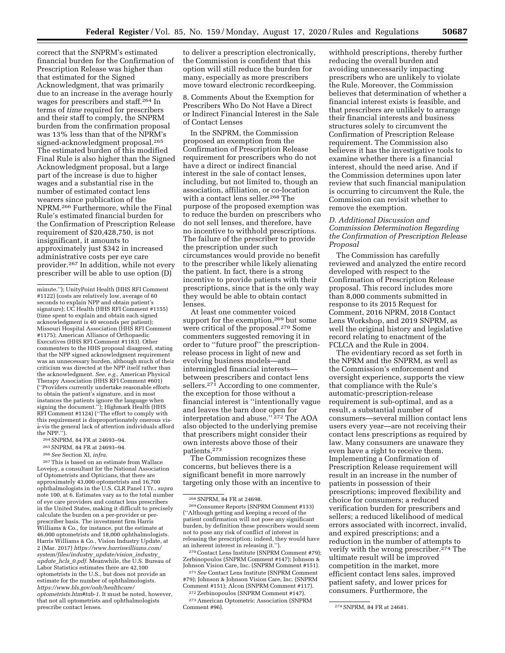correct that the SNPRM's estimated financial burden for the Confirmation of Prescription Release was higher than that estimated for the Signed Acknowledgment, that was primarily due to an increase in the average hourly wages for prescribers and staff.264 In terms of *time* required for prescribers and their staff to comply, the SNPRM burden from the confirmation proposal was 13% less than that of the NPRM's signed-acknowledgment proposal.265 The estimated burden of this modified Final Rule is also higher than the Signed Acknowledgment proposal, but a large part of the increase is due to higher wages and a substantial rise in the number of estimated contact lens wearers since publication of the NPRM.266 Furthermore, while the Final Rule's estimated financial burden for the Confirmation of Prescription Release requirement of \$20,428,750, is not insignificant, it amounts to approximately just \$342 in increased administrative costs per eye care provider.267 In addition, while not every prescriber will be able to use option (D)

265SNPRM, 84 FR at 24693–94.

267This is based on an estimate from Wallace Lovejoy, a consultant for the National Association of Optometrists and Opticians, that there are approximately 43,000 optometrists and 16,700 ophthalmologists in the U.S. CLR Panel I Tr., *supra*  note 100, at 6. Estimates vary as to the total number of eye care providers and contact lens prescribers in the United States, making it difficult to precisely calculate the burden on a per-provider or perprescriber basis. The investment firm Harris Williams & Co., for instance, put the estimate at 46,000 optometrists and 18,000 ophthalmologists. Harris Williams & Co., Vision Industry Update, at 2 (Mar. 2017) *[https://www.harriswilliams.com/](https://www.harriswilliams.com/system/files/industry_update/vision_industry_update_hcls_0.pdf)  [system/files/industry](https://www.harriswilliams.com/system/files/industry_update/vision_industry_update_hcls_0.pdf)*\_*update/vision*\_*industry*\_ *[update](https://www.harriswilliams.com/system/files/industry_update/vision_industry_update_hcls_0.pdf)*\_*hcls*\_*0.pdf.* Meanwhile, the U.S. Bureau of Labor Statistics estimates there are 42,100 optometrists in the U.S., but does not provide an estimate for the number of ophthalmologists. *[https://www.bls.gov/ooh/healthcare/](https://www.bls.gov/ooh/healthcare/optometrists.htm#tab-1) [optometrists.htm#tab-1.](https://www.bls.gov/ooh/healthcare/optometrists.htm#tab-1)* It must be noted, however, that not all optometrists and ophthalmologists prescribe contact lenses.

to deliver a prescription electronically, the Commission is confident that this option will still reduce the burden for many, especially as more prescribers move toward electronic recordkeeping.

8. Comments About the Exemption for Prescribers Who Do Not Have a Direct or Indirect Financial Interest in the Sale of Contact Lenses

In the SNPRM, the Commission proposed an exemption from the Confirmation of Prescription Release requirement for prescribers who do not have a direct or indirect financial interest in the sale of contact lenses, including, but not limited to, though an association, affiliation, or co-location with a contact lens seller.268 The purpose of the proposed exemption was to reduce the burden on prescribers who do not sell lenses, and therefore, have no incentive to withhold prescriptions. The failure of the prescriber to provide the prescription under such circumstances would provide no benefit to the prescriber while likely alienating the patient. In fact, there is a strong incentive to provide patients with their prescriptions, since that is the only way they would be able to obtain contact lenses.

At least one commenter voiced support for the exemption,<sup>269</sup> but some were critical of the proposal.270 Some commenters suggested removing it in order to ''future proof'' the prescriptionrelease process in light of new and evolving business models—and intermingled financial interests between prescribers and contact lens sellers.<sup>271</sup> According to one commenter, the exception for those without a financial interest is ''intentionally vague and leaves the barn door open for interpretation and abuse.'' 272 The AOA also objected to the underlying premise that prescribers might consider their own interests above those of their patients.273

The Commission recognizes these concerns, but believes there is a significant benefit in more narrowly targeting only those with an incentive to

withhold prescriptions, thereby further reducing the overall burden and avoiding unnecessarily impacting prescribers who are unlikely to violate the Rule. Moreover, the Commission believes that determination of whether a financial interest exists is feasible, and that prescribers are unlikely to arrange their financial interests and business structures solely to circumvent the Confirmation of Prescription Release requirement. The Commission also believes it has the investigative tools to examine whether there is a financial interest, should the need arise. And if the Commission determines upon later review that such financial manipulation is occurring to circumvent the Rule, the Commission can revisit whether to remove the exemption.

## *D. Additional Discussion and Commission Determination Regarding the Confirmation of Prescription Release Proposal*

The Commission has carefully reviewed and analyzed the entire record developed with respect to the Confirmation of Prescription Release proposal. This record includes more than 8,000 comments submitted in response to its 2015 Request for Comment, 2016 NPRM, 2018 Contact Lens Workshop, and 2019 SNPRM, as well the original history and legislative record relating to enactment of the FCLCA and the Rule in 2004.

The evidentiary record as set forth in the NPRM and the SNPRM, as well as the Commission's enforcement and oversight experience, supports the view that compliance with the Rule's automatic-prescription-release requirement is sub-optimal, and as a result, a substantial number of consumers—several million contact lens users every year—are not receiving their contact lens prescriptions as required by law. Many consumers are unaware they even have a right to receive them. Implementing a Confirmation of Prescription Release requirement will result in an increase in the number of patients in possession of their prescriptions; improved flexibility and choice for consumers; a reduced verification burden for prescribers and sellers; a reduced likelihood of medical errors associated with incorrect, invalid, and expired prescriptions; and a reduction in the number of attempts to verify with the wrong prescriber.274 The ultimate result will be improved competition in the market, more efficient contact lens sales, improved patient safety, and lower prices for consumers. Furthermore, the

minute.''); UnityPoint Health (HHS RFI Comment #1122) (costs are relatively low, average of 60 seconds to explain NPP and obtain patient's signature); UC Health (HHS RFI Comment #1155) (time spent to explain and obtain each signed acknowledgment is 40 seconds per patient); Missouri Hospital Association (HHS RFI Comment #1175); American Alliance of Orthopaedic Executives (HHS RFI Comment #1183). Other commenters to the HHS proposal disagreed, stating that the NPP signed acknowledgment requirement was an unnecessary burden, although much of their criticism was directed at the NPP itself rather than the acknowledgment. *See, e.g.,* American Physical Therapy Association (HHS RFI Comment #601) (''Providers currently undertake reasonable efforts to obtain the patient's signature, and in most instances the patients ignore the language when signing the document."); Highmark Health (HHS RFI Comment #1124) (''The effort to comply with this requirement is disproportionately onerous visa`-vis the general lack of attention individuals afford the NPP.'').

<sup>264</sup>SNPRM, 84 FR at 24693–94.

<sup>266</sup>*See* Section XI, *infra.* 

<sup>268</sup>SNPRM, 84 FR at 24698. 269Consumer Reports (SNPRM Comment #133) (''Although getting and keeping a record of the patient confirmation will not pose any significant burden, by definition these prescribers would seem not to pose any risk of conflict of interest in releasing the prescription; indeed, they would have an inherent interest in releasing it.'').

<sup>270</sup>Contact Lens Institute (SNPRM Comment #79); Zerbinopoulos (SNPRM Comment #147); Johnson & Johnson Vision Care, Inc. (SNPRM Comment #151). 271*See* Contact Lens Institute (SNPRM Comment #79); Johnson & Johnson Vision Care, Inc. (SNPRM Comment #151); Alcon (SNPRM Comment #117).

<sup>272</sup>Zerbinopoulos (SNPRM Comment #147). <sup>273</sup> American Optometric Association (SNPRM<br>Comment #96).

<sup>274</sup> SNPRM, 84 FR at 24681.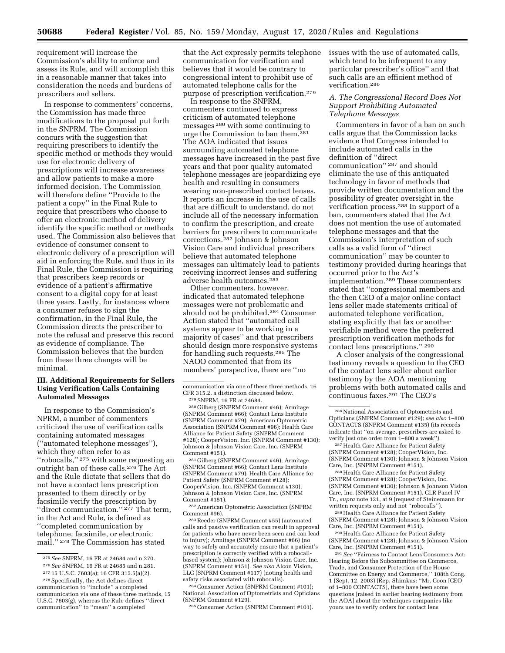requirement will increase the Commission's ability to enforce and assess its Rule, and will accomplish this in a reasonable manner that takes into consideration the needs and burdens of prescribers and sellers.

In response to commenters' concerns, the Commission has made three modifications to the proposal put forth in the SNPRM. The Commission concurs with the suggestion that requiring prescribers to identify the specific method or methods they would use for electronic delivery of prescriptions will increase awareness and allow patients to make a more informed decision. The Commission will therefore define ''Provide to the patient a copy'' in the Final Rule to require that prescribers who choose to offer an electronic method of delivery identify the specific method or methods used. The Commission also believes that evidence of consumer consent to electronic delivery of a prescription will aid in enforcing the Rule, and thus in its Final Rule, the Commission is requiring that prescribers keep records or evidence of a patient's affirmative consent to a digital copy for at least three years. Lastly, for instances where a consumer refuses to sign the confirmation, in the Final Rule, the Commission directs the prescriber to note the refusal and preserve this record as evidence of compliance. The Commission believes that the burden from these three changes will be minimal.

## **III. Additional Requirements for Sellers Using Verification Calls Containing Automated Messages**

In response to the Commission's NPRM, a number of commenters criticized the use of verification calls containing automated messages (''automated telephone messages''), which they often refer to as "robocalls,"<sup>275</sup> with some requesting an outright ban of these calls.276 The Act and the Rule dictate that sellers that do not have a contact lens prescription presented to them directly or by facsimile verify the prescription by "direct communication."<sup>277</sup> That term, in the Act and Rule, is defined as ''completed communication by telephone, facsimile, or electronic mail.'' 278 The Commission has stated

that the Act expressly permits telephone communication for verification and believes that it would be contrary to congressional intent to prohibit use of automated telephone calls for the purpose of prescription verification.279

In response to the SNPRM, commenters continued to express criticism of automated telephone messages 280 with some continuing to urge the Commission to ban them.281 The AOA indicated that issues surrounding automated telephone messages have increased in the past five years and that poor quality automated telephone messages are jeopardizing eye health and resulting in consumers wearing non-prescribed contact lenses. It reports an increase in the use of calls that are difficult to understand, do not include all of the necessary information to confirm the prescription, and create barriers for prescribers to communicate corrections.282 Johnson & Johnson Vision Care and individual prescribers believe that automated telephone messages can ultimately lead to patients receiving incorrect lenses and suffering adverse health outcomes.283

Other commenters, however, indicated that automated telephone messages were not problematic and should not be prohibited.284 Consumer Action stated that ''automated call systems appear to be working in a majority of cases'' and that prescribers should design more responsive systems for handling such requests.285 The NAOO commented that from its members' perspective, there are ''no

280 Gilberg (SNPRM Comment #46); Armitage (SNPRM Comment #66); Contact Lens Institute (SNPRM Comment #79); American Optometric Association (SNPRM Comment #96); Health Care Alliance for Patient Safety (SNPRM Comment #128); CooperVision, Inc. (SNPRM Comment #130); Johnson & Johnson Vision Care, Inc. (SNPRM Comment #151).

281 Gilberg (SNPRM Comment #46); Armitage (SNPRM Comment #66); Contact Lens Institute (SNPRM Comment #79); Health Care Alliance for Patient Safety (SNPRM Comment #128); CooperVision, Inc. (SNPRM Comment #130); Johnson & Johnson Vision Care, Inc. (SNPRM Comment #151).

282American Optometric Association (SNPRM Comment #96).

283Reeder (SNPRM Comment #55) (automated calls and passive verification can result in approval for patients who have never been seen and can lead to injury); Armitage (SNPRM Comment #66) (no way to safely and accurately ensure that a patient's prescription is correctly verified with a robocallbased system); Johnson & Johnson Vision Care, Inc. (SNPRM Comment #151). *See also* Alcon Vision, LLC (SNPRM Comment #117) (noting health and safety risks associated with robocalls).

284Consumer Action (SNPRM Comment #101); National Association of Optometrists and Opticians (SNPRM Comment #129).

285Consumer Action (SNPRM Comment #101).

issues with the use of automated calls, which tend to be infrequent to any particular prescriber's office'' and that such calls are an efficient method of verification.286

### *A. The Congressional Record Does Not Support Prohibiting Automated Telephone Messages*

Commenters in favor of a ban on such calls argue that the Commission lacks evidence that Congress intended to include automated calls in the definition of ''direct communication'' 287 and should eliminate the use of this antiquated technology in favor of methods that provide written documentation and the possibility of greater oversight in the verification process.288 In support of a ban, commenters stated that the Act does not mention the use of automated telephone messages and that the Commission's interpretation of such calls as a valid form of ''direct communication'' may be counter to testimony provided during hearings that occurred prior to the Act's implementation.289 These commenters stated that ''congressional members and the then CEO of a major online contact lens seller made statements critical of automated telephone verification, stating explicitly that fax or another verifiable method were the preferred prescription verification methods for contact lens prescriptions.'' 290

A closer analysis of the congressional testimony reveals a question to the CEO of the contact lens seller about earlier testimony by the AOA mentioning problems with both automated calls and continuous faxes.291 The CEO's

287Health Care Alliance for Patient Safety (SNPRM Comment #128); CooperVision, Inc. (SNPRM Comment #130); Johnson & Johnson Vision Care, Inc. (SNPRM Comment #151).

288Health Care Alliance for Patient Safety (SNPRM Comment #128); CooperVision, Inc. (SNPRM Comment #130); Johnson & Johnson Vision Care, Inc. (SNPRM Comment #151). CLR Panel IV Tr., *supra* note 121, at 9 (request of Steinemann for written requests only and not ''robocalls'').

289Health Care Alliance for Patient Safety (SNPRM Comment #128); Johnson & Johnson Vision Care, Inc. (SNPRM Comment #151).

290Health Care Alliance for Patient Safety (SNPRM Comment #128); Johnson & Johnson Vision Care, Inc. (SNPRM Comment #151).

291*See* ''Fairness to Contact Lens Consumers Act: Hearing Before the Subcommittee on Commerce, Trade, and Consumer Protection of the House Committee on Energy and Commerce,'' 108th Cong. 1 (Sept. 12, 2003) (Rep. Shimkus: ''Mr. Coon [CEO of 1–800 CONTACTS], there have been some questions [raised in earlier hearing testimony from the AOA] about the techniques companies like yours use to verify orders for contact lens

<sup>275</sup>*See* SNPRM, 16 FR at 24684 and n.270.

<sup>276</sup>*See* SNPRM, 16 FR at 24685 and n.281.

<sup>277</sup> 15 U.S.C. 7603(a); 16 CFR 315.5(a)(2).

<sup>278</sup>Specifically, the Act defines direct communication to ''include'' a completed communication via one of these three methods, 15 U.S.C. 7603(g), whereas the Rule defines ''direct communication'' to ''mean'' a completed

communication via one of these three methods, 16 CFR 315.2, a distinction discussed below.

<sup>279</sup>SNPRM, 16 FR at 24684.

<sup>286</sup>National Association of Optometrists and Opticians (SNPRM Comment #129); *see also* 1–800 CONTACTS (SNPRM Comment #135) (its records indicate that ''on average, prescribers are asked to verify just one order from 1–800 a week'').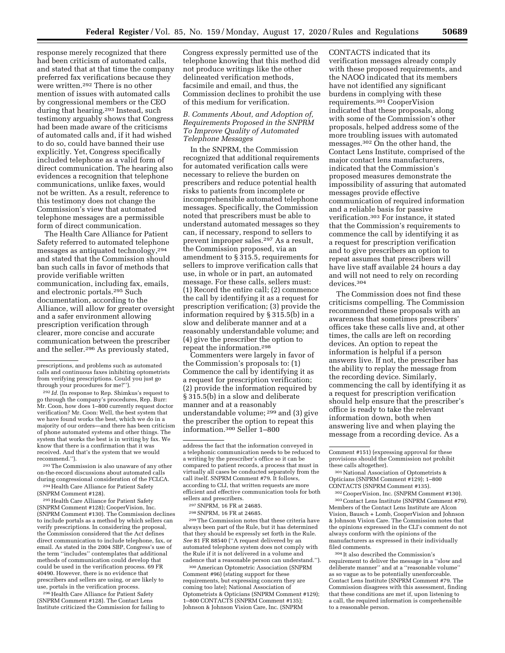response merely recognized that there had been criticism of automated calls, and stated that at that time the company preferred fax verifications because they were written.292 There is no other mention of issues with automated calls by congressional members or the CEO during that hearing.<sup>293</sup> Instead, such testimony arguably shows that Congress had been made aware of the criticisms of automated calls and, if it had wished to do so, could have banned their use explicitly. Yet, Congress specifically included telephone as a valid form of direct communication. The hearing also evidences a recognition that telephone communications, unlike faxes, would not be written. As a result, reference to this testimony does not change the Commission's view that automated telephone messages are a permissible form of direct communication.

The Health Care Alliance for Patient Safety referred to automated telephone messages as antiquated technology,294 and stated that the Commission should ban such calls in favor of methods that provide verifiable written communication, including fax, emails, and electronic portals.295 Such documentation, according to the Alliance, will allow for greater oversight and a safer environment allowing prescription verification through clearer, more concise and accurate communication between the prescriber and the seller.296 As previously stated,

292 *Id.* (In response to Rep. Shimkus's request to go through the company's procedures, Rep. Burr: Mr. Coon, how does 1–800 currently request doctor verification? Mr. Coon: Well, the best system that we have found works the best, which we do in a majority of our orders—and there has been criticism of phone automated systems and other things. The system that works the best is in writing by fax. We know that there is a confirmation that it was received. And that's the system that we would recommend.'').

293The Commission is also unaware of any other on-the-record discussions about automated calls during congressional consideration of the FCLCA.

<sup>294</sup> Health Care Alliance for Patient Safety (SNPRM Comment #128).

295Health Care Alliance for Patient Safety (SNPRM Comment #128); CooperVision, Inc. (SNPRM Comment #130). The Commission declines to include portals as a method by which sellers can verify prescriptions. In considering the proposal, the Commission considered that the Act defines direct communication to include telephone, fax, or email. As stated in the 2004 SBP, Congress's use of the term ''includes'' contemplates that additional methods of communication could develop that could be used in the verification process. 69 FR 40490. However, there is no evidence that prescribers and sellers are using, or are likely to use, portals in the verification process.

296Health Care Alliance for Patient Safety (SNPRM Comment #128). The Contact Lens Institute criticized the Commission for failing to

Congress expressly permitted use of the telephone knowing that this method did not produce writings like the other delineated verification methods, facsimile and email, and thus, the Commission declines to prohibit the use of this medium for verification.

## *B. Comments About, and Adoption of, Requirements Proposed in the SNPRM To Improve Quality of Automated Telephone Messages*

In the SNPRM, the Commission recognized that additional requirements for automated verification calls were necessary to relieve the burden on prescribers and reduce potential health risks to patients from incomplete or incomprehensible automated telephone messages. Specifically, the Commission noted that prescribers must be able to understand automated messages so they can, if necessary, respond to sellers to prevent improper sales.297 As a result, the Commission proposed, via an amendment to § 315.5, requirements for sellers to improve verification calls that use, in whole or in part, an automated message. For these calls, sellers must: (1) Record the entire call; (2) commence the call by identifying it as a request for prescription verification; (3) provide the information required by § 315.5(b) in a slow and deliberate manner and at a reasonably understandable volume; and (4) give the prescriber the option to repeat the information.298

Commenters were largely in favor of the Commission's proposals to: (1) Commence the call by identifying it as a request for prescription verification; (2) provide the information required by § 315.5(b) in a slow and deliberate manner and at a reasonably understandable volume; 299 and (3) give the prescriber the option to repeat this information.300 Seller 1–800

- 297SNPRM, 16 FR at 24685.
- 298SNPRM, 16 FR at 24685.

299The Commission notes that these criteria have always been part of the Rule, but it has determined that they should be expressly set forth in the Rule. *See* 81 FR 88540 (''A request delivered by an automated telephone system does not comply with the Rule if it is not delivered in a volume and cadence that a reasonable person can understand.'').

300American Optometric Association (SNPRM Comment #96) (stating support for these requirements, but expressing concern they are coming too late); National Association of Optometrists & Opticians (SNPRM Comment #129); 1–800 CONTACTS (SNPRM Comment #135); Johnson & Johnson Vision Care, Inc. (SNPRM

CONTACTS indicated that its verification messages already comply with these proposed requirements, and the NAOO indicated that its members have not identified any significant burdens in complying with these requirements.301 CooperVision indicated that these proposals, along with some of the Commission's other proposals, helped address some of the more troubling issues with automated messages.302 On the other hand, the Contact Lens Institute, comprised of the major contact lens manufacturers, indicated that the Commission's proposed measures demonstrate the impossibility of assuring that automated messages provide effective communication of required information and a reliable basis for passive verification.303 For instance, it stated that the Commission's requirements to commence the call by identifying it as a request for prescription verification and to give prescribers an option to repeat assumes that prescribers will have live staff available 24 hours a day and will not need to rely on recording devices.304

The Commission does not find these criticisms compelling. The Commission recommended these proposals with an awareness that sometimes prescribers' offices take these calls live and, at other times, the calls are left on recording devices. An option to repeat the information is helpful if a person answers live. If not, the prescriber has the ability to replay the message from the recording device. Similarly, commencing the call by identifying it as a request for prescription verification should help ensure that the prescriber's office is ready to take the relevant information down, both when answering live and when playing the message from a recording device. As a

301National Association of Optometrists & Opticians (SNPRM Comment #129); 1–800 CONTACTS (SNPRM Comment #135).

302CooperVision, Inc. (SNPRM Comment #130). 303Contact Lens Institute (SNPRM Comment #79). Members of the Contact Lens Institute are Alcon Vision, Bausch + Lomb, CooperVision and Johnson & Johnson Vision Care. The Commission notes that the opinions expressed in the CLI's comment do not always conform with the opinions of the manufacturers as expressed in their individually filed comments.

304 It also described the Commission's requirement to deliver the message in a ''slow and deliberate manner'' and at a ''reasonable volume'' as so vague as to be potentially unenforceable. Contact Lens Institute (SNPRM Comment #79. The Commission disagrees with this assessment, finding that these conditions are met if, upon listening to a call, the required information is comprehensible to a reasonable person.

prescriptions, and problems such as automated calls and continuous faxes inhibiting optometrists from verifying prescriptions. Could you just go through your procedures for me?'').

address the fact that the information conveyed in a telephonic communication needs to be reduced to a writing by the prescriber's office so it can be compared to patient records, a process that must in virtually all cases be conducted separately from the call itself. SNPRM Comment #79. It follows, according to CLI, that written requests are more efficient and effective communication tools for both sellers and prescribers.

Comment #151) (expressing approval for these provisions should the Commission not prohibit these calls altogether).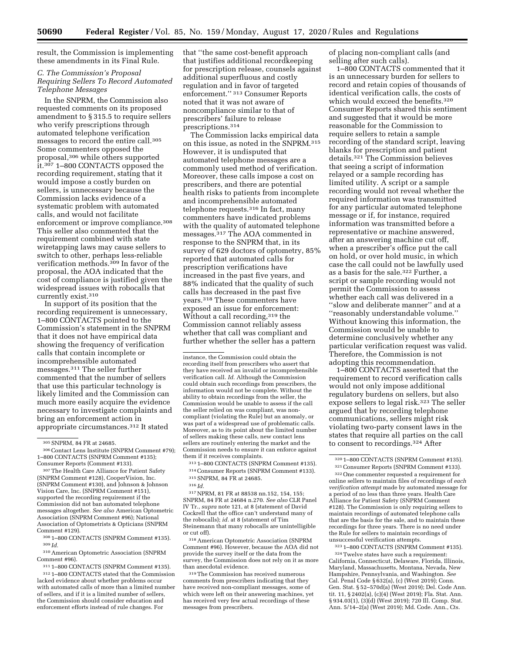result, the Commission is implementing these amendments in its Final Rule.

## *C. The Commission's Proposal Requiring Sellers To Record Automated Telephone Messages*

In the SNPRM, the Commission also requested comments on its proposed amendment to § 315.5 to require sellers who verify prescriptions through automated telephone verification messages to record the entire call.305 Some commenters opposed the proposal,306 while others supported it.307 1–800 CONTACTS opposed the recording requirement, stating that it would impose a costly burden on sellers, is unnecessary because the Commission lacks evidence of a systematic problem with automated calls, and would not facilitate enforcement or improve compliance.<sup>308</sup> This seller also commented that the requirement combined with state wiretapping laws may cause sellers to switch to other, perhaps less-reliable verification methods.<sup>309</sup> In favor of the proposal, the AOA indicated that the cost of compliance is justified given the widespread issues with robocalls that currently exist.310

In support of its position that the recording requirement is unnecessary, 1–800 CONTACTS pointed to the Commission's statement in the SNPRM that it does not have empirical data showing the frequency of verification calls that contain incomplete or incomprehensible automated messages.311 The seller further commented that the number of sellers that use this particular technology is likely limited and the Commission can much more easily acquire the evidence necessary to investigate complaints and bring an enforcement action in appropriate circumstances.312 It stated

306Contact Lens Institute (SNPRM Comment #79); 1–800 CONTACTS (SNPRM Comment #135); Consumer Reports (Comment #133).

307The Health Care Alliance for Patient Safety (SNPRM Comment #128), CooperVision, Inc. (SNPRM Comment #130), and Johnson & Johnson Vision Care, Inc. (SNPRM Comment #151), supported the recording requirement if the Commission did not ban automated telephone messages altogether. *See also* American Optometric Association (SNPRM Comment #96); National Association of Optometrists & Opticians (SNPRM Comment #129).

308 1–800 CONTACTS (SNPRM Comment #135). 309 *Id.* 

310American Optometric Association (SNPRM Comment #96).

311 1–800 CONTACTS (SNPRM Comment #135). 312 1–800 CONTACTS stated that the Commission lacked evidence about whether problems occur with automated calls of more than a limited number of sellers, and if it is a limited number of sellers, the Commission should consider education and enforcement efforts instead of rule changes. For

that ''the same cost-benefit approach that justifies additional recordkeeping for prescription release, counsels against additional superfluous and costly regulation and in favor of targeted enforcement.'' 313 Consumer Reports noted that it was not aware of noncompliance similar to that of prescribers' failure to release prescriptions.314

The Commission lacks empirical data on this issue, as noted in the SNPRM.315 However, it is undisputed that automated telephone messages are a commonly used method of verification. Moreover, these calls impose a cost on prescribers, and there are potential health risks to patients from incomplete and incomprehensible automated telephone requests.316 In fact, many commenters have indicated problems with the quality of automated telephone messages.317 The AOA commented in response to the SNPRM that, in its survey of 629 doctors of optometry, 85% reported that automated calls for prescription verifications have increased in the past five years, and 88% indicated that the quality of such calls has decreased in the past five years.318 These commenters have exposed an issue for enforcement: Without a call recording, 319 the Commission cannot reliably assess whether that call was compliant and further whether the seller has a pattern

instance, the Commission could obtain the recording itself from prescribers who assert that they have received an invalid or incomprehensible verification call. *Id.* Although the Commission could obtain such recordings from prescribers, the information would not be complete. Without the ability to obtain recordings from the seller, the Commission would be unable to assess if the call the seller relied on was compliant, was noncompliant (violating the Rule) but an anomaly, or was part of a widespread use of problematic calls. Moreover, as to its point about the limited number of sellers making these calls, new contact lens sellers are routinely entering the market and the Commission needs to ensure it can enforce against them if it receives complaints.

313 1–800 CONTACTS (SNPRM Comment #135). 314Consumer Reports (SNPRM Comment #133). 315SNPRM, 84 FR at 24685.

316 *Id.* 

317NPRM, 81 FR at 88538 nn.152, 154, 155; SNPRM, 84 FR at 24684 n.270. *See also* CLR Panel IV Tr., *supra* note 121, at 8 (statement of David Cockrell that the office can't understand many of the robocalls); *id.* at 8 (statement of Tim Steinemann that many robocalls are unintelligible or cut off).

318American Optometric Association (SNPRM Comment #96). However, because the AOA did not provide the survey itself or the data from the survey, the Commission does not rely on it as more than anecdotal evidence.

319The Commission has received numerous comments from prescribers indicating that they have received non-compliant messages, some of which were left on their answering machines, yet has received very few actual recordings of these messages from prescribers.

of placing non-compliant calls (and selling after such calls).

1–800 CONTACTS commented that it is an unnecessary burden for sellers to record and retain copies of thousands of identical verification calls, the costs of which would exceed the benefits.320 Consumer Reports shared this sentiment and suggested that it would be more reasonable for the Commission to require sellers to retain a sample recording of the standard script, leaving blanks for prescription and patient details.321 The Commission believes that seeing a script of information relayed or a sample recording has limited utility. A script or a sample recording would not reveal whether the required information was transmitted for any particular automated telephone message or if, for instance, required information was transmitted before a representative or machine answered, after an answering machine cut off, when a prescriber's office put the call on hold, or over hold music, in which case the call could not be lawfully used as a basis for the sale.322 Further, a script or sample recording would not permit the Commission to assess whether each call was delivered in a ''slow and deliberate manner'' and at a ''reasonably understandable volume.'' Without knowing this information, the Commission would be unable to determine conclusively whether any particular verification request was valid. Therefore, the Commission is not adopting this recommendation.

1–800 CONTACTS asserted that the requirement to record verification calls would not only impose additional regulatory burdens on sellers, but also expose sellers to legal risk.323 The seller argued that by recording telephone communications, sellers might risk violating two-party consent laws in the states that require all parties on the call to consent to recordings.324 After

323 1–800 CONTACTS (SNPRM Comment #135).

324Twelve states have such a requirement: California, Connecticut, Delaware, Florida, Illinois, Maryland, Massachusetts, Montana, Nevada, New Hampshire, Pennsylvania, and Washington. *See*  Cal. Penal Code § 632(a), (c) (West 2019); Conn. Gen. Stat. § 52–570d(a) (West 2019); Del. Code Ann. tit. 11, § 2402(a), (c)(4) (West 2019); Fla. Stat. Ann. § 934.03(1), (3)(d) (West 2019); 720 Ill. Comp. Stat. Ann. 5/14–2(a) (West 2019); Md. Code. Ann., Cts.

<sup>305</sup>SNPRM, 84 FR at 24685.

<sup>320</sup> 1–800 CONTACTS (SNPRM Comment #135). 321Consumer Reports (SNPRM Comment #133).

<sup>322</sup>One commenter requested a requirement for online sellers to maintain files of recordings of *each verification attempt* made by automated message for a period of no less than three years. Health Care Alliance for Patient Safety (SNPRM Comment #128). The Commission is only requiring sellers to maintain recordings of automated telephone calls that are the basis for the sale, and to maintain these recordings for three years. There is no need under the Rule for sellers to maintain recordings of unsuccessful verification attempts.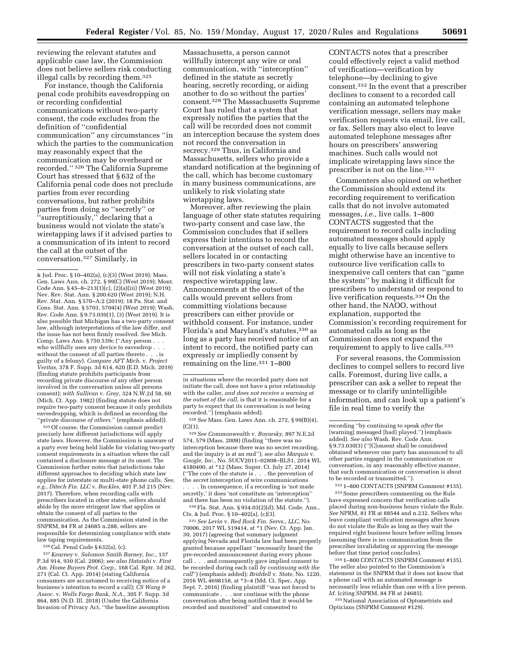reviewing the relevant statutes and applicable case law, the Commission does not believe sellers risk conducting illegal calls by recording them.325

For instance, though the California penal code prohibits eavesdropping on or recording confidential communications without two-party consent, the code excludes from the definition of ''confidential communication'' any circumstances ''in which the parties to the communication may reasonably expect that the communication may be overheard or recorded.'' 326 The California Supreme Court has stressed that § 632 of the California penal code does not preclude parties from ever recording conversations, but rather prohibits parties from doing so ''secretly'' or 'surreptitiously," declaring that a business would not violate the state's wiretapping laws if it advised parties to a communication of its intent to record the call at the outset of the conversation.327 Similarly, in

325Of course, the Commission cannot predict precisely how different jurisdictions will apply state laws. However, the Commission is unaware of a party ever being held liable for violating two-party consent requirements in a situation where the call contained a disclosure message at its onset. The Commission further notes that jurisdictions take different approaches to deciding which state law applies for interstate or multi-state phone calls. *See, e.g., Ditech Fin. LLC* v. *Buckles,* 401 P.3d 215 (Nev. 2017). Therefore, when recording calls with prescribers located in other states, sellers should abide by the more stringent law that applies or obtain the consent of all parties to the communication. As the Commission stated in the SNPRM, 84 FR at 24685 n.288, sellers are responsible for determining compliance with state law taping requirements.

326Cal. Penal Code § 632(a), (c).

327*Kearney* v. *Salomon Smith Barney, Inc.,* 137 P.3d 914, 930 (Cal. 2006); *see also Hataishi* v. *First Am. Home Buyers Prot. Corp.,* 168 Cal. Rptr. 3d 262, 271 (Cal. Ct. App. 2014) (stating California consumers are accustomed to receiving notice of a business's intention to record a call); *CS Wang & Assoc.* v. *Wells Fargo Bank, N.A.,* 305 F. Supp. 3d 864, 885 (N.D. Ill. 2018) (Under the California Invasion of Privacy Act, ''the baseline assumption

Massachusetts, a person cannot willfully intercept any wire or oral communication, with ''interception'' defined in the statute as secretly hearing, secretly recording, or aiding another to do so without the parties' consent.328 The Massachusetts Supreme Court has ruled that a system that expressly notifies the parties that the call will be recorded does not commit an interception because the system does not record the conversation in secrecy.329 Thus, in California and Massachusetts, sellers who provide a standard notification at the beginning of the call, which has become customary in many business communications, are unlikely to risk violating state wiretapping laws.

Moreover, after reviewing the plain language of other state statutes requiring two-party consent and case law, the Commission concludes that if sellers express their intentions to record the conversation at the outset of each call, sellers located in or contacting prescribers in two-party consent states will not risk violating a state's respective wiretapping law. Announcements at the outset of the calls would prevent sellers from committing violations because prescribers can either provide or withhold consent. For instance, under Florida's and Maryland's statutes,330 as long as a party has received notice of an intent to record, the notified party can expressly or impliedly consent by remaining on the line.331 1–800

328*See* Mass. Gen. Laws Ann. ch. 272, § 99(B)(4),  $(C)(1)$ .

329*See Commonwealth* v. *Boyarsky,* 897 N.E.2d 574, 579 (Mass. 2008) (finding ''there was no interception because there was no secret recording, and the inquiry is at an end''); *see also Marquis* v. *Google, Inc.,* No. SUCV2011–02808–BLS1, 2014 WL 4180400, at \*12 (Mass. Super. Ct. July 27, 2014) (''The core of the statute is . . . the prevention of the *secret* interception of wire communications . In consequence, if a recording is 'not made secretly,' it does 'not constitute an 'interception'' and there has been no violation of the statute.'').

330Fla. Stat. Ann. § 934.03(2)(d); Md. Code. Ann., Cts. & Jud. Proc. § 10–402(a), (c)(3).

331*See Levin* v. *Red Rock Fin. Servs., LLC,* No. 70006, 2017 WL 519414, at \*1 (Nev. Ct. App. Jan. 30, 2017) (agreeing that summary judgment applying Nevada and Florida law had been properly granted because appellant ''necessarily heard the pre-recorded announcement during every phone call . . . and consequently gave implied consent to be recorded during each call *by continuing with the call*'') (emphasis added); *Briddell* v. *State,* No. 1220, 2016 WL 4698158, at \*3–4 (Md. Ct. Spec. App. Sept. 7, 2016) (finding plaintiff ''was not forced to communicate . . . nor continue with the phone conversation after being notified that it would be recorded and monitored'' and consented to

CONTACTS notes that a prescriber could effectively reject a valid method of verification—verification by telephone—by declining to give consent.332 In the event that a prescriber declines to consent to a recorded call containing an automated telephone verification message, sellers may make verification requests via email, live call, or fax. Sellers may also elect to leave automated telephone messages after hours on prescribers' answering machines. Such calls would not implicate wiretapping laws since the prescriber is not on the line.333

Commenters also opined on whether the Commission should extend its recording requirement to verification calls that do not involve automated messages, *i.e.,* live calls. 1–800 CONTACTS suggested that the requirement to record calls including automated messages should apply equally to live calls because sellers might otherwise have an incentive to outsource live verification calls to inexpensive call centers that can ''game the system'' by making it difficult for prescribers to understand or respond to live verification requests.334 On the other hand, the NAOO, without explanation, supported the Commission's recording requirement for automated calls as long as the Commission does not expand the requirement to apply to live calls.335

For several reasons, the Commission declines to compel sellers to record live calls. Foremost, during live calls, a prescriber can ask a seller to repeat the message or to clarify unintelligible information, and can look up a patient's file in real time to verify the

332 1–800 CONTACTS (SNPRM Comment #135). 333Some prescribers commenting on the Rule have expressed concern that verification calls placed during non-business hours violate the Rule. *See* NPRM, 81 FR at 88544 and n.232. Sellers who leave compliant verification messages after hours do not violate the Rule as long as they wait the required eight business hours before selling lenses (assuming there is no communication from the prescriber invalidating or approving the message before that time period concludes).

334 1–800 CONTACTS (SNPRM Comment #135). The seller also pointed to the Commission's statement in the SNPRM that it does not know that a phone call with an automated message is necessarily less reliable than one with a live person. *Id.* (citing SNPRM, 84 FR at 24685).

335National Association of Optometrists and Opticians (SNPRM Comment #129).

<sup>&</sup>amp; Jud. Proc. § 10–402(a), (c)(3) (West 2019); Mass. Gen. Laws Ann. ch. 272, § 99(C) (West 2019); Mont. Code Ann. § 45–8–213(1)(c), (2)(a)(iii) (West 2019); Nev. Rev. Stat. Ann. § 200.620 (West 2019); N.H. Rev. Stat. Ann. § 570–A:2 (2019); 18 Pa. Stat. and Cons. Stat. Ann. § 5703, 5704(4) (West 2019); Wash. Rev. Code Ann. § 9.73.030(1), (3) (West 2019). It is also possible that Michigan has a two-party consent law, although interpretations of the law differ, and the issue has not been firmly resolved. *See* Mich. Comp. Laws Ann. § 750.539c (''Any person . . . who willfully uses any device to eavesdrop . . . without the consent of all parties thereto . . . is guilty of a felony). *Compare AFT Mich.* v. *Project Veritas,* 378 F. Supp. 3d 614, 620 (E.D. Mich. 2019) (finding statute prohibits participants from recording private discourse of any other person involved in the conversation unless all persons consent); *with Sullivan* v. *Gray,* 324 N.W.2d 58, 60 (Mich. Ct. App. 1982) (finding statute does not require two-party consent because it only prohibits eavesdropping, which is defined as recording the ''private discourse *of others.*'' (emphasis added)).

in situations where the recorded party does not initiate the call, does not have a prior relationship with the caller, *and does not receive a warning at the outset of the call,* is that it is reasonable for a party to expect that its conversation is not being recorded.'') (emphasis added).

recording ''by continuing to speak *after* the [warning] messaged [had] played.'') (emphasis added). *See also* Wash. Rev. Code Ann. § 9.73.030(3) (''[C]onsent shall be considered obtained whenever one party has announced to all other parties engaged in the communication or conversation, in any reasonably effective manner, that such communication or conversation is about to be recorded or transmitted.'').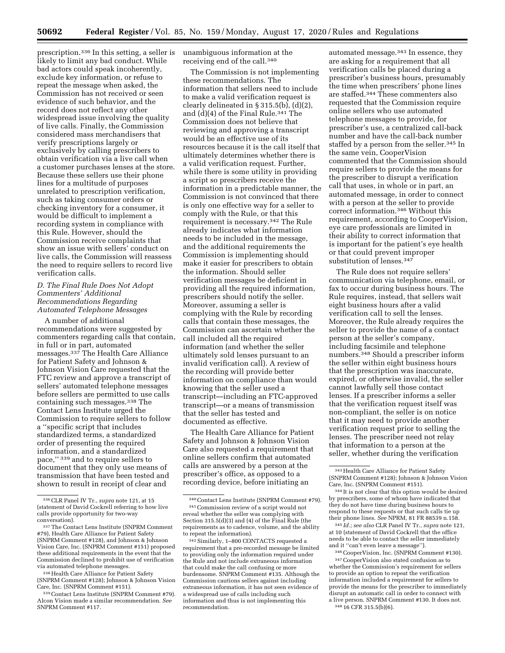prescription.336 In this setting, a seller is likely to limit any bad conduct. While bad actors could speak incoherently, exclude key information, or refuse to repeat the message when asked, the Commission has not received or seen evidence of such behavior, and the record does not reflect any other widespread issue involving the quality of live calls. Finally, the Commission considered mass merchandisers that verify prescriptions largely or exclusively by calling prescribers to obtain verification via a live call when a customer purchases lenses at the store. Because these sellers use their phone lines for a multitude of purposes unrelated to prescription verification, such as taking consumer orders or checking inventory for a consumer, it would be difficult to implement a recording system in compliance with this Rule. However, should the Commission receive complaints that show an issue with sellers' conduct on live calls, the Commission will reassess the need to require sellers to record live verification calls.

## *D. The Final Rule Does Not Adopt Commenters' Additional Recommendations Regarding Automated Telephone Messages*

A number of additional recommendations were suggested by commenters regarding calls that contain, in full or in part, automated messages.<sup>337</sup> The Health Care Alliance for Patient Safety and Johnson & Johnson Vision Care requested that the FTC review and approve a transcript of sellers' automated telephone messages before sellers are permitted to use calls containing such messages.338 The Contact Lens Institute urged the Commission to require sellers to follow a ''specific script that includes standardized terms, a standardized order of presenting the required information, and a standardized pace,'' 339 and to require sellers to document that they only use means of transmission that have been tested and shown to result in receipt of clear and

unambiguous information at the receiving end of the call.340

The Commission is not implementing these recommendations. The information that sellers need to include to make a valid verification request is clearly delineated in § 315.5(b), (d)(2), and  $(d)(4)$  of the Final Rule.<sup>341</sup> The Commission does not believe that reviewing and approving a transcript would be an effective use of its resources because it is the call itself that ultimately determines whether there is a valid verification request. Further, while there is some utility in providing a script so prescribers receive the information in a predictable manner, the Commission is not convinced that there is only one effective way for a seller to comply with the Rule, or that this requirement is necessary.342 The Rule already indicates what information needs to be included in the message, and the additional requirements the Commission is implementing should make it easier for prescribers to obtain the information. Should seller verification messages be deficient in providing all the required information, prescribers should notify the seller. Moreover, assuming a seller is complying with the Rule by recording calls that contain these messages, the Commission can ascertain whether the call included all the required information (and whether the seller ultimately sold lenses pursuant to an invalid verification call). A review of the recording will provide better information on compliance than would knowing that the seller used a transcript—including an FTC-approved transcript—or a means of transmission that the seller has tested and documented as effective.

The Health Care Alliance for Patient Safety and Johnson & Johnson Vision Care also requested a requirement that online sellers confirm that automated calls are answered by a person at the prescriber's office, as opposed to a recording device, before initiating an

automated message.343 In essence, they are asking for a requirement that all verification calls be placed during a prescriber's business hours, presumably the time when prescribers' phone lines are staffed.344 These commenters also requested that the Commission require online sellers who use automated telephone messages to provide, for prescriber's use, a centralized call-back number and have the call-back number staffed by a person from the seller.345 In the same vein, CooperVision commented that the Commission should require sellers to provide the means for the prescriber to disrupt a verification call that uses, in whole or in part, an automated message, in order to connect with a person at the seller to provide correct information.346 Without this requirement, according to CooperVision, eye care professionals are limited in their ability to correct information that is important for the patient's eye health or that could prevent improper substitution of lenses.<sup>347</sup>

The Rule does not require sellers' communication via telephone, email, or fax to occur during business hours. The Rule requires, instead, that sellers wait eight business hours after a valid verification call to sell the lenses. Moreover, the Rule already requires the seller to provide the name of a contact person at the seller's company, including facsimile and telephone numbers.348 Should a prescriber inform the seller within eight business hours that the prescription was inaccurate, expired, or otherwise invalid, the seller cannot lawfully sell those contact lenses. If a prescriber informs a seller that the verification request itself was non-compliant, the seller is on notice that it may need to provide another verification request prior to selling the lenses. The prescriber need not relay that information to a person at the seller, whether during the verification

345 *Id.; see also* CLR Panel IV Tr., *supra* note 121, at 10 (statement of David Cockrell that the office needs to be able to contact the seller immediately and it ''can't even leave a message'').

346CooperVision, Inc. (SNPRM Comment #130). 347CooperVision also stated confusion as to whether the Commission's requirement for sellers to provide an option to repeat the verification information included a requirement for sellers to provide the means for the prescriber to immediately disrupt an automatic call in order to connect with a live person. SNPRM Comment #130. It does not. 348 16 CFR 315.5(b)(6).

<sup>336</sup>CLR Panel IV Tr., *supra* note 121, at 15 (statement of David Cockrell referring to how live calls provide opportunity for two-way conversation).

<sup>337</sup>The Contact Lens Institute (SNPRM Comment #79), Health Care Alliance for Patient Safety (SNPRM Comment #128), and Johnson & Johnson Vision Care, Inc. (SNPRM Comment #151) proposed these additional requirements in the event that the Commission declined to prohibit use of verification via automated telephone messages.

<sup>338</sup>Health Care Alliance for Patient Safety (SNPRM Comment #128); Johnson & Johnson Vision Care, Inc. (SNPRM Comment #151).

<sup>339</sup>Contact Lens Institute (SNPRM Comment #79). Alcon Vision made a similar recommendation. *See*  SNPRM Comment #117.

<sup>340</sup>Contact Lens Institute (SNPRM Comment #79). 341Commission review of a script would not reveal whether the seller was complying with Section 315.5(d)(3) and (4) of the Final Rule (the requirements as to cadence, volume, and the ability to repeat the information).

<sup>342</sup>Similarly, 1–800 CONTACTS requested a requirement that a pre-recorded message be limited to providing only the information required under the Rule and not include extraneous information that could make the call confusing or more burdensome. SNPRM Comment #135. Although the Commission cautions sellers against including extraneous information, it has not seen evidence of a widespread use of calls including such information and thus is not implementing this recommendation.

<sup>343</sup>Health Care Alliance for Patient Safety (SNPRM Comment #128); Johnson & Johnson Vision Care, Inc. (SNPRM Comment #151).

<sup>344</sup> It is not clear that this option would be desired by prescribers, some of whom have indicated that they do not have time during business hours to respond to these requests or that such calls tie up their phone lines. *See* NPRM, 81 FR 88539 n.158.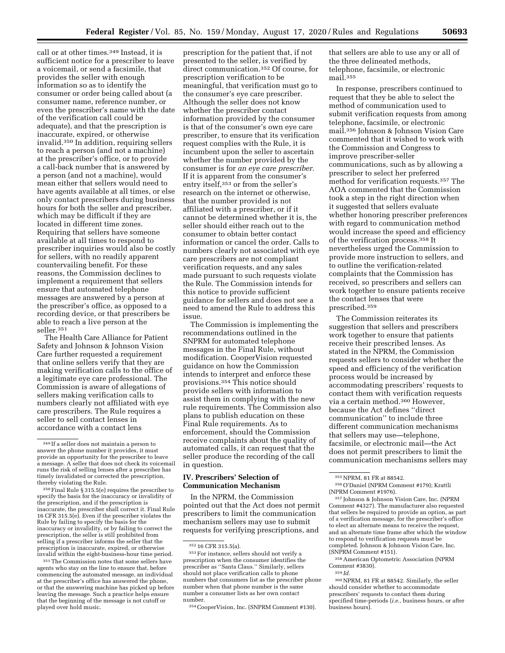call or at other times.349 Instead, it is sufficient notice for a prescriber to leave a voicemail, or send a facsimile, that provides the seller with enough information so as to identify the consumer or order being called about (a consumer name, reference number, or even the prescriber's name with the date of the verification call could be adequate), and that the prescription is inaccurate, expired, or otherwise invalid.350 In addition, requiring sellers to reach a person (and not a machine) at the prescriber's office, or to provide a call-back number that is answered by a person (and not a machine), would mean either that sellers would need to have agents available at all times, or else only contact prescribers during business hours for both the seller and prescriber, which may be difficult if they are located in different time zones. Requiring that sellers have someone available at all times to respond to prescriber inquiries would also be costly for sellers, with no readily apparent countervailing benefit. For these reasons, the Commission declines to implement a requirement that sellers ensure that automated telephone messages are answered by a person at the prescriber's office, as opposed to a recording device, or that prescribers be able to reach a live person at the seller.351

The Health Care Alliance for Patient Safety and Johnson & Johnson Vision Care further requested a requirement that online sellers verify that they are making verification calls to the office of a legitimate eye care professional. The Commission is aware of allegations of sellers making verification calls to numbers clearly not affiliated with eye care prescribers. The Rule requires a seller to sell contact lenses in accordance with a contact lens

 $1350$  Final Rule § 315.5(e) requires the prescriber to specify the basis for the inaccuracy or invalidity of the prescription, and if the prescription is inaccurate, the prescriber shall correct it. Final Rule 16 CFR 315.5(e). Even if the prescriber violates the Rule by failing to specify the basis for the inaccuracy or invalidity, or by failing to correct the prescription, the seller is still prohibited from selling if a prescriber informs the seller that the prescription is inaccurate, expired, or otherwise invalid within the eight-business-hour time period.

351The Commission notes that some sellers have agents who stay on the line to ensure that, before commencing the automated message, an individual at the prescriber's office has answered the phone, or that the answering machine has picked up before leaving the message. Such a practice helps ensure that the beginning of the message is not cutoff or played over hold music.

prescription for the patient that, if not presented to the seller, is verified by direct communication.352 Of course, for prescription verification to be meaningful, that verification must go to the consumer's eye care prescriber. Although the seller does not know whether the prescriber contact information provided by the consumer is that of the consumer's own eye care prescriber, to ensure that its verification request complies with the Rule, it is incumbent upon the seller to ascertain whether the number provided by the consumer is for *an eye care prescriber.*  If it is apparent from the consumer's entry itself,353 or from the seller's research on the internet or otherwise, that the number provided is not affiliated with a prescriber, or if it cannot be determined whether it is, the seller should either reach out to the consumer to obtain better contact information or cancel the order. Calls to numbers clearly not associated with eye care prescribers are not compliant verification requests, and any sales made pursuant to such requests violate the Rule. The Commission intends for this notice to provide sufficient guidance for sellers and does not see a need to amend the Rule to address this issue.

The Commission is implementing the recommendations outlined in the SNPRM for automated telephone messages in the Final Rule, without modification. CooperVision requested guidance on how the Commission intends to interpret and enforce these provisions.354 This notice should provide sellers with information to assist them in complying with the new rule requirements. The Commission also plans to publish education on these Final Rule requirements. As to enforcement, should the Commission receive complaints about the quality of automated calls, it can request that the seller produce the recording of the call in question.

## **IV. Prescribers' Selection of Communication Mechanism**

In the NPRM, the Commission pointed out that the Act does not permit prescribers to limit the communication mechanism sellers may use to submit requests for verifying prescriptions, and

that sellers are able to use any or all of the three delineated methods, telephone, facsimile, or electronic mail.355

In response, prescribers continued to request that they be able to select the method of communication used to submit verification requests from among telephone, facsimile, or electronic mail.356 Johnson & Johnson Vision Care commented that it wished to work with the Commission and Congress to improve prescriber-seller communications, such as by allowing a prescriber to select her preferred method for verification requests.357 The AOA commented that the Commission took a step in the right direction when it suggested that sellers evaluate whether honoring prescriber preferences with regard to communication method would increase the speed and efficiency of the verification process.358 It nevertheless urged the Commission to provide more instruction to sellers, and to outline the verification-related complaints that the Commission has received, so prescribers and sellers can work together to ensure patients receive the contact lenses that were prescribed.359

The Commission reiterates its suggestion that sellers and prescribers work together to ensure that patients receive their prescribed lenses. As stated in the NPRM, the Commission requests sellers to consider whether the speed and efficiency of the verification process would be increased by accommodating prescribers' requests to contact them with verification requests via a certain method.360 However, because the Act defines ''direct communication'' to include three different communication mechanisms that sellers may use—telephone, facsimile, or electronic mail—the Act does not permit prescribers to limit the communication mechanisms sellers may

358American Optometric Association (NPRM Comment #3830).

360NPRM, 81 FR at 88542. Similarly, the seller should consider whether to accommodate prescribers' requests to contact them during specified time-periods (*i.e.,* business hours, or after business hours).

<sup>349</sup> If a seller does not maintain a person to answer the phone number it provides, it must provide an opportunity for the prescriber to leave a message. A seller that does not check its voicemail runs the risk of selling lenses after a prescriber has timely invalidated or corrected the prescription,<br>thereby violating the Rule.

<sup>352</sup> 16 CFR 315.5(a).

<sup>353</sup>For instance, sellers should not verify a prescription when the consumer identifies the prescriber as ''Santa Claus.'' Similarly, sellers should not place verification calls to phone numbers that consumers list as the prescriber phone number when that phone number is the same number a consumer lists as her own contact number.

<sup>354</sup>CooperVision, Inc. (SNPRM Comment #130).

<sup>355</sup>NPRM, 81 FR at 88542.

<sup>356</sup>O'Daniel (NPRM Comment #179); Krattli (NPRM Comment #1976).

<sup>357</sup> Johnson & Johnson Vision Care, Inc. (NPRM Comment #4327). The manufacturer also requested that sellers be required to provide an option, as part of a verification message, for the prescriber's office to elect an alternate means to receive the request, and an alternate time frame after which the window to respond to verification requests must be completed. Johnson & Johnson Vision Care, Inc. (SNPRM Comment #151).

<sup>359</sup> *Id.*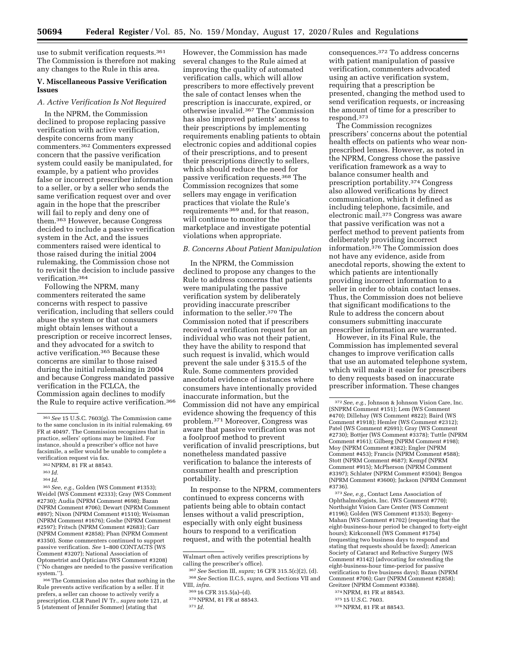use to submit verification requests.<sup>361</sup> The Commission is therefore not making any changes to the Rule in this area.

### **V. Miscellaneous Passive Verification Issues**

## *A. Active Verification Is Not Required*

In the NPRM, the Commission declined to propose replacing passive verification with active verification, despite concerns from many commenters.362 Commenters expressed concern that the passive verification system could easily be manipulated, for example, by a patient who provides false or incorrect prescriber information to a seller, or by a seller who sends the same verification request over and over again in the hope that the prescriber will fail to reply and deny one of them.363 However, because Congress decided to include a passive verification system in the Act, and the issues commenters raised were identical to those raised during the initial 2004 rulemaking, the Commission chose not to revisit the decision to include passive verification.364

Following the NPRM, many commenters reiterated the same concerns with respect to passive verification, including that sellers could abuse the system or that consumers might obtain lenses without a prescription or receive incorrect lenses, and they advocated for a switch to active verification.365 Because these concerns are similar to those raised during the initial rulemaking in 2004 and because Congress mandated passive verification in the FCLCA, the Commission again declines to modify the Rule to require active verification.366

364 *Id.* 

365*See, e.g.,* Golden (WS Comment #1353); Weidel (WS Comment #2333); Gray (WS Comment #2730); Audia (NPRM Comment #698); Bazan (NPRM Comment #706); Dewart (NPRM Comment #897); Nixon (NPRM Comment #1510); Weissman (NPRM Comment #1676); Goshe (NPRM Comment #2597); Fritsch (NPRM Comment #2683); Garr (NPRM Comment #2858); Phan (NPRM Comment #3350). Some commenters continued to support passive verification. *See* 1–800 CONTACTS (WS Comment #3207); National Association of Optometrist and Opticians (WS Comment #3208) (''No changes are needed to the passive verification system.'').

366The Commission also notes that nothing in the Rule prevents active verification by a seller. If it prefers, a seller can choose to actively verify a prescription. CLR Panel IV Tr., *supra* note 121, at 5 (statement of Jennifer Sommer) (stating that

However, the Commission has made several changes to the Rule aimed at improving the quality of automated verification calls, which will allow prescribers to more effectively prevent the sale of contact lenses when the prescription is inaccurate, expired, or otherwise invalid.367 The Commission has also improved patients' access to their prescriptions by implementing requirements enabling patients to obtain electronic copies and additional copies of their prescriptions, and to present their prescriptions directly to sellers, which should reduce the need for passive verification requests.368 The Commission recognizes that some sellers may engage in verification practices that violate the Rule's requirements 369 and, for that reason, will continue to monitor the marketplace and investigate potential violations when appropriate.

### *B. Concerns About Patient Manipulation*

In the NPRM, the Commission declined to propose any changes to the Rule to address concerns that patients were manipulating the passive verification system by deliberately providing inaccurate prescriber information to the seller.370 The Commission noted that if prescribers received a verification request for an individual who was not their patient, they have the ability to respond that such request is invalid, which would prevent the sale under § 315.5 of the Rule. Some commenters provided anecdotal evidence of instances where consumers have intentionally provided inaccurate information, but the Commission did not have any empirical evidence showing the frequency of this problem.371 Moreover, Congress was aware that passive verification was not a foolproof method to prevent verification of invalid prescriptions, but nonetheless mandated passive verification to balance the interests of consumer health and prescription portability.

In response to the NPRM, commenters continued to express concerns with patients being able to obtain contact lenses without a valid prescription, especially with only eight business hours to respond to a verification request, and with the potential health

consequences.372 To address concerns with patient manipulation of passive verification, commenters advocated using an active verification system, requiring that a prescription be presented, changing the method used to send verification requests, or increasing the amount of time for a prescriber to respond.373

The Commission recognizes prescribers' concerns about the potential health effects on patients who wear nonprescribed lenses. However, as noted in the NPRM, Congress chose the passive verification framework as a way to balance consumer health and prescription portability.374 Congress also allowed verifications by direct communication, which it defined as including telephone, facsimile, and electronic mail.375 Congress was aware that passive verification was not a perfect method to prevent patients from deliberately providing incorrect information.376 The Commission does not have any evidence, aside from anecdotal reports, showing the extent to which patients are intentionally providing incorrect information to a seller in order to obtain contact lenses. Thus, the Commission does not believe that significant modifications to the Rule to address the concern about consumers submitting inaccurate prescriber information are warranted.

However, in its Final Rule, the Commission has implemented several changes to improve verification calls that use an automated telephone system, which will make it easier for prescribers to deny requests based on inaccurate prescriber information. These changes

373*See, e.g.,* Contact Lens Association of Ophthalmologists, Inc. (WS Comment #770); Northsight Vision Care Center (WS Comment #1196); Golden (WS Comment #1353); Begeny-Mahan (WS Comment #1702) (requesting that the eight-business-hour period be changed to forty-eight hours); Kirkconnell (WS Comment #1754) (requesting two business days to respond and stating that requests should be faxed); American Society of Cataract and Refractive Surgery (WS Comment #3142) (advocating for extending the eight-business-hour time-period for passive verification to five business days); Bazan (NPRM Comment #706); Garr (NPRM Comment #2858); Greitzer (NPRM Comment #3388). 374NPRM, 81 FR at 88543.

376 NPRM, 81 FR at 88543.

<sup>361</sup>*See* 15 U.S.C. 7603(g). The Commission came to the same conclusion in its initial rulemaking. 69 FR at 40497. The Commission recognizes that in practice, sellers' options may be limited. For instance, should a prescriber's office not have facsimile, a seller would be unable to complete a verification request via fax.

<sup>362</sup>NPRM, 81 FR at 88543.

<sup>363</sup> *Id.* 

Walmart often actively verifies prescriptions by calling the prescriber's office).

<sup>367</sup>*See* Section III, *supra;* 16 CFR 315.5(c)(2), (d). 368*See* Section II.C.5, *supra,* and Sections VII and VIII, *infra.* 

<sup>369</sup> 16 CFR 315.5(a)–(d).

<sup>370</sup>NPRM, 81 FR at 88543.

<sup>371</sup> *Id.* 

<sup>372</sup>*See, e.g.,* Johnson & Johnson Vision Care, Inc. (SNPRM Comment #151); Lem (WS Comment #470); Dillehay (WS Comment #822); Baird (WS Comment #1918); Hemler (WS Comment #2312); Patel (WS Comment #2691); Gray (WS Comment #2730); Bottjer (WS Comment #3378); Tuttle (NPRM Comment #161); Gilberg (NPRM Comment #198); Moy (NPRM Comment #382); Engler (NPRM Comment #453); Francis (NPRM Comment #588); Stott (NPRM Comment #687); Kempf (NPRM Comment #915); McPherson (NPRM Comment #3397); Schlater (NPRM Comment #3504); Bengoa (NPRM Comment #3600); Jackson (NPRM Comment #3736).

<sup>375</sup> 15 U.S.C. 7603.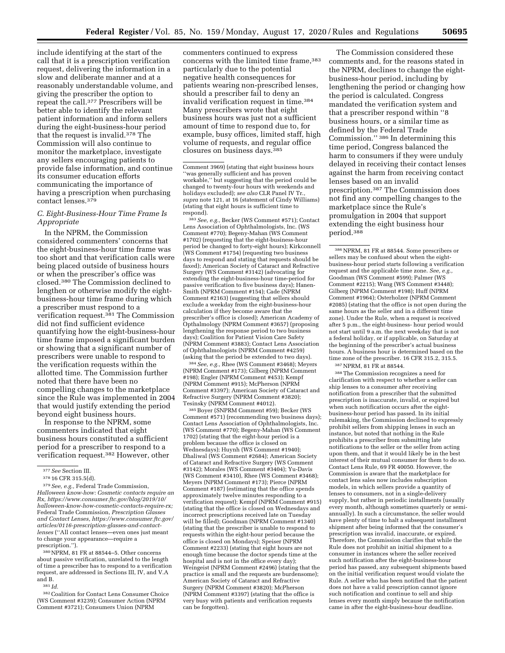include identifying at the start of the call that it is a prescription verification request, delivering the information in a slow and deliberate manner and at a reasonably understandable volume, and giving the prescriber the option to repeat the call.377 Prescribers will be better able to identify the relevant patient information and inform sellers during the eight-business-hour period that the request is invalid.378 The Commission will also continue to monitor the marketplace, investigate any sellers encouraging patients to provide false information, and continue its consumer education efforts communicating the importance of having a prescription when purchasing contact lenses.379

# *C. Eight-Business-Hour Time Frame Is Appropriate*

In the NPRM, the Commission considered commenters' concerns that the eight-business-hour time frame was too short and that verification calls were being placed outside of business hours or when the prescriber's office was closed.380 The Commission declined to lengthen or otherwise modify the eightbusiness-hour time frame during which a prescriber must respond to a verification request.381 The Commission did not find sufficient evidence quantifying how the eight-business-hour time frame imposed a significant burden or showing that a significant number of prescribers were unable to respond to the verification requests within the allotted time. The Commission further noted that there have been no compelling changes to the marketplace since the Rule was implemented in 2004 that would justify extending the period beyond eight business hours.

In response to the NPRM, some commenters indicated that eight business hours constituted a sufficient period for a prescriber to respond to a verification request.382 However, other

379*See, e.g.,* Federal Trade Commission, *Halloween know-how: Cosmetic contacts require an Rx, [https://www.consumer.ftc.gov/blog/2019/10/](https://www.consumer.ftc.gov/blog/2019/10/halloween-know-how-cosmetic-contacts-require-rx) [halloween-know-how-cosmetic-contacts-require-rx;](https://www.consumer.ftc.gov/blog/2019/10/halloween-know-how-cosmetic-contacts-require-rx)*  Federal Trade Commission, *Prescription Glasses and Contact Lenses, [https://www.consumer.ftc.gov/](https://www.consumer.ftc.gov/articles/0116-prescription-glasses-and-contact-lenses)  [articles/0116-prescription-glasses-and-contact](https://www.consumer.ftc.gov/articles/0116-prescription-glasses-and-contact-lenses)[lenses](https://www.consumer.ftc.gov/articles/0116-prescription-glasses-and-contact-lenses)* (''All contact lenses—even ones just meant

to change your appearance—require a prescription.''). 380NPRM, 81 FR at 88544–5. Other concerns about passive verification, unrelated to the length

of time a prescriber has to respond to a verification request, are addressed in Sections III, IV, and V.A and B.

381 *Id.* 

382Coalition for Contact Lens Consumer Choice (WS Comment #3239); Consumer Action (NPRM Comment #3721); Consumers Union (NPRM

commenters continued to express concerns with the limited time frame, 383 particularly due to the potential negative health consequences for patients wearing non-prescribed lenses, should a prescriber fail to deny an invalid verification request in time.384 Many prescribers wrote that eight business hours was just not a sufficient amount of time to respond due to, for example, busy offices, limited staff, high volume of requests, and regular office closures on business days.385

383*See, e.g.,* Becker (WS Comment #571); Contact Lens Association of Ophthalmologists, Inc. (WS Comment #770); Begeny-Mahan (WS Comment #1702) (requesting that the eight-business-hour period be changed to forty-eight hours); Kirkconnell (WS Comment #1754) (requesting two business days to respond and stating that requests should be faxed); American Society of Cataract and Refractive Surgery (WS Comment #3142) (advocating for extending the eight-business-hour time-period for passive verification to five business days); Hanen-Smith (NPRM Comment #154); Cade (NPRM Comment #2163) (suggesting that sellers should exclude a weekday from the eight-business-hour calculation if they become aware that the prescriber's office is closed); American Academy of Opthalmology (NPRM Comment #3657) (proposing lengthening the response period to two business days); Coalition for Patient Vision Care Safety (NPRM Comment #3883); Contact Lens Association of Ophthalmologists (NPRM Comment #4259) (asking that the period be extended to two days).

384*See, e.g.,* Rhee (WS Comment #3468); Meyers (NPRM Comment #173); Gilberg (NPRM Comment #198); Engler (NPRM Comment #453); Kempf (NPRM Comment #915); McPherson (NPRM Comment #3397); American Society of Cataract and Refractive Surgery (NPRM Comment #3820); Tesinsky (NPRM Comment #4012).

385Boyer (SNPRM Comment #59); Becker (WS Comment #571) (recommending two business days); Contact Lens Association of Ophthalmologists, Inc. (WS Comment #770); Begeny-Mahan (WS Comment 1702) (stating that the eight-hour period is a problem because the office is closed on Wednesdays); Huynh (WS Comment #1940); Dhaliwal (WS Comment #2684); American Society of Cataract and Refractive Surgery (WS Comment #3142); Morales (WS Comment #3404); Yu-Davis (WS Comment #3410), Rhee (WS Comment #3468); Meyers (NPRM Comment #173); Pierce (NPRM Comment #187) (estimating that the office spends approximately twelve minutes responding to a verification request); Kempf (NPRM Comment #915) (stating that the office is closed on Wednesdays and incorrect prescriptions received late on Tuesday will be filled); Goodman (NPRM Comment #1340) (stating that the prescriber is unable to respond to requests within the eight-hour period because the office is closed on Mondays); Speiser (NPRM Comment #2233) (stating that eight hours are not enough time because the doctor spends time at the hospital and is not in the office every day); Weingeist (NPRM Comment #2496) (stating that the practice is small and the requests are burdensome); American Society of Cataract and Refractive Surgery (NPRM Comment #3820); McPherson (NPRM Comment #3397) (stating that the office is very busy with patients and verification requests can be forgotten).

The Commission considered these comments and, for the reasons stated in the NPRM, declines to change the eightbusiness-hour period, including by lengthening the period or changing how the period is calculated. Congress mandated the verification system and that a prescriber respond within ''8 business hours, or a similar time as defined by the Federal Trade Commission.'' 386 In determining this time period, Congress balanced the harm to consumers if they were unduly delayed in receiving their contact lenses against the harm from receiving contact lenses based on an invalid prescription.387 The Commission does not find any compelling changes to the marketplace since the Rule's promulgation in 2004 that support extending the eight business hour period.388

386NPRM, 81 FR at 88544. Some prescribers or sellers may be confused about when the eightbusiness-hour period starts following a verification request and the applicable time zone. *See, e.g.,*  Goodman (WS Comment #599); Palmer (WS Comment #2215); Wang (WS Comment #3448); Gilberg (NPRM Comment #198); Huff (NPRM Comment #1964); Osterholzer (NPRM Comment #2085) (stating that the office is not open during the same hours as the seller and in a different time zone). Under the Rule, when a request is received after 5 p.m., the eight-business- hour period would not start until 9 a.m. the next weekday that is not a federal holiday, or if applicable, on Saturday at the beginning of the prescriber's actual business hours. A business hour is determined based on the time zone of the prescriber. 16 CFR 315.2, 315.5.

387NPRM, 81 FR at 88544.

388The Commission recognizes a need for clarification with respect to whether a seller can ship lenses to a consumer after receiving notification from a prescriber that the submitted prescription is inaccurate, invalid, or expired but when such notification occurs after the eightbusiness-hour period has passed. In its initial rulemaking, the Commission declined to expressly prohibit sellers from shipping lenses in such an instance, but noted that nothing in the Rule prohibits a prescriber from submitting late notifications to the seller or the seller from acting upon them, and that it would likely be in the best interest of their mutual consumer for them to do so. Contact Lens Rule, 69 FR 40050. However, the Commission is aware that the marketplace for contact lens sales now includes subscription models, in which sellers provide a quantity of lenses to consumers, not in a single-delivery supply, but rather in periodic installments (usually every month, although sometimes quarterly or semiannually). In such a circumstance, the seller would have plenty of time to halt a subsequent installment shipment after being informed that the consumer's prescription was invalid, inaccurate, or expired. Therefore, the Commission clarifies that while the Rule does not prohibit an initial shipment to a consumer in instances where the seller received such notification after the eight-business-hour period has passed, any subsequent shipments based on the initial verification request would violate the Rule. A seller who has been notified that the patient does not have a valid prescription cannot ignore such notification and continue to sell and ship lenses every month simply because the notification came in after the eight-business-hour deadline.

<sup>377</sup>*See* Section III.

<sup>378</sup> 16 CFR 315.5(d).

Comment 3969) (stating that eight business hours ''was generally sufficient and has proven workable,'' but suggesting that the period could be changed to twenty-four hours with weekends and holidays excluded); *see also* CLR Panel IV Tr., *supra* note 121, at 16 (statement of Cindy Williams) (stating that eight hours is sufficient time to respond).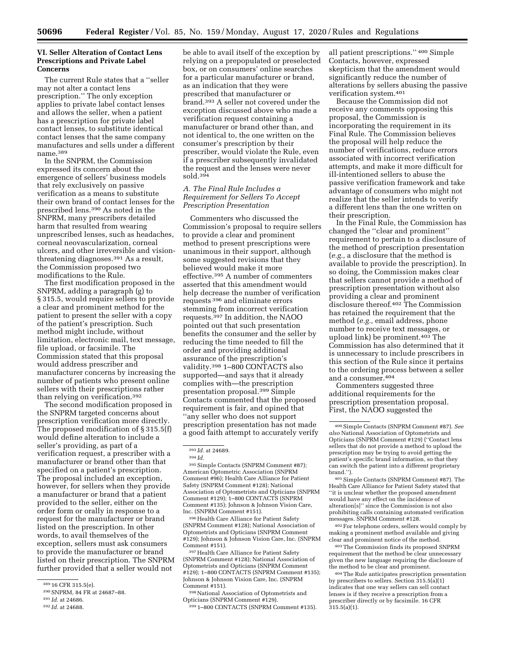### **VI. Seller Alteration of Contact Lens Prescriptions and Private Label Concerns**

The current Rule states that a ''seller may not alter a contact lens prescription.'' The only exception applies to private label contact lenses and allows the seller, when a patient has a prescription for private label contact lenses, to substitute identical contact lenses that the same company manufactures and sells under a different name.389

In the SNPRM, the Commission expressed its concern about the emergence of sellers' business models that rely exclusively on passive verification as a means to substitute their own brand of contact lenses for the prescribed lens.390 As noted in the SNPRM, many prescribers detailed harm that resulted from wearing unprescribed lenses, such as headaches, corneal neovascularization, corneal ulcers, and other irreversible and visionthreatening diagnoses.391 As a result, the Commission proposed two modifications to the Rule.

The first modification proposed in the SNPRM, adding a paragraph (g) to § 315.5, would require sellers to provide a clear and prominent method for the patient to present the seller with a copy of the patient's prescription. Such method might include, without limitation, electronic mail, text message, file upload, or facsimile. The Commission stated that this proposal would address prescriber and manufacturer concerns by increasing the number of patients who present online sellers with their prescriptions rather than relying on verification.392

The second modification proposed in the SNPRM targeted concerns about prescription verification more directly. The proposed modification of § 315.5(f) would define alteration to include a seller's providing, as part of a verification request, a prescriber with a manufacturer or brand other than that specified on a patient's prescription. The proposal included an exception, however, for sellers when they provide a manufacturer or brand that a patient provided to the seller, either on the order form or orally in response to a request for the manufacturer or brand listed on the prescription. In other words, to avail themselves of the exception, sellers must ask consumers to provide the manufacturer or brand listed on their prescription. The SNPRM further provided that a seller would not

be able to avail itself of the exception by relying on a prepopulated or preselected box, or on consumers' online searches for a particular manufacturer or brand, as an indication that they were prescribed that manufacturer or brand.393 A seller not covered under the exception discussed above who made a verification request containing a manufacturer or brand other than, and not identical to, the one written on the consumer's prescription by their prescriber, would violate the Rule, even if a prescriber subsequently invalidated the request and the lenses were never  $sold.394$ 

## *A. The Final Rule Includes a Requirement for Sellers To Accept Prescription Presentation*

Commenters who discussed the Commission's proposal to require sellers to provide a clear and prominent method to present prescriptions were unanimous in their support, although some suggested revisions that they believed would make it more effective.395 A number of commenters asserted that this amendment would help decrease the number of verification requests 396 and eliminate errors stemming from incorrect verification requests.397 In addition, the NAOO pointed out that such presentation benefits the consumer and the seller by reducing the time needed to fill the order and providing additional assurance of the prescription's validity.398 1–800 CONTACTS also supported—and says that it already complies with—the prescription presentation proposal.399 Simple Contacts commented that the proposed requirement is fair, and opined that ''any seller who does not support prescription presentation has not made a good faith attempt to accurately verify

395Simple Contacts (SNPRM Comment #87); American Optometric Association (SNPRM Comment #96); Health Care Alliance for Patient Safety (SNPRM Comment #128); National Association of Optometrists and Opticians (SNPRM Comment #129); 1–800 CONTACTS (SNPRM Comment #135); Johnson & Johnson Vision Care, Inc. (SNPRM Comment #151).

396Health Care Alliance for Patient Safety (SNPRM Comment #128); National Association of Optometrists and Opticians (SNPRM Comment #129); Johnson & Johnson Vision Care, Inc. (SNPRM Comment #151).

397Health Care Alliance for Patient Safety (SNPRM Comment #128); National Association of Optometrists and Opticians (SNPRM Comment #129); 1–800 CONTACTS (SNPRM Comment #135); Johnson & Johnson Vision Care, Inc. (SNPRM Comment #151).

398National Association of Optometrists and Opticians (SNPRM Comment #129).

399 1–800 CONTACTS (SNPRM Comment #135).

all patient prescriptions.'' 400 Simple Contacts, however, expressed skepticism that the amendment would significantly reduce the number of alterations by sellers abusing the passive verification system.401

Because the Commission did not receive any comments opposing this proposal, the Commission is incorporating the requirement in its Final Rule. The Commission believes the proposal will help reduce the number of verifications, reduce errors associated with incorrect verification attempts, and make it more difficult for ill-intentioned sellers to abuse the passive verification framework and take advantage of consumers who might not realize that the seller intends to verify a different lens than the one written on their prescription.

In the Final Rule, the Commission has changed the ''clear and prominent'' requirement to pertain to a disclosure of the method of prescription presentation (*e.g.,* a disclosure that the method is available to provide the prescription). In so doing, the Commission makes clear that sellers cannot provide a method of prescription presentation without also providing a clear and prominent disclosure thereof.402 The Commission has retained the requirement that the method (*e.g.,* email address, phone number to receive text messages, or upload link) be prominent.403 The Commission has also determined that it is unnecessary to include prescribers in this section of the Rule since it pertains to the ordering process between a seller and a consumer.404

Commenters suggested three additional requirements for the prescription presentation proposal. First, the NAOO suggested the

401Simple Contacts (SNPRM Comment #87). The Health Care Alliance for Patient Safety stated that ''it is unclear whether the proposed amendment would have any effect on the incidence of alteration[s]'' since the Commission is not also prohibiting calls containing automated verification messages. SNPRM Comment #128.

402For telephone orders, sellers would comply by making a prominent method available and giving clear and prominent notice of the method.

403The Commission finds its proposed SNPRM requirement that the method be clear unnecessary given the new language requiring the disclosure of the method to be clear and prominent.

404The Rule anticipates prescription presentation by prescribers to sellers. Section 315.5(a)(1) indicates that one way sellers can sell contact lenses is if they receive a prescription from a prescriber directly or by facsimile. 16 CFR  $315.5(a)(1)$ .

<sup>389</sup> 16 CFR 315.5(e).

<sup>390</sup>SNPRM, 84 FR at 24687–88.

<sup>391</sup> *Id.* at 24686.

<sup>392</sup> *Id.* at 24688.

<sup>393</sup> *Id.* at 24689.

<sup>394</sup> *Id.* 

<sup>400</sup>Simple Contacts (SNPRM Comment #87). *See also* National Association of Optometrists and Opticians (SNPRM Comment #129) (''Contact lens sellers that do not provide a method to upload the prescription may be trying to avoid getting the patient's specific brand information, so that they can switch the patient into a different proprietary brand.'').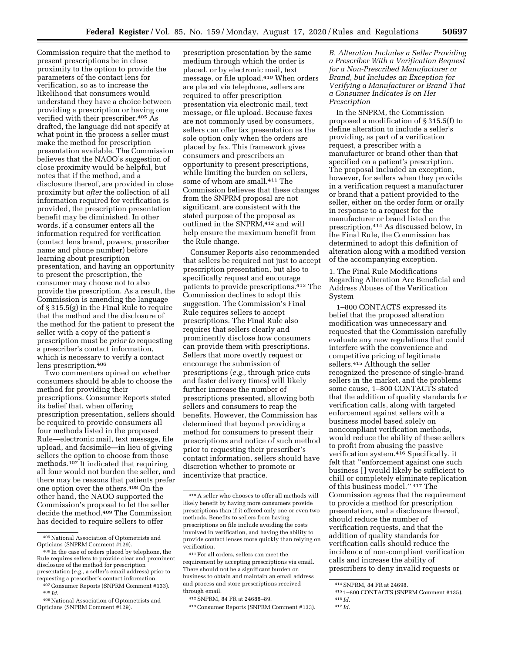Commission require that the method to present prescriptions be in close proximity to the option to provide the parameters of the contact lens for verification, so as to increase the likelihood that consumers would understand they have a choice between providing a prescription or having one verified with their prescriber.405 As drafted, the language did not specify at what point in the process a seller must make the method for prescription presentation available. The Commission believes that the NAOO's suggestion of close proximity would be helpful, but notes that if the method, and a disclosure thereof, are provided in close proximity but *after* the collection of all information required for verification is provided, the prescription presentation benefit may be diminished. In other words, if a consumer enters all the information required for verification (contact lens brand, powers, prescriber name and phone number) before learning about prescription presentation, and having an opportunity to present the prescription, the consumer may choose not to also provide the prescription. As a result, the Commission is amending the language of § 315.5(g) in the Final Rule to require that the method and the disclosure of the method for the patient to present the seller with a copy of the patient's prescription must be *prior to* requesting a prescriber's contact information, which is necessary to verify a contact lens prescription.406

Two commenters opined on whether consumers should be able to choose the method for providing their prescriptions. Consumer Reports stated its belief that, when offering prescription presentation, sellers should be required to provide consumers all four methods listed in the proposed Rule—electronic mail, text message, file upload, and facsimile—in lieu of giving sellers the option to choose from those methods.407 It indicated that requiring all four would not burden the seller, and there may be reasons that patients prefer one option over the others.408 On the other hand, the NAOO supported the Commission's proposal to let the seller decide the method.409 The Commission has decided to require sellers to offer

prescription presentation by the same medium through which the order is placed, or by electronic mail, text message, or file upload.410 When orders are placed via telephone, sellers are required to offer prescription presentation via electronic mail, text message, or file upload. Because faxes are not commonly used by consumers, sellers can offer fax presentation as the sole option only when the orders are placed by fax. This framework gives consumers and prescribers an opportunity to present prescriptions, while limiting the burden on sellers, some of whom are small.<sup>411</sup> The Commission believes that these changes from the SNPRM proposal are not significant, are consistent with the stated purpose of the proposal as outlined in the SNPRM,<sup>412</sup> and will help ensure the maximum benefit from the Rule change.

Consumer Reports also recommended that sellers be required not just to accept prescription presentation, but also to specifically request and encourage patients to provide prescriptions.413 The Commission declines to adopt this suggestion. The Commission's Final Rule requires sellers to accept prescriptions. The Final Rule also requires that sellers clearly and prominently disclose how consumers can provide them with prescriptions. Sellers that more overtly request or encourage the submission of prescriptions (*e.g.,* through price cuts and faster delivery times) will likely further increase the number of prescriptions presented, allowing both sellers and consumers to reap the benefits. However, the Commission has determined that beyond providing a method for consumers to present their prescriptions and notice of such method prior to requesting their prescriber's contact information, sellers should have discretion whether to promote or incentivize that practice.

*B. Alteration Includes a Seller Providing a Prescriber With a Verification Request for a Non-Prescribed Manufacturer or Brand, but Includes an Exception for Verifying a Manufacturer or Brand That a Consumer Indicates Is on Her Prescription* 

In the SNPRM, the Commission proposed a modification of § 315.5(f) to define alteration to include a seller's providing, as part of a verification request, a prescriber with a manufacturer or brand other than that specified on a patient's prescription. The proposal included an exception, however, for sellers when they provide in a verification request a manufacturer or brand that a patient provided to the seller, either on the order form or orally in response to a request for the manufacturer or brand listed on the prescription.414 As discussed below, in the Final Rule, the Commission has determined to adopt this definition of alteration along with a modified version of the accompanying exception.

1. The Final Rule Modifications Regarding Alteration Are Beneficial and Address Abuses of the Verification System

1–800 CONTACTS expressed its belief that the proposed alteration modification was unnecessary and requested that the Commission carefully evaluate any new regulations that could interfere with the convenience and competitive pricing of legitimate sellers.415 Although the seller recognized the presence of single-brand sellers in the market, and the problems some cause, 1–800 CONTACTS stated that the addition of quality standards for verification calls, along with targeted enforcement against sellers with a business model based solely on noncompliant verification methods, would reduce the ability of these sellers to profit from abusing the passive verification system.416 Specifically, it felt that ''enforcement against one such business [ ] would likely be sufficient to chill or completely eliminate replication of this business model.'' 417 The Commission agrees that the requirement to provide a method for prescription presentation, and a disclosure thereof, should reduce the number of verification requests, and that the addition of quality standards for verification calls should reduce the incidence of non-compliant verification calls and increase the ability of prescribers to deny invalid requests or

<sup>405</sup>National Association of Optometrists and Opticians (SNPRM Comment #129).

<sup>406</sup> In the case of orders placed by telephone, the Rule requires sellers to provide clear and prominent disclosure of the method for prescription presentation (*e.g.,* a seller's email address) prior to requesting a prescriber's contact information.

<sup>407</sup>Consumer Reports (SNPRM Comment #133). 408 *Id.* 

<sup>409</sup>National Association of Optometrists and Opticians (SNPRM Comment #129).

<sup>410</sup>A seller who chooses to offer all methods will likely benefit by having more consumers provide prescriptions than if it offered only one or even two methods. Benefits to sellers from having prescriptions on file include avoiding the costs involved in verification, and having the ability to provide contact lenses more quickly than relying on verification.

<sup>411</sup>For all orders, sellers can meet the requirement by accepting prescriptions via email. There should not be a significant burden on business to obtain and maintain an email address and process and store prescriptions received through email.

<sup>412</sup>SNPRM, 84 FR at 24688–89.

<sup>413</sup>Consumer Reports (SNPRM Comment #133).

<sup>414</sup>SNPRM, 84 FR at 24698.

<sup>415</sup> 1–800 CONTACTS (SNPRM Comment #135).

<sup>416</sup> *Id.* 

<sup>417</sup> *Id.*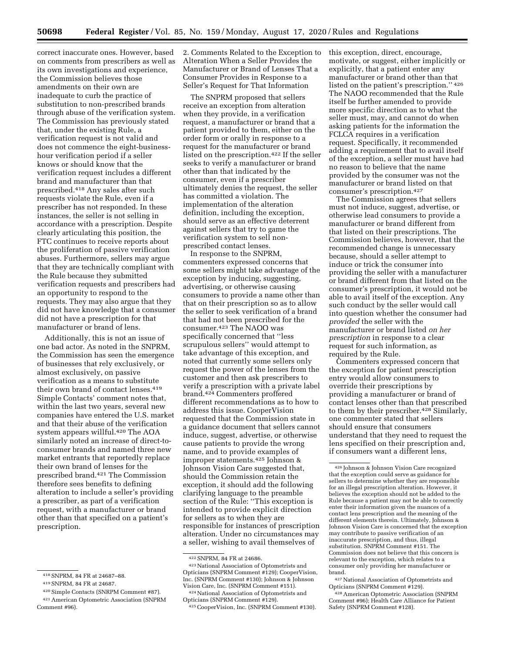correct inaccurate ones. However, based on comments from prescribers as well as its own investigations and experience, the Commission believes those amendments on their own are inadequate to curb the practice of substitution to non-prescribed brands through abuse of the verification system. The Commission has previously stated that, under the existing Rule, a verification request is not valid and does not commence the eight-businesshour verification period if a seller knows or should know that the verification request includes a different brand and manufacturer than that prescribed.418 Any sales after such requests violate the Rule, even if a prescriber has not responded. In these instances, the seller is not selling in accordance with a prescription. Despite clearly articulating this position, the FTC continues to receive reports about the proliferation of passive verification abuses. Furthermore, sellers may argue that they are technically compliant with the Rule because they submitted verification requests and prescribers had an opportunity to respond to the requests. They may also argue that they did not have knowledge that a consumer did not have a prescription for that manufacturer or brand of lens.

Additionally, this is not an issue of one bad actor. As noted in the SNPRM, the Commission has seen the emergence of businesses that rely exclusively, or almost exclusively, on passive verification as a means to substitute their own brand of contact lenses.419 Simple Contacts' comment notes that, within the last two years, several new companies have entered the U.S. market and that their abuse of the verification system appears willful.420 The AOA similarly noted an increase of direct-toconsumer brands and named three new market entrants that reportedly replace their own brand of lenses for the prescribed brand.421 The Commission therefore sees benefits to defining alteration to include a seller's providing a prescriber, as part of a verification request, with a manufacturer or brand other than that specified on a patient's prescription.

2. Comments Related to the Exception to Alteration When a Seller Provides the Manufacturer or Brand of Lenses That a Consumer Provides in Response to a Seller's Request for That Information

The SNPRM proposed that sellers receive an exception from alteration when they provide, in a verification request, a manufacturer or brand that a patient provided to them, either on the order form or orally in response to a request for the manufacturer or brand listed on the prescription.422 If the seller seeks to verify a manufacturer or brand other than that indicated by the consumer, even if a prescriber ultimately denies the request, the seller has committed a violation. The implementation of the alteration definition, including the exception, should serve as an effective deterrent against sellers that try to game the verification system to sell nonprescribed contact lenses.

In response to the SNPRM, commenters expressed concerns that some sellers might take advantage of the exception by inducing, suggesting, advertising, or otherwise causing consumers to provide a name other than that on their prescription so as to allow the seller to seek verification of a brand that had not been prescribed for the consumer.423 The NAOO was specifically concerned that ''less scrupulous sellers'' would attempt to take advantage of this exception, and noted that currently some sellers only request the power of the lenses from the customer and then ask prescribers to verify a prescription with a private label brand.424 Commenters proffered different recommendations as to how to address this issue. CooperVision requested that the Commission state in a guidance document that sellers cannot induce, suggest, advertise, or otherwise cause patients to provide the wrong name, and to provide examples of improper statements.425 Johnson & Johnson Vision Care suggested that, should the Commission retain the exception, it should add the following clarifying language to the preamble section of the Rule: ''This exception is intended to provide explicit direction for sellers as to when they are responsible for instances of prescription alteration. Under no circumstances may a seller, wishing to avail themselves of

this exception, direct, encourage, motivate, or suggest, either implicitly or explicitly, that a patient enter any manufacturer or brand other than that listed on the patient's prescription.'' 426 The NAOO recommended that the Rule itself be further amended to provide more specific direction as to what the seller must, may, and cannot do when asking patients for the information the FCLCA requires in a verification request. Specifically, it recommended adding a requirement that to avail itself of the exception, a seller must have had no reason to believe that the name provided by the consumer was not the manufacturer or brand listed on that consumer's prescription.427

The Commission agrees that sellers must not induce, suggest, advertise, or otherwise lead consumers to provide a manufacturer or brand different from that listed on their prescriptions. The Commission believes, however, that the recommended change is unnecessary because, should a seller attempt to induce or trick the consumer into providing the seller with a manufacturer or brand different from that listed on the consumer's prescription, it would not be able to avail itself of the exception. Any such conduct by the seller would call into question whether the consumer had *provided* the seller with the manufacturer or brand listed *on her prescription* in response to a clear request for such information, as required by the Rule.

Commenters expressed concern that the exception for patient prescription entry would allow consumers to override their prescriptions by providing a manufacturer or brand of contact lenses other than that prescribed to them by their prescriber.<sup>428</sup> Similarly, one commenter stated that sellers should ensure that consumers understand that they need to request the lens specified on their prescription and, if consumers want a different lens,

427National Association of Optometrists and Opticians (SNPRM Comment #129).

428American Optometric Association (SNPRM Comment #96); Health Care Alliance for Patient Safety (SNPRM Comment #128).

<sup>418</sup>SNPRM, 84 FR at 24687–88.

<sup>419</sup>SNPRM, 84 FR at 24687.

<sup>420</sup>Simple Contacts (SNRPM Comment #87).

<sup>421</sup>American Optometric Association (SNPRM

Comment #96).

<sup>422</sup>SNPRM, 84 FR at 24686.

<sup>423</sup>National Association of Optometrists and Opticians (SNPRM Comment #129); CooperVision, Inc. (SNPRM Comment #130); Johnson & Johnson Vision Care, Inc. (SNPRM Comment #151).

<sup>424</sup>National Association of Optometrists and Opticians (SNPRM Comment #129).

<sup>425</sup>CooperVision, Inc. (SNPRM Comment #130).

<sup>426</sup> Johnson & Johnson Vision Care recognized that the exception could serve as guidance for sellers to determine whether they are responsible for an illegal prescription alteration. However, it believes the exception should not be added to the Rule because a patient may not be able to correctly enter their information given the nuances of a contact lens prescription and the meaning of the different elements therein. Ultimately, Johnson & Johnson Vision Care is concerned that the exception may contribute to passive verification of an inaccurate prescription, and thus, illegal substitution. SNPRM Comment #151. The Commission does not believe that this concern is relevant to the exception, which relates to a consumer only providing her manufacturer or brand.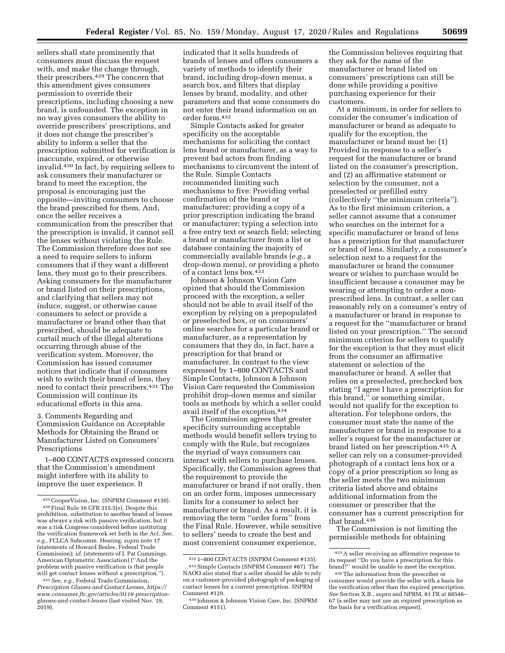sellers shall state prominently that consumers must discuss the request with, and make the change through, their prescribers.429 The concern that this amendment gives consumers permission to override their prescriptions, including choosing a new brand, is unfounded. The exception in no way gives consumers the ability to override prescribers' prescriptions, and it does not change the prescriber's ability to inform a seller that the prescription submitted for verification is inaccurate, expired, or otherwise invalid.430 In fact, by requiring sellers to ask consumers their manufacturer or brand to meet the exception, the proposal is encouraging just the opposite—inviting consumers to choose the brand prescribed for them. And, once the seller receives a communication from the prescriber that the prescription is invalid, it cannot sell the lenses without violating the Rule. The Commission therefore does not see a need to require sellers to inform consumers that if they want a different lens, they must go to their prescribers. Asking consumers for the manufacturer or brand listed on their prescriptions, and clarifying that sellers may not induce, suggest, or otherwise cause consumers to select or provide a manufacturer or brand other than that prescribed, should be adequate to curtail much of the illegal alterations occurring through abuse of the verification system. Moreover, the Commission has issued consumer notices that indicate that if consumers wish to switch their brand of lens, they need to contact their prescribers.431 The Commission will continue its educational efforts in this area.

3. Comments Regarding and Commission Guidance on Acceptable Methods for Obtaining the Brand or Manufacturer Listed on Consumers' Prescriptions

1–800 CONTACTS expressed concern that the Commission's amendment might interfere with its ability to improve the user experience. It

indicated that it sells hundreds of brands of lenses and offers consumers a variety of methods to identify their brand, including drop-down menus, a search box, and filters that display lenses by brand, modality, and other parameters and that some consumers do not enter their brand information on an order form.432

Simple Contacts asked for greater specificity on the acceptable mechanisms for soliciting the contact lens brand or manufacturer, as a way to prevent bad actors from finding mechanisms to circumvent the intent of the Rule. Simple Contacts recommended limiting such mechanisms to five: Providing verbal confirmation of the brand or manufacturer; providing a copy of a prior prescription indicating the brand or manufacturer; typing a selection into a free entry text or search field; selecting a brand or manufacturer from a list or database containing the majority of commercially available brands (*e.g.,* a drop-down menu), or providing a photo of a contact lens box.433

Johnson & Johnson Vision Care opined that should the Commission proceed with the exception, a seller should not be able to avail itself of the exception by relying on a prepopulated or preselected box, or on consumers' online searches for a particular brand or manufacturer, as a representation by consumers that they do, in fact, have a prescription for that brand or manufacturer. In contrast to the view expressed by 1–800 CONTACTS and Simple Contacts, Johnson & Johnson Vision Care requested the Commission prohibit drop-down menus and similar tools as methods by which a seller could avail itself of the exception.434

The Commission agrees that greater specificity surrounding acceptable methods would benefit sellers trying to comply with the Rule, but recognizes the myriad of ways consumers can interact with sellers to purchase lenses. Specifically, the Commission agrees that the requirement to provide the manufacturer or brand if not orally, then on an order form, imposes unnecessary limits for a consumer to select her manufacturer or brand. As a result, it is removing the term ''order form'' from the Final Rule. However, while sensitive to sellers' needs to create the best and most convenient consumer experience,

the Commission believes requiring that they ask for the name of the manufacturer or brand listed on consumers' prescriptions can still be done while providing a positive purchasing experience for their customers.

At a minimum, in order for sellers to consider the consumer's indication of manufacturer or brand as adequate to qualify for the exception, the manufacturer or brand must be: (1) Provided in response to a seller's request for the manufacturer or brand listed on the consumer's prescription, and (2) an affirmative statement or selection by the consumer, not a preselected or prefilled entry (collectively ''the minimum criteria''). As to the first minimum criterion, a seller cannot assume that a consumer who searches on the internet for a specific manufacturer or brand of lens has a prescription for that manufacturer or brand of lens. Similarly, a consumer's selection next to a request for the manufacturer or brand the consumer wears or wishes to purchase would be insufficient because a consumer may be wearing or attempting to order a nonprescribed lens. In contrast, a seller can reasonably rely on a consumer's entry of a manufacturer or brand in response to a request for the ''manufacturer or brand listed on your prescription.'' The second minimum criterion for sellers to qualify for the exception is that they must elicit from the consumer an affirmative statement or selection of the manufacturer or brand. A seller that relies on a preselected, prechecked box stating ''I agree I have a prescription for this brand,'' or something similar, would not qualify for the exception to alteration. For telephone orders, the consumer must state the name of the manufacturer or brand in response to a seller's request for the manufacturer or brand listed on her prescription.435 A seller can rely on a consumer-provided photograph of a contact lens box or a copy of a prior prescription so long as the seller meets the two minimum criteria listed above and obtains additional information from the consumer or prescriber that the consumer has a current prescription for that brand.436

The Commission is not limiting the permissible methods for obtaining

<sup>429</sup>CooperVision, Inc. (SNPRM Comment #130). 430Final Rule 16 CFR 315.5(e). Despite this prohibition, substitution to another brand of lenses was always a risk with passive verification, but it was a risk Congress considered before instituting the verification framework set forth in the Act. *See, e.g.,* FCLCA Subcomm. Hearing, *supra* note 17 (statements of Howard Beales, Federal Trade Commission); *id.* (statements of J. Pat Cummings, American Optometric Association) (''And the problem with passive verification is that people will get contact lenses without a prescription.'').

<sup>431</sup>*See, e.g.,* Federal Trade Commission, *Prescription Glasses and Contact Lenses, [https://](https://www.consumer.ftc.gov/articles/0116-prescription-glasses-and-contact-lenses) [www.consumer.ftc.gov/articles/0116-prescription](https://www.consumer.ftc.gov/articles/0116-prescription-glasses-and-contact-lenses)[glasses-and-contact-lenses](https://www.consumer.ftc.gov/articles/0116-prescription-glasses-and-contact-lenses)* (last visited Nov. 19,  $2019$ ).

<sup>432</sup> 1–800 CONTACTS (SNPRM Comment #135).

<sup>433</sup>Simple Contacts (SNPRM Comment #87). The NAOO also stated that a seller should be able to rely on a customer-provided photograph of packaging of contact lenses for a current prescription. SNPRM Comment #129.

<sup>434</sup> Johnson & Johnson Vision Care, Inc. (SNPRM Comment #151).

<sup>435</sup>A seller receiving an affirmative response to its request ''Do you have a prescription for this brand?'' would be unable to meet the exception.

<sup>436</sup>The information from the prescriber or consumer would provide the seller with a basis for the verification other than the expired prescription. *See* Section X.B., *supra* and NPRM, 81 FR at 88546– 67 (a seller may not use an expired prescription as the basis for a verification request).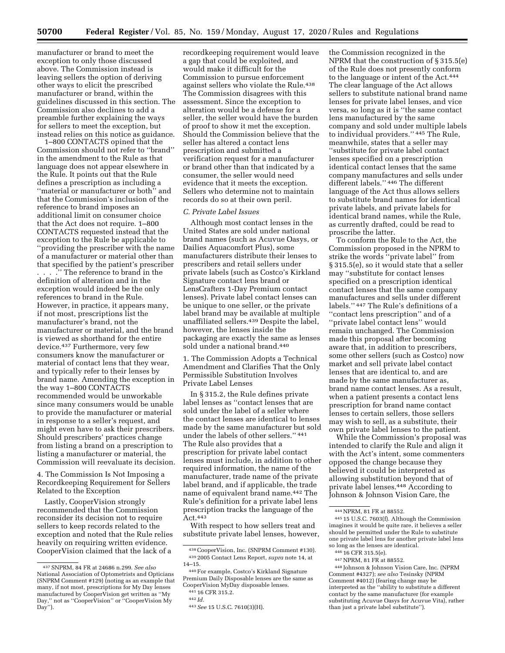manufacturer or brand to meet the exception to only those discussed above. The Commission instead is leaving sellers the option of deriving other ways to elicit the prescribed manufacturer or brand, within the guidelines discussed in this section. The Commission also declines to add a preamble further explaining the ways for sellers to meet the exception, but instead relies on this notice as guidance.

1–800 CONTACTS opined that the Commission should not refer to ''brand'' in the amendment to the Rule as that language does not appear elsewhere in the Rule. It points out that the Rule defines a prescription as including a ''material or manufacturer or both'' and that the Commission's inclusion of the reference to brand imposes an additional limit on consumer choice that the Act does not require. 1–800 CONTACTS requested instead that the exception to the Rule be applicable to ''providing the prescriber with the name of a manufacturer or material other than that specified by the patient's prescriber

. . . .'' The reference to brand in the definition of alteration and in the exception would indeed be the only references to brand in the Rule. However, in practice, it appears many, if not most, prescriptions list the manufacturer's brand, not the manufacturer or material, and the brand is viewed as shorthand for the entire device.437 Furthermore, very few consumers know the manufacturer or material of contact lens that they wear, and typically refer to their lenses by brand name. Amending the exception in the way 1–800 CONTACTS recommended would be unworkable since many consumers would be unable to provide the manufacturer or material in response to a seller's request, and might even have to ask their prescribers. Should prescribers' practices change from listing a brand on a prescription to listing a manufacturer or material, the Commission will reevaluate its decision.

4. The Commission Is Not Imposing a Recordkeeping Requirement for Sellers Related to the Exception

Lastly, CooperVision strongly recommended that the Commission reconsider its decision not to require sellers to keep records related to the exception and noted that the Rule relies heavily on requiring written evidence. CooperVision claimed that the lack of a

recordkeeping requirement would leave a gap that could be exploited, and would make it difficult for the Commission to pursue enforcement against sellers who violate the Rule.<sup>438</sup> The Commission disagrees with this assessment. Since the exception to alteration would be a defense for a seller, the seller would have the burden of proof to show it met the exception. Should the Commission believe that the seller has altered a contact lens prescription and submitted a verification request for a manufacturer or brand other than that indicated by a consumer, the seller would need evidence that it meets the exception. Sellers who determine not to maintain records do so at their own peril.

### *C. Private Label Issues*

Although most contact lenses in the United States are sold under national brand names (such as Acuvue Oasys, or Dailies Aquacomfort Plus), some manufacturers distribute their lenses to prescribers and retail sellers under private labels (such as Costco's Kirkland Signature contact lens brand or LensCrafters 1-Day Premium contact lenses). Private label contact lenses can be unique to one seller, or the private label brand may be available at multiple unaffiliated sellers.439 Despite the label, however, the lenses inside the packaging are exactly the same as lenses sold under a national brand.440

1. The Commission Adopts a Technical Amendment and Clarifies That the Only Permissible Substitution Involves Private Label Lenses

In § 315.2, the Rule defines private label lenses as ''contact lenses that are sold under the label of a seller where the contact lenses are identical to lenses made by the same manufacturer but sold under the labels of other sellers.'' 441 The Rule also provides that a prescription for private label contact lenses must include, in addition to other required information, the name of the manufacturer, trade name of the private label brand, and if applicable, the trade name of equivalent brand name.442 The Rule's definition for a private label lens prescription tracks the language of the Act.443

With respect to how sellers treat and substitute private label lenses, however,

the Commission recognized in the NPRM that the construction of § 315.5(e) of the Rule does not presently conform to the language or intent of the Act.444 The clear language of the Act allows sellers to substitute national brand name lenses for private label lenses, and vice versa, so long as it is ''the same contact lens manufactured by the same company and sold under multiple labels to individual providers.'' 445 The Rule, meanwhile, states that a seller may ''substitute for private label contact lenses specified on a prescription identical contact lenses that the same company manufactures and sells under different labels.'' 446 The different language of the Act thus allows sellers to substitute brand names for identical private labels, and private labels for identical brand names, while the Rule, as currently drafted, could be read to proscribe the latter.

To conform the Rule to the Act, the Commission proposed in the NPRM to strike the words ''private label'' from § 315.5(e), so it would state that a seller may ''substitute for contact lenses specified on a prescription identical contact lenses that the same company manufactures and sells under different labels.'' 447 The Rule's definitions of a ''contact lens prescription'' and of a ''private label contact lens'' would remain unchanged. The Commission made this proposal after becoming aware that, in addition to prescribers, some other sellers (such as Costco) now market and sell private label contact lenses that are identical to, and are made by the same manufacturer as, brand name contact lenses. As a result, when a patient presents a contact lens prescription for brand name contact lenses to certain sellers, those sellers may wish to sell, as a substitute, their own private label lenses to the patient.

While the Commission's proposal was intended to clarify the Rule and align it with the Act's intent, some commenters opposed the change because they believed it could be interpreted as allowing substitution beyond that of private label lenses.448 According to Johnson & Johnson Vision Care, the

445 15 U.S.C. 7603(f). Although the Commission imagines it would be quite rare, it believes a seller should be permitted under the Rule to substitute one private label lens for another private label lens so long as the lenses are identical.

448 Johnson & Johnson Vision Care, Inc. (NPRM Comment #4327); *see also* Tesinsky (NPRM Comment #4012) (fearing change may be interpreted as the ''ability to substitute a different contact by the same manufacturer (for example substituting Acuvue Oasys for Acuvue Vita), rather than just a private label substitute'').

<sup>437</sup>SNPRM, 84 FR at 24686 n.299. *See also*  National Association of Optometrists and Opticians (SNPRM Comment #129) (noting as an example that many, if not most, prescriptions for My Day lenses manufactured by CooperVision get written as ''My Day," not as "CooperVision" or "CooperVision My Day").

<sup>438</sup>CooperVision, Inc. (SNPRM Comment #130). 439 2005 Contact Lens Report, *supra* note 14, at 14–15.

<sup>440</sup>For example, Costco's Kirkland Signature Premium Daily Disposable lenses are the same as CooperVision MyDay disposable lenses. 441 16 CFR 315.2.

<sup>442</sup> *Id.* 

<sup>443</sup>*See* 15 U.S.C. 7610(3)(H).

<sup>444</sup>NPRM, 81 FR at 88552.

<sup>446</sup> 16 CFR 315.5(e).

<sup>447</sup>NPRM, 81 FR at 88552.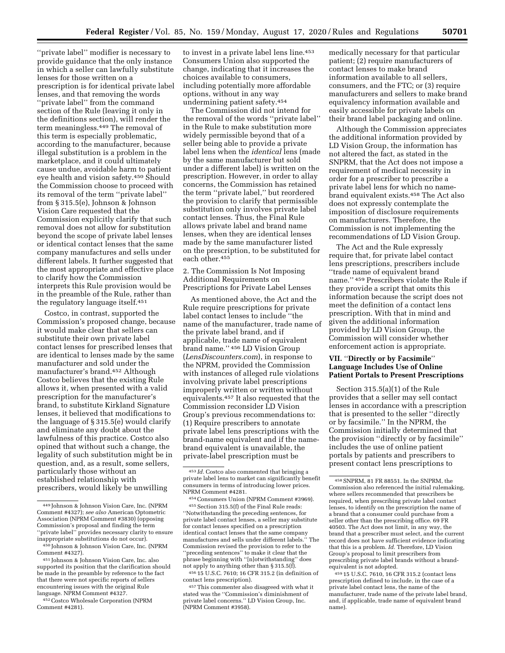''private label'' modifier is necessary to provide guidance that the only instance in which a seller can lawfully substitute lenses for those written on a prescription is for identical private label lenses, and that removing the words ''private label'' from the command section of the Rule (leaving it only in the definitions section), will render the term meaningless.449 The removal of this term is especially problematic, according to the manufacturer, because illegal substitution is a problem in the marketplace, and it could ultimately cause undue, avoidable harm to patient eye health and vision safety.450 Should the Commission choose to proceed with its removal of the term ''private label'' from § 315.5(e), Johnson & Johnson Vision Care requested that the Commission explicitly clarify that such removal does not allow for substitution beyond the scope of private label lenses or identical contact lenses that the same company manufactures and sells under different labels. It further suggested that the most appropriate and effective place to clarify how the Commission interprets this Rule provision would be in the preamble of the Rule, rather than the regulatory language itself.451

Costco, in contrast, supported the Commission's proposed change, because it would make clear that sellers can substitute their own private label contact lenses for prescribed lenses that are identical to lenses made by the same manufacturer and sold under the manufacturer's brand.452 Although Costco believes that the existing Rule allows it, when presented with a valid prescription for the manufacturer's brand, to substitute Kirkland Signature lenses, it believed that modifications to the language of § 315.5(e) would clarify and eliminate any doubt about the lawfulness of this practice. Costco also opined that without such a change, the legality of such substitution might be in question, and, as a result, some sellers, particularly those without an established relationship with prescribers, would likely be unwilling

452Costco Wholesale Corporation (NPRM Comment #4281).

to invest in a private label lens line.<sup>453</sup> Consumers Union also supported the change, indicating that it increases the choices available to consumers, including potentially more affordable options, without in any way undermining patient safety.454

The Commission did not intend for the removal of the words ''private label'' in the Rule to make substitution more widely permissible beyond that of a seller being able to provide a private label lens when the *identical* lens (made by the same manufacturer but sold under a different label) is written on the prescription. However, in order to allay concerns, the Commission has retained the term ''private label,'' but reordered the provision to clarify that permissible substitution only involves private label contact lenses. Thus, the Final Rule allows private label and brand name lenses, when they are identical lenses made by the same manufacturer listed on the prescription, to be substituted for each other.455

2. The Commission Is Not Imposing Additional Requirements on Prescriptions for Private Label Lenses

As mentioned above, the Act and the Rule require prescriptions for private label contact lenses to include ''the name of the manufacturer, trade name of the private label brand, and if applicable, trade name of equivalent brand name.'' 456 LD Vision Group (*LensDiscounters.com*), in response to the NPRM, provided the Commission with instances of alleged rule violations involving private label prescriptions improperly written or written without equivalents.457 It also requested that the Commission reconsider LD Vision Group's previous recommendations to: (1) Require prescribers to annotate private label lens prescriptions with the brand-name equivalent and if the namebrand equivalent is unavailable, the private-label prescription must be

454Consumers Union (NPRM Comment #3969).

455Section 315.5(f) of the Final Rule reads: ''Notwithstanding the preceding sentences, for private label contact lenses, a seller may substitute for contact lenses specified on a prescription identical contact lenses that the same company manufactures and sells under different labels.'' The Commission revised the provision to refer to the 'preceding sentences" to make it clear that the phrase beginning with ''[n]otwithstanding'' does not apply to anything other than § 315.5(f).

456 15 U.S.C. 7610; 16 CFR 315.2 (in definition of contact lens prescription).

457This commenter also disagreed with what it stated was the ''Commission's diminishment of private label concerns.'' LD Vision Group, Inc. (NPRM Comment #3958).

medically necessary for that particular patient; (2) require manufacturers of contact lenses to make brand information available to all sellers, consumers, and the FTC; or (3) require manufacturers and sellers to make brand equivalency information available and easily accessible for private labels on their brand label packaging and online.

Although the Commission appreciates the additional information provided by LD Vision Group, the information has not altered the fact, as stated in the SNPRM, that the Act does not impose a requirement of medical necessity in order for a prescriber to prescribe a private label lens for which no namebrand equivalent exists.458 The Act also does not expressly contemplate the imposition of disclosure requirements on manufacturers. Therefore, the Commission is not implementing the recommendations of LD Vision Group.

The Act and the Rule expressly require that, for private label contact lens prescriptions, prescribers include ''trade name of equivalent brand name.'' 459 Prescribers violate the Rule if they provide a script that omits this information because the script does not meet the definition of a contact lens prescription. With that in mind and given the additional information provided by LD Vision Group, the Commission will consider whether enforcement action is appropriate.

## **VII.** ''**Directly or by Facsimile**'' **Language Includes Use of Online Patient Portals to Present Prescriptions**

Section 315.5(a)(1) of the Rule provides that a seller may sell contact lenses in accordance with a prescription that is presented to the seller ''directly or by facsimile.'' In the NPRM, the Commission initially determined that the provision ''directly or by facsimile'' includes the use of online patient portals by patients and prescribers to present contact lens prescriptions to

459 15 U.S.C. 7610, 16 CFR 315.2 (contact lens prescription defined to include, in the case of a private label contact lens, the name of the manufacturer, trade name of the private label brand, and, if applicable, trade name of equivalent brand name).

<sup>449</sup> Johnson & Johnson Vision Care, Inc. (NPRM Comment #4327); *see also* American Optometric Association (NPRM Comment #3830) (opposing Commission's proposal and finding the term ''private label'' provides necessary clarity to ensure inappropriate substitutions do not occur).

<sup>450</sup> Johnson & Johnson Vision Care, Inc. (NPRM Comment #4327).

<sup>451</sup> Johnson & Johnson Vision Care, Inc. also supported its position that the clarification should be made in the preamble by reference to the fact that there were not specific reports of sellers encountering issues with the original Rule language. NPRM Comment #4327.

<sup>453</sup> *Id.* Costco also commented that bringing a private label lens to market can significantly benefit consumers in terms of introducing lower prices. NPRM Comment #4281.

<sup>458</sup>SNPRM, 81 FR 88551. In the SNPRM, the Commission also referenced the initial rulemaking, where sellers recommended that prescribers be required, when prescribing private label contact lenses, to identify on the prescription the name of a brand that a consumer could purchase from a seller other than the prescribing office. 69 FR 40503. The Act does not limit, in any way, the brand that a prescriber must select, and the current record does not have sufficient evidence indicating that this is a problem. *Id.* Therefore, LD Vision Group's proposal to limit prescribers from prescribing private label brands without a brandequivalent is not adopted.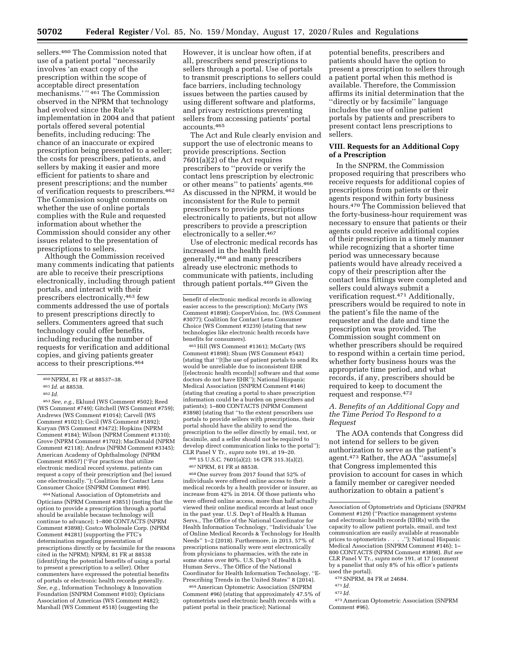sellers.460 The Commission noted that use of a patient portal ''necessarily involves 'an exact copy of the prescription within the scope of acceptable direct presentation mechanisms.' '' 461 The Commission observed in the NPRM that technology had evolved since the Rule's implementation in 2004 and that patient portals offered several potential benefits, including reducing: The chance of an inaccurate or expired prescription being presented to a seller; the costs for prescribers, patients, and sellers by making it easier and more efficient for patients to share and present prescriptions; and the number of verification requests to prescribers.462 The Commission sought comments on whether the use of online portals complies with the Rule and requested information about whether the Commission should consider any other issues related to the presentation of prescriptions to sellers.

Although the Commission received many comments indicating that patients are able to receive their prescriptions electronically, including through patient portals, and interact with their prescribers electronically,463 few comments addressed the use of portals to present prescriptions directly to sellers. Commenters agreed that such technology could offer benefits, including reducing the number of requests for verification and additional copies, and giving patients greater access to their prescriptions.464

463*See, e.g.,* Eklund (WS Comment #502); Reed (WS Comment #749); Gitchell (WS Comment #759); Andrews (WS Comment #1014); Carvell (WS Comment #1021); Cecil (WS Comment #1892); Kuryan (WS Comment #3472); Hopkins (NPRM Comment #184); Wilson (NPRM Comment #1310); Grove (NPRM Comment #1702); MacDonald (NPRM Comment #2118); Andrus (NPRM Comment #3345); American Academy of Ophthalmology (NPRM Comment #3657) (''For practices that utilize electronic medical record systems, patients can request a copy of their prescription and [be] issued one electronically.''); Coalition for Contact Lens Consumer Choice (SNPRM Comment #89).

464National Association of Optometrists and Opticians (NPRM Comment #3851) (noting that the option to provide a prescription through a portal should be available because technology will continue to advance); 1–800 CONTACTS (NPRM Comment #3898); Costco Wholesale Corp. (NPRM Comment #4281) (supporting the FTC's determination regarding presentation of prescriptions directly or by facsimile for the reasons cited in the NPRM); NPRM, 81 FR at 88538 (identifying the potential benefits of using a portal to present a prescription to a seller). Other commenters have expressed the potential benefits of portals or electronic health records generally. *See, e.g.,* Information Technology & Innovation Foundation (SNPRM Comment #103); Opticians Association of Americas (WS Comment #482); Marshall (WS Comment #518) (suggesting the

However, it is unclear how often, if at all, prescribers send prescriptions to sellers through a portal. Use of portals to transmit prescriptions to sellers could face barriers, including technology issues between the parties caused by using different software and platforms, and privacy restrictions preventing sellers from accessing patients' portal accounts.465

The Act and Rule clearly envision and support the use of electronic means to provide prescriptions. Section 7601(a)(2) of the Act requires prescribers to ''provide or verify the contact lens prescription by electronic or other means'' to patients' agents.466 As discussed in the NPRM, it would be inconsistent for the Rule to permit prescribers to provide prescriptions electronically to patients, but not allow prescribers to provide a prescription electronically to a seller.467

Use of electronic medical records has increased in the health field generally,468 and many prescribers already use electronic methods to communicate with patients, including through patient portals.469 Given the

465Hill (WS Comment #1361); McCarty (WS Comment #1898); Shum (WS Comment #543) (stating that ''[t]he use of patient portals to send Rx would be unreliable due to inconsistent EHR [(electronic health records)] software and that some doctors do not have EHR''); National Hispanic Medical Association (SNPRM Comment #146) (stating that creating a portal to share prescription information could be a burden on prescribers and patients); 1–800 CONTACTS (NPRM Comment #3898) (stating that ''to the extent prescribers use portals to provide sellers with prescriptions, their portal should have the ability to send the prescription to the seller directly by email, text, or facsimile, and a seller should not be required to develop direct communication links to the portal''); CLR Panel V Tr., *supra* note 191, at 19–20.

466 15 U.S.C. 7601(a)(2); 16 CFR 315.3(a)(2). 467NPRM, 81 FR at 88538.

468One survey from 2017 found that 52% of individuals were offered online access to their medical records by a health provider or insurer, an increase from 42% in 2014. Of those patients who were offered online access, more than half actually viewed their online medical records at least once in the past year. U.S. Dep't of Health & Human Servs., The Office of the National Coordinator for Health Information Technology, ''Individuals' Use of Online Medical Records & Technology for Health Needs'' 1–2 (2018). Furthermore, in 2013, 57% of prescriptions nationally were sent electronically from physicians to pharmacies, with the rate in some states over 80%. U.S. Dep't of Health & Human Servs., The Office of the National Coordinator for Health Information Technology, ''E-Prescribing Trends in the United States'' 8 (2014).

469American Optometric Association (SNPRM Comment #96) (stating that approximately 47.5% of optometrists used electronic health records with a patient portal in their practice); National

potential benefits, prescribers and patients should have the option to present a prescription to sellers through a patient portal when this method is available. Therefore, the Commission affirms its initial determination that the ''directly or by facsimile'' language includes the use of online patient portals by patients and prescribers to present contact lens prescriptions to sellers.

## **VIII. Requests for an Additional Copy of a Prescription**

In the SNPRM, the Commission proposed requiring that prescribers who receive requests for additional copies of prescriptions from patients or their agents respond within forty business hours.470 The Commission believed that the forty-business-hour requirement was necessary to ensure that patients or their agents could receive additional copies of their prescription in a timely manner while recognizing that a shorter time period was unnecessary because patients would have already received a copy of their prescription after the contact lens fittings were completed and sellers could always submit a verification request.471 Additionally, prescribers would be required to note in the patient's file the name of the requester and the date and time the prescription was provided. The Commission sought comment on whether prescribers should be required to respond within a certain time period, whether forty business hours was the appropriate time period, and what records, if any, prescribers should be required to keep to document the request and response.472

## *A. Benefits of an Additional Copy and the Time Period To Respond to a Request*

The AOA contends that Congress did not intend for sellers to be given authorization to serve as the patient's agent.473 Rather, the AOA ''assume[s] that Congress implemented this provision to account for cases in which a family member or caregiver needed authorization to obtain a patient's

- 
- 472 *Id.*

<sup>460</sup>NPRM, 81 FR at 88537–38.

<sup>461</sup> *Id.* at 88538.

<sup>462</sup> *Id.* 

benefit of electronic medical records in allowing easier access to the prescription); McCarty (WS Comment #1898); CooperVision, Inc. (WS Comment #3077); Coalition for Contact Lens Consumer Choice (WS Comment #3239) (stating that new technologies like electronic health records have benefits for consumers).

Association of Optometrists and Opticians (SNPRM Comment #129) (''Practice management systems and electronic health records (EHRs) with the capacity to allow patient portals, email, and text communication are easily available at reasonable prices to optometrists . . . .''); National Hispanic Medical Association (SNPRM Comment #146); 1– 800 CONTACTS (NPRM Comment #3898). *But see*  CLR Panel V Tr., *supra* note 191, at 17 (comment by a panelist that only 8% of his office's patients used the portal).

<sup>470</sup>SNPRM, 84 FR at 24684. 471 *Id.* 

<sup>473</sup>American Optometric Association (SNPRM Comment #96).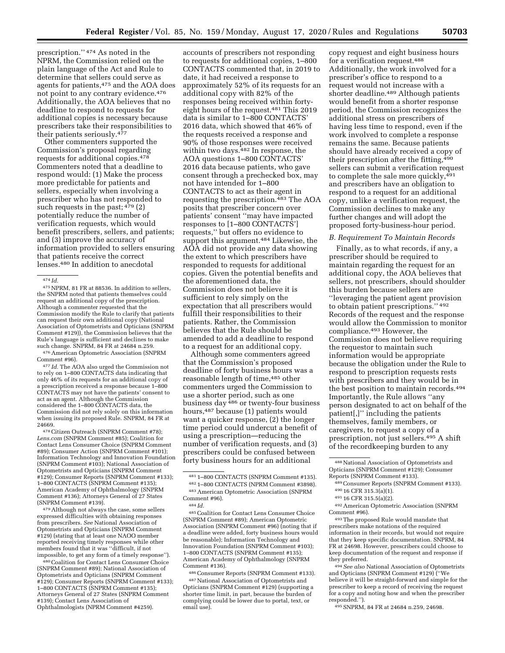prescription.'' 474 As noted in the NPRM, the Commission relied on the plain language of the Act and Rule to determine that sellers could serve as agents for patients,475 and the AOA does not point to any contrary evidence.<sup>476</sup> Additionally, the AOA believes that no deadline to respond to requests for additional copies is necessary because prescribers take their responsibilities to their patients seriously.477

Other commenters supported the Commission's proposal regarding requests for additional copies.478 Commenters noted that a deadline to respond would: (1) Make the process more predictable for patients and sellers, especially when involving a prescriber who has not responded to such requests in the past;  $479$  (2) potentially reduce the number of verification requests, which would benefit prescribers, sellers, and patients; and (3) improve the accuracy of information provided to sellers ensuring that patients receive the correct lenses.480 In addition to anecdotal

475NPRM, 81 FR at 88536. In addition to sellers, the SNPRM noted that patients themselves could request an additional copy of the prescription. Although a commenter requested that the Commission modify the Rule to clarify that patients can request their own additional copy (National Association of Optometrists and Opticians (SNPRM Comment #129)), the Commission believes that the Rule's language is sufficient and declines to make such change. SNPRM, 84 FR at 24684 n.259.

476American Optometric Association (SNPRM

Comment #96). 477 *Id.* The AOA also urged the Commission not to rely on 1–800 CONTACTS data indicating that only 46% of its requests for an additional copy of a prescription received a response because 1–800 CONTACTS may not have the patients' consent to act as an agent. Although the Commission considered the 1–800 CONTACTS data, the Commission did not rely solely on this information when issuing its proposed Rule. SNPRM, 84 FR at 24669.

478Citizen Outreach (SNPRM Comment #78); *Lens.com* (SNPRM Comment #85); Coalition for Contact Lens Consumer Choice (SNPRM Comment #89); Consumer Action (SNPRM Comment #101); Information Technology and Innovation Foundation (SNPRM Comment #103); National Association of Optometrists and Opticians (SNPRM Comment #129); Consumer Reports (SNPRM Comment #133); 1–800 CONTACTS (SNPRM Comment #135); American Academy of Ophthalmology (SNPRM Comment #136); Attorneys General of 27 States (SNPRM Comment #139).

479Although not always the case, some sellers expressed difficulties with obtaining responses from prescribers. *See* National Association of Optometrists and Opticians (SNPRM Comment #129) (stating that at least one NAOO member reported receiving timely responses while other members found that it was "difficult, if not<br>impossible, to get any form of a timely response").

imposes and the Contact Lens Consumer Choice (SNPRM Comment #89); National Association of Optometrists and Opticians (SNPRM Comment #129); Consumer Reports (SNPRM Comment #133); 1–800 CONTACTS (SNPRM Comment #135); Attorneys General of 27 States (SNPRM Comment #139); Contact Lens Association of Ophthalmologists (NPRM Comment #4259).

accounts of prescribers not responding to requests for additional copies, 1–800 CONTACTS commented that, in 2019 to date, it had received a response to approximately 52% of its requests for an additional copy with 82% of the responses being received within fortyeight hours of the request.481 This 2019 data is similar to 1–800 CONTACTS' 2016 data, which showed that 46% of the requests received a response and 90% of those responses were received within two days.<sup>482</sup> In response, the AOA questions 1–800 CONTACTS' 2016 data because patients, who gave consent through a prechecked box, may not have intended for 1–800 CONTACTS to act as their agent in requesting the prescription.483 The AOA posits that prescriber concern over patients' consent ''may have impacted responses to [1–800 CONTACTS'] requests,'' but offers no evidence to support this argument.<sup>484</sup> Likewise, the AOA did not provide any data showing the extent to which prescribers have responded to requests for additional copies. Given the potential benefits and the aforementioned data, the Commission does not believe it is sufficient to rely simply on the expectation that all prescribers would fulfill their responsibilities to their patients. Rather, the Commission believes that the Rule should be amended to add a deadline to respond to a request for an additional copy.

Although some commenters agreed that the Commission's proposed deadline of forty business hours was a reasonable length of time,485 other commenters urged the Commission to use a shorter period, such as one business day 486 or twenty-four business hours,487 because (1) patients would want a quicker response, (2) the longer time period could undercut a benefit of using a prescription—reducing the number of verification requests, and (3) prescribers could be confused between forty business hours for an additional

485Coalition for Contact Lens Consumer Choice (SNPRM Comment #89); American Optometric Association (SNPRM Comment #96) (noting that if a deadline were added, forty business hours would be reasonable); Information Technology and Innovation Foundation (SNPRM Comment #103); 1–800 CONTACTS (SNPRM Comment #135); American Academy of Ophthalmology (SNPRM Comment #136).

486Consumer Reports (SNPRM Comment #133). 487National Association of Optometrists and Opticians (SNPRM Comment #129) (supporting a shorter time limit, in part, because the burden of complying could be lower due to portal, text, or email use).

copy request and eight business hours for a verification request.488 Additionally, the work involved for a prescriber's office to respond to a request would not increase with a shorter deadline.489 Although patients would benefit from a shorter response period, the Commission recognizes the additional stress on prescribers of having less time to respond, even if the work involved to complete a response remains the same. Because patients should have already received a copy of their prescription after the fitting, 490 sellers can submit a verification request to complete the sale more quickly, 491 and prescribers have an obligation to respond to a request for an additional copy, unlike a verification request, the Commission declines to make any further changes and will adopt the proposed forty-business-hour period.

#### *B. Requirement To Maintain Records*

Finally, as to what records, if any, a prescriber should be required to maintain regarding the request for an additional copy, the AOA believes that sellers, not prescribers, should shoulder this burden because sellers are ''leveraging the patient agent provision to obtain patient prescriptions.'' 492 Records of the request and the response would allow the Commission to monitor compliance.493 However, the Commission does not believe requiring the requestor to maintain such information would be appropriate because the obligation under the Rule to respond to prescription requests rests with prescribers and they would be in the best position to maintain records.494 Importantly, the Rule allows ''any person designated to act on behalf of the patient[,]'' including the patients themselves, family members, or caregivers, to request a copy of a prescription, not just sellers.495 A shift of the recordkeeping burden to any

492American Optometric Association (SNPRM Comment #96).

493The proposed Rule would mandate that prescribers make notations of the required information in their records, but would not require that they keep specific documentation. SNPRM, 84 FR at 24698. However, prescribers could choose to keep documentation of the request and response if they preferred.

494*See also* National Association of Optometrists and Opticians (SNPRM Comment #129) (''We believe it will be straight-forward and simple for the prescriber to keep a record of receiving the request for a copy and noting how and when the prescriber responded.'').

495SNPRM, 84 FR at 24684 n.259, 24698.

<sup>474</sup> *Id.* 

<sup>481</sup> 1–800 CONTACTS (SNPRM Comment #135). 482 1–800 CONTACTS (NPRM Comment #3898).

<sup>483</sup>American Optometric Association (SNPRM Comment #96).

<sup>484</sup> *Id.* 

<sup>488</sup>National Association of Optometrists and Opticians (SNPRM Comment #129); Consumer Reports (SNPRM Comment #133).

<sup>489</sup>Consumer Reports (SNPRM Comment #133). 490 16 CFR 315.3(a)(1).

<sup>491</sup> 16 CFR 315.5(a)(2).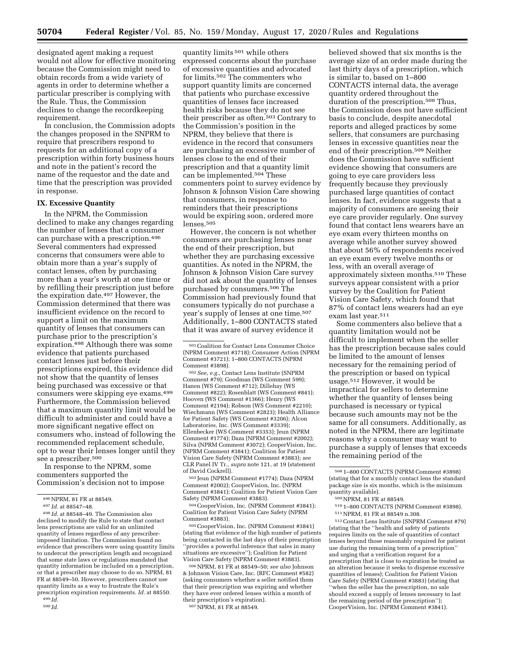designated agent making a request would not allow for effective monitoring because the Commission might need to obtain records from a wide variety of agents in order to determine whether a particular prescriber is complying with the Rule. Thus, the Commission declines to change the recordkeeping requirement.

In conclusion, the Commission adopts the changes proposed in the SNPRM to require that prescribers respond to requests for an additional copy of a prescription within forty business hours and note in the patient's record the name of the requestor and the date and time that the prescription was provided in response.

#### **IX. Excessive Quantity**

In the NPRM, the Commission declined to make any changes regarding the number of lenses that a consumer can purchase with a prescription.496 Several commenters had expressed concerns that consumers were able to obtain more than a year's supply of contact lenses, often by purchasing more than a year's worth at one time or by refilling their prescription just before the expiration date.497 However, the Commission determined that there was insufficient evidence on the record to support a limit on the maximum quantity of lenses that consumers can purchase prior to the prescription's expiration.<sup>498</sup> Although there was some evidence that patients purchased contact lenses just before their prescriptions expired, this evidence did not show that the quantity of lenses being purchased was excessive or that consumers were skipping eye exams.499 Furthermore, the Commission believed that a maximum quantity limit would be difficult to administer and could have a more significant negative effect on consumers who, instead of following the recommended replacement schedule, opt to wear their lenses longer until they see a prescriber.<sup>500</sup>

In response to the NPRM, some commenters supported the Commission's decision not to impose

498 *Id.* at 88548–49. The Commission also declined to modify the Rule to state that contact lens prescriptions are valid for an unlimited quantity of lenses regardless of any prescriberimposed limitation. The Commission found no evidence that prescribers were using quantity limits to undercut the prescription length and recognized that some state laws or regulations mandated that quantity information be included on a prescription, or that a prescriber may choose to do so. NPRM, 81 FR at 88549–50. However, prescribers cannot use quantity limits as a way to frustrate the Rule's prescription expiration requirements. *Id.* at 88550.

499 *Id.* 

quantity limits 501 while others expressed concerns about the purchase of excessive quantities and advocated for limits.502 The commenters who support quantity limits are concerned that patients who purchase excessive quantities of lenses face increased health risks because they do not see their prescriber as often.503 Contrary to the Commission's position in the NPRM, they believe that there is evidence in the record that consumers are purchasing an excessive number of lenses close to the end of their prescription and that a quantity limit can be implemented.504 These commenters point to survey evidence by Johnson & Johnson Vision Care showing that consumers, in response to reminders that their prescriptions would be expiring soon, ordered more lenses.505

However, the concern is not whether consumers are purchasing lenses near the end of their prescription, but whether they are purchasing excessive quantities. As noted in the NPRM, the Johnson & Johnson Vision Care survey did not ask about the quantity of lenses purchased by consumers.506 The Commission had previously found that consumers typically do not purchase a year's supply of lenses at one time.507 Additionally, 1–800 CONTACTS stated that it was aware of survey evidence it

502*See, e.g.,* Contact Lens Institute (SNPRM Comment #79); Goodman (WS Comment 599); Hanen (WS Comment #712); Dillehay (WS Comment #822); Rosenblatt (WS Comment #841); Hooven (WS Comment #1366); Henry (WS Comment #2194); Robson (WS Comment #2210); Wiechmann (WS Comment #2823); Health Alliance for Patient Safety (WS Comment #3206); Alcon Laboratories, Inc. (WS Comment #3339); Ellenbecker (WS Comment #3353); Jeun (NPRM Comment #1774); Daza (NPRM Comment #2002); Silva (NPRM Comment #3072); CooperVision, Inc. (NPRM Comment #3841); Coalition for Patient Vision Care Safety (NPRM Comment #3883); *see*  CLR Panel IV Tr., *supra* note 121, at 19 (statement of David Cockrell).

503 Jeun (NPRM Comment #1774); Daza (NPRM Comment #2002); CooperVision, Inc. (NPRM Comment #3841); Coalition for Patient Vision Care Safety (NPRM Comment #3883).

504CooperVision, Inc. (NPRM Comment #3841); Coalition for Patient Vision Care Safety (NPRM Comment #3883).

505CooperVision, Inc. (NPRM Comment #3841) (stating that evidence of the high number of patients being contacted in the last days of their prescription ''provides a powerful inference that sales in many situations are excessive''); Coalition for Patient Vision Care Safety (NPRM Comment #3883).

506NPRM, 81 FR at 88549–50; *see also* Johnson & Johnson Vision Care, Inc. (RFC Comment #582) (asking consumers whether a seller notified them that their prescription was expiring and whether they have ever ordered lenses within a month of their prescription's expiration).

507NPRM, 81 FR at 88549.

believed showed that six months is the average size of an order made during the last thirty days of a prescription, which is similar to, based on 1–800 CONTACTS internal data, the average quantity ordered throughout the duration of the prescription.508 Thus, the Commission does not have sufficient basis to conclude, despite anecdotal reports and alleged practices by some sellers, that consumers are purchasing lenses in excessive quantities near the end of their prescription.509 Neither does the Commission have sufficient evidence showing that consumers are going to eye care providers less frequently because they previously purchased large quantities of contact lenses. In fact, evidence suggests that a majority of consumers are seeing their eye care provider regularly. One survey found that contact lens wearers have an eye exam every thirteen months on average while another survey showed that about 56% of respondents received an eye exam every twelve months or less, with an overall average of approximately sixteen months.510 These surveys appear consistent with a prior survey by the Coalition for Patient Vision Care Safety, which found that 87% of contact lens wearers had an eye exam last year.511

Some commenters also believe that a quantity limitation would not be difficult to implement when the seller has the prescription because sales could be limited to the amount of lenses necessary for the remaining period of the prescription or based on typical usage.512 However, it would be impractical for sellers to determine whether the quantity of lenses being purchased is necessary or typical because such amounts may not be the same for all consumers. Additionally, as noted in the NPRM, there are legitimate reasons why a consumer may want to purchase a supply of lenses that exceeds the remaining period of the

510 1–800 CONTACTS (NPRM Comment #3898). 511NPRM, 81 FR at 88549 n.308.

 $^{512}\rm{Context}$  Lens Institute (SNPRM Comment #79) (stating that the ''health and safety of patients requires limits on the sale of quantities of contact lenses beyond those reasonably required for patient use during the remaining term of a prescription'' and urging that a verification request for a prescription that is close to expiration be treated as an alteration because it seeks to dispense excessive quantities of lenses); Coalition for Patient Vision Care Safety (NPRM Comment #3883) (stating that ''when the seller has the prescription, no sale should exceed a supply of lenses necessary to last the remaining period of the prescription''); CooperVision, Inc. (NPRM Comment #3841).

<sup>496</sup>NPRM, 81 FR at 88549.

<sup>497</sup> *Id.* at 88547–48.

<sup>500</sup> *Id.* 

<sup>501</sup>Coalition for Contact Lens Consumer Choice (NPRM Comment #3718); Consumer Action (NPRM Comment #3721); 1–800 CONTACTS (NPRM Comment #3898).

<sup>508</sup> 1–800 CONTACTS (NPRM Comment #3898) (stating that for a monthly contact lens the standard package size is six months, which is the minimum quantity available).

<sup>509</sup>NPRM, 81 FR at 88549.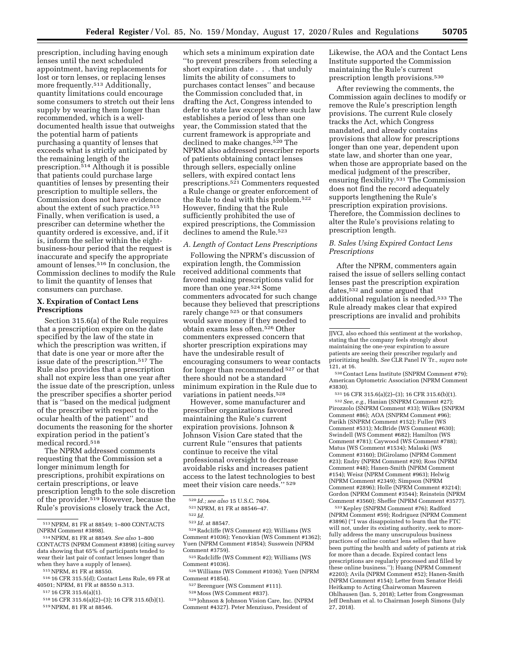prescription, including having enough lenses until the next scheduled appointment, having replacements for lost or torn lenses, or replacing lenses more frequently.<sup>513</sup> Additionally, quantity limitations could encourage some consumers to stretch out their lens supply by wearing them longer than recommended, which is a welldocumented health issue that outweighs the potential harm of patients purchasing a quantity of lenses that exceeds what is strictly anticipated by the remaining length of the prescription.514 Although it is possible that patients could purchase large quantities of lenses by presenting their prescription to multiple sellers, the Commission does not have evidence about the extent of such practice.<sup>515</sup> Finally, when verification is used, a prescriber can determine whether the quantity ordered is excessive, and, if it is, inform the seller within the eightbusiness-hour period that the request is inaccurate and specify the appropriate amount of lenses.516 In conclusion, the Commission declines to modify the Rule to limit the quantity of lenses that consumers can purchase.

### **X. Expiration of Contact Lens Prescriptions**

Section 315.6(a) of the Rule requires that a prescription expire on the date specified by the law of the state in which the prescription was written, if that date is one year or more after the issue date of the prescription.517 The Rule also provides that a prescription shall not expire less than one year after the issue date of the prescription, unless the prescriber specifies a shorter period that is ''based on the medical judgment of the prescriber with respect to the ocular health of the patient'' and documents the reasoning for the shorter expiration period in the patient's medical record.518

The NPRM addressed comments requesting that the Commission set a longer minimum length for prescriptions, prohibit expirations on certain prescriptions, or leave prescription length to the sole discretion of the provider.519 However, because the Rule's provisions closely track the Act,

517 16 CFR 315.6(a)(1).

which sets a minimum expiration date ''to prevent prescribers from selecting a short expiration date . . . that unduly limits the ability of consumers to purchases contact lenses'' and because the Commission concluded that, in drafting the Act, Congress intended to defer to state law except where such law establishes a period of less than one year, the Commission stated that the current framework is appropriate and declined to make changes.<sup>520</sup> The NPRM also addressed prescriber reports of patients obtaining contact lenses through sellers, especially online sellers, with expired contact lens prescriptions.521 Commenters requested a Rule change or greater enforcement of the Rule to deal with this problem.522 However, finding that the Rule sufficiently prohibited the use of expired prescriptions, the Commission declines to amend the Rule.<sup>523</sup>

### *A. Length of Contact Lens Prescriptions*

Following the NPRM's discussion of expiration length, the Commission received additional comments that favored making prescriptions valid for more than one year.524 Some commenters advocated for such change because they believed that prescriptions rarely change<sup>525</sup> or that consumers would save money if they needed to obtain exams less often.526 Other commenters expressed concern that shorter prescription expirations may have the undesirable result of encouraging consumers to wear contacts for longer than recommended 527 or that there should not be a standard minimum expiration in the Rule due to variations in patient needs.528

However, some manufacturer and prescriber organizations favored maintaining the Rule's current expiration provisions. Johnson & Johnson Vision Care stated that the current Rule ''ensures that patients continue to receive the vital professional oversight to decrease avoidable risks and increases patient access to the latest technologies to best meet their vision care needs.'' 529

524Radcliffe (WS Comment #2); Williams (WS Comment #1036); Yenovkian (WS Comment #1362); Yuen (NPRM Comment #1854); Susswein (NPRM Comment #3759).

525Radcliffe (WS Comment #2); Williams (WS Comment #1036).

526Williams (WS Comment #1036); Yuen (NPRM Comment #1854).

527Berenguer (WS Comment #111).

528Moss (WS Comment #837).

529 Johnson & Johnson Vision Care, Inc. (NPRM Comment #4327). Peter Menziuso, President of

Likewise, the AOA and the Contact Lens Institute supported the Commission maintaining the Rule's current prescription length provisions.530

After reviewing the comments, the Commission again declines to modify or remove the Rule's prescription length provisions. The current Rule closely tracks the Act, which Congress mandated, and already contains provisions that allow for prescriptions longer than one year, dependent upon state law, and shorter than one year, when those are appropriate based on the medical judgment of the prescriber, ensuring flexibility.531 The Commission does not find the record adequately supports lengthening the Rule's prescription expiration provisions. Therefore, the Commission declines to alter the Rule's provisions relating to prescription length.

## *B. Sales Using Expired Contact Lens Prescriptions*

After the NPRM, commenters again raised the issue of sellers selling contact lenses past the prescription expiration dates,532 and some argued that additional regulation is needed.533 The Rule already makes clear that expired prescriptions are invalid and prohibits

530Contact Lens Institute (SNPRM Comment #79); American Optometric Association (NPRM Comment #3830).

531 16 CFR 315.6(a)(2)–(3); 16 CFR 315.6(b)(1). 532*See, e.g.,* Hanian (SNPRM Comment #27); Pirozzolo (SNPRM Comment #33); Wilkes (SNPRM Comment #86); AOA (SNPRM Comment #96); Parikh (SNPRM Comment #152); Fuller (WS Comment #531); McBride (WS Comment #630); Swindell (WS Comment #682); Hamilton (WS Comment #781); Caywood (WS Comment #788); Matus (WS Comment #1534); Malaski (WS Comment #3160); DiGirolamo (NPRM Comment #23); Endry (NPRM Comment #29); Ross (NPRM Comment #48); Hanen-Smith (NPRM Comment #154); Weisz (NPRM Comment #963); Helwig (NPRM Comment #2349); Simpson (NPRM Comment #2896); Holle (NPRM Comment #3214); Gordon (NPRM Comment #3544); Reinstein (NPRM Comment #3560); Sheffer (NPRM Comment #3577).

533 Kepley (SNPRM Comment #76); Radford (NPRM Comment #59); Rodriguez (NPRM Comment #3896) (''I was disappointed to learn that the FTC will not, under its existing authority, seek to morefully address the many unscrupulous business practices of online contact lens sellers that have been putting the health and safety of patients at risk for more than a decade. Expired contact lens prescriptions are regularly processed and filled by these online business.''); Huang (NPRM Comment #2203); Avila (NPRM Comment #52); Hanen-Smith (NPRM Comment #154); Letter from Senator Heidi Heitkamp to Acting Chairwoman Maureen Ohlhausen (Jan. 5, 2018); Letter from Congressman Jeff Denham et al. to Chairman Joseph Simons (July 27, 2018).

 $^{513}\,$  NPRM, 81 FR at 88549; 1–800 CONTACTS (NPRM Comment #3898).

<sup>(</sup>NPRM Comment #3898). 514NPRM, 81 FR at 88549. *See also* 1–800 CONTACTS (NPRM Comment #3898) (citing survey data showing that 65% of participants tended to wear their last pair of contact lenses longer than when they have a supply of lenses).

<sup>515</sup>NPRM, 81 FR at 88550.

<sup>516</sup> 16 CFR 315.5(d); Contact Lens Rule, 69 FR at 40501; NPRM, 81 FR at 88550 n.313.

<sup>518</sup> 16 CFR 315.6(a)(2)–(3); 16 CFR 315.6(b)(1). 519NPRM, 81 FR at 88546.

<sup>520</sup> *Id.; see also* 15 U.S.C. 7604.

<sup>521</sup>NPRM, 81 FR at 88546–47.

<sup>522</sup> *Id.* 

<sup>523</sup> *Id.* at 88547.

JJVCI, also echoed this sentiment at the workshop, stating that the company feels strongly about maintaining the one-year expiration to assure patients are seeing their prescriber regularly and prioritizing health. *See* CLR Panel IV Tr., *supra* note 121, at 16.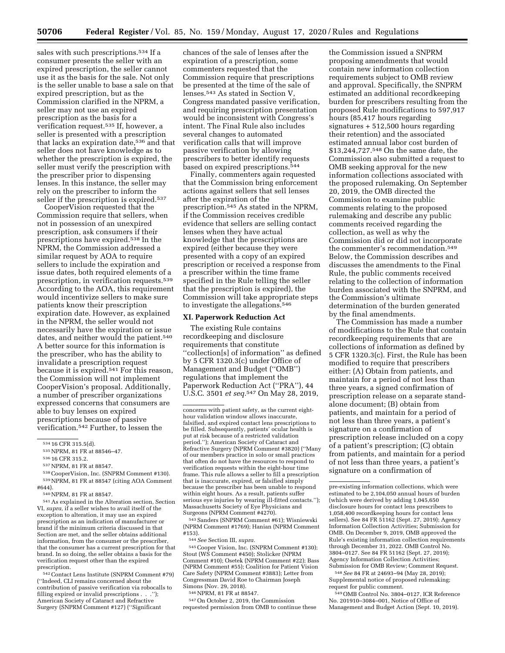sales with such prescriptions.534 If a consumer presents the seller with an expired prescription, the seller cannot use it as the basis for the sale. Not only is the seller unable to base a sale on that expired prescription, but as the Commission clarified in the NPRM, a seller may not use an expired prescription as the basis for a verification request.535 If, however, a seller is presented with a prescription that lacks an expiration date,536 and that seller does not have knowledge as to whether the prescription is expired, the seller must verify the prescription with the prescriber prior to dispensing lenses. In this instance, the seller may rely on the prescriber to inform the seller if the prescription is expired.<sup>537</sup>

CooperVision requested that the Commission require that sellers, when not in possession of an unexpired prescription, ask consumers if their prescriptions have expired.538 In the NPRM, the Commission addressed a similar request by AOA to require sellers to include the expiration and issue dates, both required elements of a prescription, in verification requests.539 According to the AOA, this requirement would incentivize sellers to make sure patients know their prescription expiration date. However, as explained in the NPRM, the seller would not necessarily have the expiration or issue dates, and neither would the patient.<sup>540</sup> A better source for this information is the prescriber, who has the ability to invalidate a prescription request because it is expired.541 For this reason, the Commission will not implement CooperVision's proposal. Additionally, a number of prescriber organizations expressed concerns that consumers are able to buy lenses on expired prescriptions because of passive verification.542 Further, to lessen the

538CooperVision, Inc. (SNPRM Comment #130). 539NPRM, 81 FR at 88547 (citing AOA Comment #644).

540NPRM, 81 FR at 88547.

541As explained in the Alteration section, Section VI, *supra,* if a seller wishes to avail itself of the exception to alteration, it may use an expired prescription as an indication of manufacturer or brand if the minimum criteria discussed in that Section are met, and the seller obtains additional information, from the consumer or the prescriber, that the consumer has a current prescription for that brand. In so doing, the seller obtains a basis for the verification request other than the expired prescription.

542Contact Lens Institute (SNPRM Comment #79) (''Indeed, CLI remains concerned about the contribution of passive verification via robocalls to filling expired or invalid prescriptions . . .''); American Society of Cataract and Refractive Surgery (SNPRM Comment #127) (''Significant

chances of the sale of lenses after the expiration of a prescription, some commenters requested that the Commission require that prescriptions be presented at the time of the sale of lenses.543 As stated in Section V, Congress mandated passive verification, and requiring prescription presentation would be inconsistent with Congress's intent. The Final Rule also includes several changes to automated verification calls that will improve passive verification by allowing prescribers to better identify requests based on expired prescriptions.544

Finally, commenters again requested that the Commission bring enforcement actions against sellers that sell lenses after the expiration of the prescription.545 As stated in the NPRM, if the Commission receives credible evidence that sellers are selling contact lenses when they have actual knowledge that the prescriptions are expired (either because they were presented with a copy of an expired prescription or received a response from a prescriber within the time frame specified in the Rule telling the seller that the prescription is expired), the Commission will take appropriate steps to investigate the allegations.546

#### **XI. Paperwork Reduction Act**

The existing Rule contains recordkeeping and disclosure requirements that constitute ''collection[s] of information'' as defined by 5 CFR 1320.3(c) under Office of Management and Budget (''OMB'') regulations that implement the Paperwork Reduction Act (''PRA''), 44 U.S.C. 3501 *et seq.*547 On May 28, 2019,

543Sanders (SNPRM Comment #61); Wisniewski (NPRM Comment #1769); Hanian (NPRM Comment

#153). 544*See* Section III, *supra.* 

545Cooper Vision, Inc. (SNPRM Comment #130); Stout (WS Comment #450); Stolicker (NPRM Comment #10); Osetek (NPRM Comment #22); Bass (NPRM Comment #55); Coalition for Patient Vision Care Safety (NPRM Comment #3883); Letter from Congressman David Roe to Chairman Joseph Simons (Nov. 29, 2018).<br><sup>546</sup> NPRM, 81 FR at 88547.<br><sup>547</sup> On October 2, 2019, the Commission

requested permission from OMB to continue these

the Commission issued a SNPRM proposing amendments that would contain new information collection requirements subject to OMB review and approval. Specifically, the SNPRM estimated an additional recordkeeping burden for prescribers resulting from the proposed Rule modifications to 597,917 hours (85,417 hours regarding signatures + 512,500 hours regarding their retention) and the associated estimated annual labor cost burden of \$13,244,727.548 On the same date, the Commission also submitted a request to OMB seeking approval for the new information collections associated with the proposed rulemaking. On September 20, 2019, the OMB directed the Commission to examine public comments relating to the proposed rulemaking and describe any public comments received regarding the collection, as well as why the Commission did or did not incorporate the commenter's recommendation.549 Below, the Commission describes and discusses the amendments to the Final Rule, the public comments received relating to the collection of information burden associated with the SNPRM, and the Commission's ultimate determination of the burden generated by the final amendments.

The Commission has made a number of modifications to the Rule that contain recordkeeping requirements that are collections of information as defined by 5 CFR 1320.3(c). First, the Rule has been modified to require that prescribers either: (A) Obtain from patients, and maintain for a period of not less than three years, a signed confirmation of prescription release on a separate standalone document; (B) obtain from patients, and maintain for a period of not less than three years, a patient's signature on a confirmation of prescription release included on a copy of a patient's prescription; (C) obtain from patients, and maintain for a period of not less than three years, a patient's signature on a confirmation of

548*See* 84 FR at 24693–94 (May 28, 2019); Supplemental notice of proposed rulemaking; request for public comment.

549OMB Control No. 3804–0127, ICR Reference No. 201910–3084–001, Notice of Office of Management and Budget Action (Sept. 10, 2019).

<sup>534</sup> 16 CFR 315.5(d).

<sup>535</sup>NPRM, 81 FR at 88546–47.

<sup>536</sup> 16 CFR 315.2.

<sup>537</sup>NPRM, 81 FR at 88547.

concerns with patient safety, as the current eighthour validation window allows inaccurate, falsified, and expired contact lens prescriptions to be filled. Subsequently, patients' ocular health is put at risk because of a restricted validation period.''); American Society of Cataract and Refractive Surgery (NPRM Comment #3820) (''Many of our members practice in solo or small practices that often do not have the resources to respond to verification requests within the eight-hour time frame. This rule allows a seller to fill a prescription that is inaccurate, expired, or falsified simply because the prescriber has been unable to respond within eight hours. As a result, patients suffer serious eye injuries by wearing ill-fitted contacts.''); Massachusetts Society of Eye Physicians and Surgeons (NPRM Comment #4270).

pre-existing information collections, which were estimated to be 2,104,050 annual hours of burden (which were derived by adding 1,045,650 disclosure hours for contact lens prescribers to 1,058,400 recordkeeping hours for contact lens sellers). See 84 FR 51162 (Sept. 27, 2019); Agency Information Collection Activities; Submission for OMB. On December 9, 2019, OMB approved the Rule's existing information collection requirements through December 31, 2022. OMB Control No. 3804–0127. See 84 FR 51162 (Sept. 27, 2019); Agency Information Collection Activities; Submission for OMB Review; Comment Request.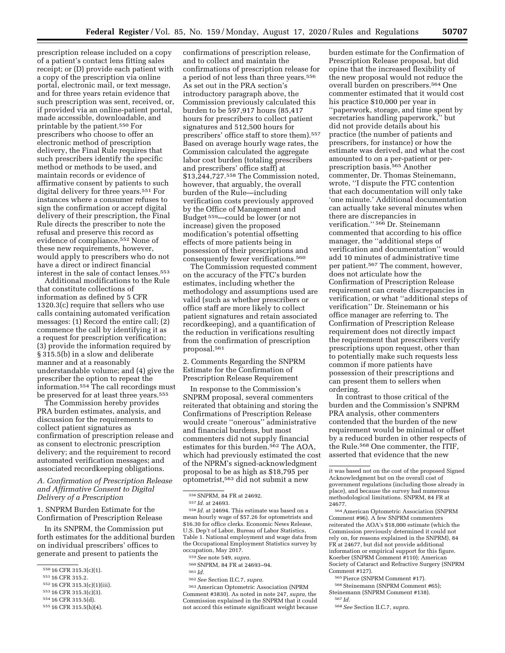prescription release included on a copy of a patient's contact lens fitting sales receipt; or (D) provide each patient with a copy of the prescription via online portal, electronic mail, or text message, and for three years retain evidence that such prescription was sent, received, or, if provided via an online-patient portal, made accessible, downloadable, and printable by the patient.550 For prescribers who choose to offer an electronic method of prescription delivery, the Final Rule requires that such prescribers identify the specific method or methods to be used, and maintain records or evidence of affirmative consent by patients to such digital delivery for three years.551 For instances where a consumer refuses to sign the confirmation or accept digital delivery of their prescription, the Final Rule directs the prescriber to note the refusal and preserve this record as evidence of compliance.552 None of these new requirements, however, would apply to prescribers who do not have a direct or indirect financial interest in the sale of contact lenses.553

Additional modifications to the Rule that constitute collections of information as defined by 5 CFR 1320.3(c) require that sellers who use calls containing automated verification messages: (1) Record the entire call; (2) commence the call by identifying it as a request for prescription verification; (3) provide the information required by § 315.5(b) in a slow and deliberate manner and at a reasonably understandable volume; and (4) give the prescriber the option to repeat the information.554 The call recordings must be preserved for at least three years.<sup>555</sup>

The Commission hereby provides PRA burden estimates, analysis, and discussion for the requirements to collect patient signatures as confirmation of prescription release and as consent to electronic prescription delivery; and the requirement to record automated verification messages; and associated recordkeeping obligations.

## *A. Confirmation of Prescription Release and Affirmative Consent to Digital Delivery of a Prescription*

1. SNPRM Burden Estimate for the Confirmation of Prescription Release

In its SNPRM, the Commission put forth estimates for the additional burden on individual prescribers' offices to generate and present to patients the

- 552 16 CFR 315.3(c)(1)(iii).
- 553 16 CFR 315.3(c)(3).

555 16 CFR 315.5(h)(4).

confirmations of prescription release, and to collect and maintain the confirmations of prescription release for a period of not less than three years.556 As set out in the PRA section's introductory paragraph above, the Commission previously calculated this burden to be 597,917 hours (85,417 hours for prescribers to collect patient signatures and 512,500 hours for prescribers' office staff to store them).557 Based on average hourly wage rates, the Commission calculated the aggregate labor cost burden (totaling prescribers and prescribers' office staff) at \$13,244,727.558 The Commission noted, however, that arguably, the overall burden of the Rule—including verification costs previously approved by the Office of Management and Budget 559—could be lower (or not increase) given the proposed modification's potential offsetting effects of more patients being in possession of their prescriptions and consequently fewer verifications.560

The Commission requested comment on the accuracy of the FTC's burden estimates, including whether the methodology and assumptions used are valid (such as whether prescribers or office staff are more likely to collect patient signatures and retain associated recordkeeping), and a quantification of the reduction in verifications resulting from the confirmation of prescription proposal.561

2. Comments Regarding the SNPRM Estimate for the Confirmation of Prescription Release Requirement

In response to the Commission's SNPRM proposal, several commenters reiterated that obtaining and storing the Confirmations of Prescription Release would create ''onerous'' administrative and financial burdens, but most commenters did not supply financial estimates for this burden.562 The AOA, which had previously estimated the cost of the NPRM's signed-acknowledgment proposal to be as high as \$18,795 per optometrist,563 did not submit a new

 $^{558}\,Id.$  at 24694. This estimate was based on a mean hourly wage of \$57.26 for optometrists and \$16.30 for office clerks. Economic News Release, U.S. Dep't of Labor, Bureau of Labor Statistics, Table 1. National employment and wage data from the Occupational Employment Statistics survey by occupation, May 2017.

560SNPRM, 84 FR at 24693–94.

562*See* Section II.C.7, *supra.* 

563American Optometric Association (NPRM Comment #3830). As noted in note 247, *supra,* the Commission explained in the SNPRM that it could not accord this estimate significant weight because

burden estimate for the Confirmation of Prescription Release proposal, but did opine that the increased flexibility of the new proposal would not reduce the overall burden on prescribers.564 One commenter estimated that it would cost his practice \$10,000 per year in ''paperwork, storage, and time spent by secretaries handling paperwork,'' but did not provide details about his practice (the number of patients and prescribers, for instance) or how the estimate was derived, and what the cost amounted to on a per-patient or perprescription basis.565 Another commenter, Dr. Thomas Steinemann, wrote, ''I dispute the FTC contention that each documentation will only take 'one minute.' Additional documentation can actually take several minutes when there are discrepancies in verification.'' 566 Dr. Steinemann commented that according to his office manager, the ''additional steps of verification and documentation'' would add 10 minutes of administrative time per patient.567 The comment, however, does not articulate how the Confirmation of Prescription Release requirement can create discrepancies in verification, or what ''additional steps of verification'' Dr. Steinemann or his office manager are referring to. The Confirmation of Prescription Release requirement does not directly impact the requirement that prescribers verify prescriptions upon request, other than to potentially make such requests less common if more patients have possession of their prescriptions and can present them to sellers when ordering.

In contrast to those critical of the burden and the Commission's SNPRM PRA analysis, other commenters contended that the burden of the new requirement would be minimal or offset by a reduced burden in other respects of the Rule.568 One commenter, the ITIF, asserted that evidence that the new

565Pierce (SNPRM Comment #17).

566 Steinemann (SNPRM Comment #65); Steinemann (SNPRM Comment #138).

568*See* Section II.C.7, *supra.* 

<sup>550</sup> 16 CFR 315.3(c)(1).

<sup>551</sup> 16 CFR 315.2.

<sup>554</sup> 16 CFR 315.5(d).

<sup>556</sup>SNPRM, 84 FR at 24692.

<sup>557</sup> *Id.* at 24693.

<sup>559</sup>*See* note 549, *supra.* 

<sup>561</sup> *Id.* 

it was based not on the cost of the proposed Signed Acknowledgment but on the overall cost of government regulations (including those already in place), and because the survey had numerous methodological limitations. SNPRM, 84 FR at 24677.

<sup>564</sup>American Optometric Association (SNPRM Comment #96). A few SNPRM commenters reiterated the AOA's \$18,000 estimate (which the Commission previously determined it could not rely on, for reasons explained in the SNPRM), 84 FR at 24677, but did not provide additional information or empirical support for this figure. Koerber (SNPRM Comment #110); American Society of Cataract and Refractive Surgery (SNPRM Comment #127).

<sup>567</sup> *Id.*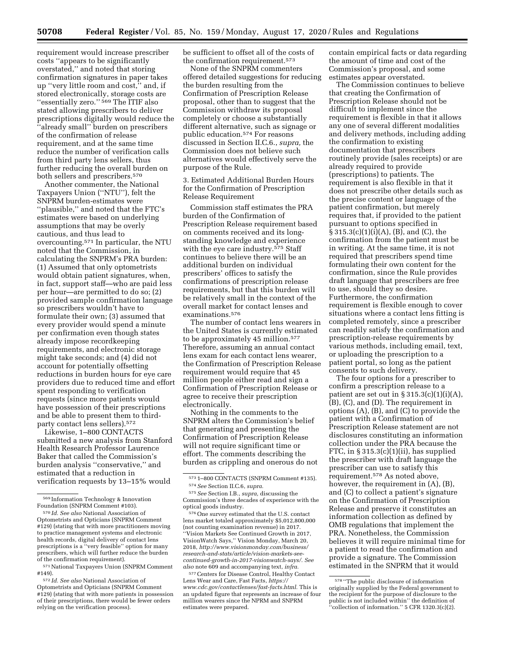requirement would increase prescriber costs ''appears to be significantly overstated,'' and noted that storing confirmation signatures in paper takes up ''very little room and cost,'' and, if stored electronically, storage costs are ''essentially zero.'' 569 The ITIF also stated allowing prescribers to deliver prescriptions digitally would reduce the ''already small'' burden on prescribers of the confirmation of release requirement, and at the same time reduce the number of verification calls from third party lens sellers, thus further reducing the overall burden on both sellers and prescribers.570

Another commenter, the National Taxpayers Union (''NTU''), felt the SNPRM burden-estimates were ''plausible,'' and noted that the FTC's estimates were based on underlying assumptions that may be overly cautious, and thus lead to overcounting.571 In particular, the NTU noted that the Commission, in calculating the SNPRM's PRA burden: (1) Assumed that only optometrists would obtain patient signatures, when, in fact, support staff—who are paid less per hour—are permitted to do so; (2) provided sample confirmation language so prescribers wouldn't have to formulate their own; (3) assumed that every provider would spend a minute per confirmation even though states already impose recordkeeping requirements, and electronic storage might take seconds; and (4) did not account for potentially offsetting reductions in burden hours for eye care providers due to reduced time and effort spent responding to verification requests (since more patients would have possession of their prescriptions and be able to present them to thirdparty contact lens sellers).572

Likewise, 1–800 CONTACTS submitted a new analysis from Stanford Health Research Professor Laurence Baker that called the Commission's burden analysis ''conservative,'' and estimated that a reduction in verification requests by 13–15% would

be sufficient to offset all of the costs of the confirmation requirement.573

None of the SNPRM commenters offered detailed suggestions for reducing the burden resulting from the Confirmation of Prescription Release proposal, other than to suggest that the Commission withdraw its proposal completely or choose a substantially different alternative, such as signage or public education.574 For reasons discussed in Section II.C.6., *supra,* the Commission does not believe such alternatives would effectively serve the purpose of the Rule.

3. Estimated Additional Burden Hours for the Confirmation of Prescription Release Requirement

Commission staff estimates the PRA burden of the Confirmation of Prescription Release requirement based on comments received and its longstanding knowledge and experience with the eye care industry.<sup>575</sup> Staff continues to believe there will be an additional burden on individual prescribers' offices to satisfy the confirmations of prescription release requirements, but that this burden will be relatively small in the context of the overall market for contact lenses and examinations.576

The number of contact lens wearers in the United States is currently estimated to be approximately 45 million.577 Therefore, assuming an annual contact lens exam for each contact lens wearer, the Confirmation of Prescription Release requirement would require that 45 million people either read and sign a Confirmation of Prescription Release or agree to receive their prescription electronically.

Nothing in the comments to the SNPRM alters the Commission's belief that generating and presenting the Confirmation of Prescription Release will not require significant time or effort. The comments describing the burden as crippling and onerous do not

576One survey estimated that the U.S. contact lens market totaled approximately \$5,012,800,000 (not counting examination revenue) in 2017. ''Vision Markets See Continued Growth in 2017, VisionWatch Says,'' Vision Monday, March 20, 2018, *[http://www.visionmonday.com/business/](http://www.visionmonday.com/business/research-and-stats/article/vision-markets-see-continued-growth-in-2017-visionwatch-says/)  [research-and-stats/article/vision-markets-see](http://www.visionmonday.com/business/research-and-stats/article/vision-markets-see-continued-growth-in-2017-visionwatch-says/)[continued-growth-in-2017-visionwatch-says/.](http://www.visionmonday.com/business/research-and-stats/article/vision-markets-see-continued-growth-in-2017-visionwatch-says/) See also* note 609 and accompanying text, *infra.* 

577Centers for Disease Control, Healthy Contact Lens Wear and Care, Fast Facts, *[https://](https://www.cdc.gov/contactlenses/fast-facts.html) [www.cdc.gov/contactlenses/fast-facts.html.](https://www.cdc.gov/contactlenses/fast-facts.html)* This is an updated figure that represents an increase of four million wearers since the NPRM and SNPRM estimates were prepared.

contain empirical facts or data regarding the amount of time and cost of the Commission's proposal, and some estimates appear overstated.

The Commission continues to believe that creating the Confirmation of Prescription Release should not be difficult to implement since the requirement is flexible in that it allows any one of several different modalities and delivery methods, including adding the confirmation to existing documentation that prescribers routinely provide (sales receipts) or are already required to provide (prescriptions) to patients. The requirement is also flexible in that it does not prescribe other details such as the precise content or language of the patient confirmation, but merely requires that, if provided to the patient pursuant to options specified in § 315.3(c)(1)(i)(A), (B), and (C), the confirmation from the patient must be in writing. At the same time, it is not required that prescribers spend time formulating their own content for the confirmation, since the Rule provides draft language that prescribers are free to use, should they so desire. Furthermore, the confirmation requirement is flexible enough to cover situations where a contact lens fitting is completed remotely, since a prescriber can readily satisfy the confirmation and prescription-release requirements by various methods, including email, text, or uploading the prescription to a patient portal, so long as the patient consents to such delivery.

The four options for a prescriber to confirm a prescription release to a patient are set out in  $\S 315.3(c)(1)(i)(A)$ , (B), (C), and (D). The requirement in options (A), (B), and (C) to provide the patient with a Confirmation of Prescription Release statement are not disclosures constituting an information collection under the PRA because the FTC, in  $\S 315.3(c)(1)(ii)$ , has supplied the prescriber with draft language the prescriber can use to satisfy this requirement.578 As noted above, however, the requirement in (A), (B), and (C) to collect a patient's signature on the Confirmation of Prescription Release and preserve it constitutes an information collection as defined by OMB regulations that implement the PRA. Nonetheless, the Commission believes it will require minimal time for a patient to read the confirmation and provide a signature. The Commission estimated in the SNPRM that it would

<sup>569</sup> Information Technology & Innovation Foundation (SNPRM Comment #103).

<sup>570</sup> *Id. See also* National Association of Optometrists and Opticians (SNPRM Comment #129) (stating that with more practitioners moving to practice management systems and electronic health records, digital delivery of contact lens prescriptions is a ''very feasible'' option for many prescribers, which will further reduce the burden of the confirmation requirement).

<sup>571</sup>National Taxpayers Union (SNPRM Comment #149).

<sup>572</sup> *Id. See also* National Association of Optometrists and Opticians (SNPRM Comment #129) (stating that with more patients in possession of their prescriptions, there would be fewer orders relying on the verification process).

<sup>573</sup> 1–800 CONTACTS (SNPRM Comment #135). 574*See* Section II.C.6, *supra.* 

<sup>575</sup>*See* Section I.B., *supra,* discussing the Commission's three decades of experience with the optical goods industry.

<sup>578</sup> ''The public disclosure of information originally supplied by the Federal government to the recipient for the purpose of disclosure to the public is not included within'' the definition of ''collection of information.'' 5 CFR 1320.3(c)(2).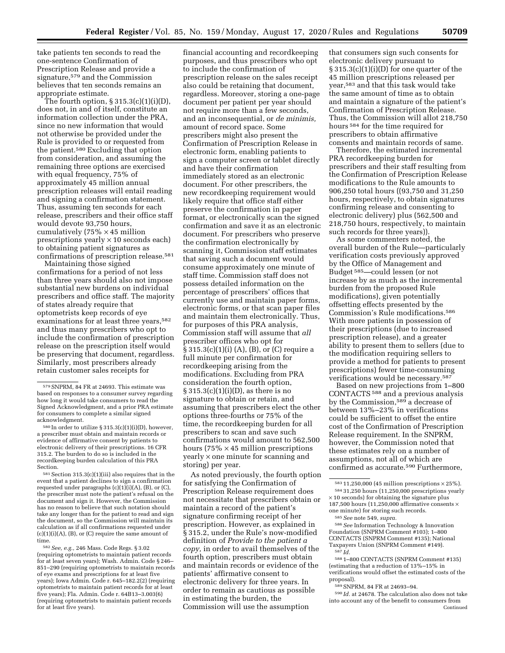take patients ten seconds to read the one-sentence Confirmation of Prescription Release and provide a signature,579 and the Commission believes that ten seconds remains an appropriate estimate.

The fourth option, § 315.3(c)(1)(i)(D), does not, in and of itself, constitute an information collection under the PRA, since no new information that would not otherwise be provided under the Rule is provided to or requested from the patient.580 Excluding that option from consideration, and assuming the remaining three options are exercised with equal frequency, 75% of approximately 45 million annual prescription releases will entail reading and signing a confirmation statement. Thus, assuming ten seconds for each release, prescribers and their office staff would devote 93,750 hours, cumulatively  $(75\% \times 45 \text{ million})$ prescriptions yearly  $\times$  10 seconds each) to obtaining patient signatures as confirmations of prescription release.581

Maintaining those signed confirmations for a period of not less than three years should also not impose substantial new burdens on individual prescribers and office staff. The majority of states already require that optometrists keep records of eye examinations for at least three years, 582 and thus many prescribers who opt to include the confirmation of prescription release on the prescription itself would be preserving that document, regardless. Similarly, most prescribers already retain customer sales receipts for

580 In order to utilize § 315.3(c)(1)(i)(D), however, a prescriber must obtain and maintain records or evidence of affirmative consent by patients to electronic delivery of their prescriptions. 16 CFR 315.2. The burden to do so is included in the recordkeeping burden calculation of this PRA Section.

 $581$  Section  $315.3(c)(1)(iii)$  also requires that in the event that a patient declines to sign a confirmation requested under paragraphs  $(c)(1)(i)(A)$ ,  $(B)$ , or  $(C)$ , the prescriber must note the patient's refusal on the document and sign it. However, the Commission has no reason to believe that such notation should take any longer than for the patient to read and sign the document, so the Commission will maintain its calculation as if all confirmations requested under  $(c)(1)(i)(A)$ ,  $(B)$ , or  $(C)$  require the same amount of time.

582*See, e.g.,* 246 Mass. Code Regs. § 3.02 (requiring optometrists to maintain patient records for at least seven years); Wash. Admin. Code § 246– 851–290 (requiring optometrists to maintain records of eye exams and prescriptions for at least five years); Iowa Admin. Code r. 645–182.2(2) (requiring optometrists to maintain patient records for at least five years); Fla. Admin. Code r. 64B13–3.003(6) (requiring optometrists to maintain patient records for at least five years).

financial accounting and recordkeeping purposes, and thus prescribers who opt to include the confirmation of prescription release on the sales receipt also could be retaining that document, regardless. Moreover, storing a one-page document per patient per year should not require more than a few seconds, and an inconsequential, or *de minimis,*  amount of record space. Some prescribers might also present the Confirmation of Prescription Release in electronic form, enabling patients to sign a computer screen or tablet directly and have their confirmation immediately stored as an electronic document. For other prescribers, the new recordkeeping requirement would likely require that office staff either preserve the confirmation in paper format, or electronically scan the signed confirmation and save it as an electronic document. For prescribers who preserve the confirmation electronically by scanning it, Commission staff estimates that saving such a document would consume approximately one minute of staff time. Commission staff does not possess detailed information on the percentage of prescribers' offices that currently use and maintain paper forms, electronic forms, or that scan paper files and maintain them electronically. Thus, for purposes of this PRA analysis, Commission staff will assume that *all*  prescriber offices who opt for § 315.3(c)(1)(i) (A), (B), or (C) require a full minute per confirmation for recordkeeping arising from the modifications. Excluding from PRA consideration the fourth option,  $\S 315.3(c)(1)(i)(D)$ , as there is no signature to obtain or retain, and assuming that prescribers elect the other options three-fourths or 75% of the time, the recordkeeping burden for all prescribers to scan and save such confirmations would amount to 562,500 hours (75%  $\times$  45 million prescriptions yearly × one minute for scanning and storing) per year.

As noted previously, the fourth option for satisfying the Confirmation of Prescription Release requirement does not necessitate that prescribers obtain or maintain a record of the patient's signature confirming receipt of her prescription. However, as explained in § 315.2, under the Rule's now-modified definition of *Provide to the patient a copy,* in order to avail themselves of the fourth option, prescribers must obtain and maintain records or evidence of the patients' affirmative consent to electronic delivery for three years. In order to remain as cautious as possible in estimating the burden, the Commission will use the assumption

that consumers sign such consents for electronic delivery pursuant to  $\S 315.3(c)(1)(i)(D)$  for one quarter of the 45 million prescriptions released per year,583 and that this task would take the same amount of time as to obtain and maintain a signature of the patient's Confirmation of Prescription Release. Thus, the Commission will allot 218,750 hours 584 for the time required for prescribers to obtain affirmative consents and maintain records of same.

Therefore, the estimated incremental PRA recordkeeping burden for prescribers and their staff resulting from the Confirmation of Prescription Release modifications to the Rule amounts to 906,250 total hours ((93,750 and 31,250 hours, respectively, to obtain signatures confirming release and consenting to electronic delivery) plus (562,500 and 218,750 hours, respectively, to maintain such records for three years)).

As some commenters noted, the overall burden of the Rule—particularly verification costs previously approved by the Office of Management and Budget 585—could lessen (or not increase by as much as the incremental burden from the proposed Rule modifications), given potentially offsetting effects presented by the Commission's Rule modifications.586 With more patients in possession of their prescriptions (due to increased prescription release), and a greater ability to present them to sellers (due to the modification requiring sellers to provide a method for patients to present prescriptions) fewer time-consuming verifications would be necessary.587

Based on new projections from 1–800 CONTACTS 588 and a previous analysis by the Commission,589 a decrease of between 13%–23% in verifications could be sufficient to offset the entire cost of the Confirmation of Prescription Release requirement. In the SNPRM, however, the Commission noted that these estimates rely on a number of assumptions, not all of which are confirmed as accurate.590 Furthermore,

586*See* Information Technology & Innovation Foundation (SNPRM Comment #103); 1–800 CONTACTS (SNPRM Comment #135); National Taxpayers Union (SNPRM Comment #149). 587 *Id.* 

588 1–800 CONTACTS (SNPRM Comment #135) (estimating that a reduction of 13%–15% in verifications would offset the estimated costs of the proposal).

589SNPRM, 84 FR at 24693–94.

590 *Id.* at 24678. The calculation also does not take into account any of the benefit to consumers from Continued

<sup>579</sup>SNPRM, 84 FR at 24693. This estimate was based on responses to a consumer survey regarding how long it would take consumers to read the Signed Acknowledgment, and a prior PRA estimate for consumers to complete a similar signed acknowledgment.

<sup>583</sup> 11,250,000 (45 million prescriptions × 25%). 584 31,250 hours (11,250,000 prescriptions yearly  $\times$  10 seconds) for obtaining the signature plus 187,500 hours (11,250,000 affirmative consents  $\times$ one minute) for storing such records.

<sup>585</sup>*See* note 549, *supra.*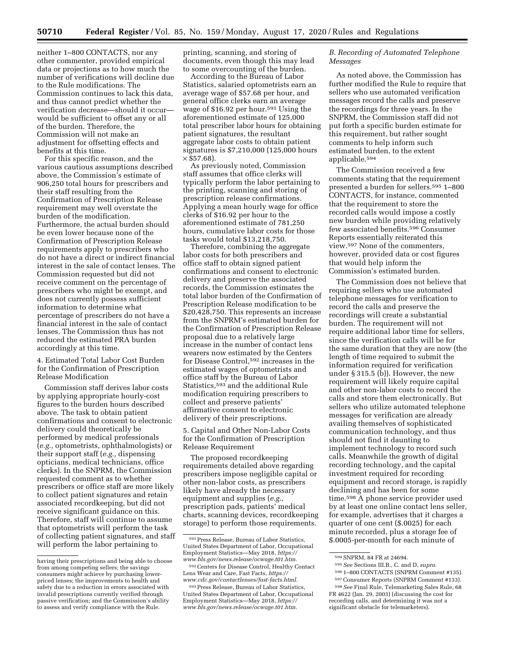neither 1–800 CONTACTS, nor any other commenter, provided empirical data or projections as to how much the number of verifications will decline due to the Rule modifications. The Commission continues to lack this data, and thus cannot predict whether the verification decrease—should it occur would be sufficient to offset any or all of the burden. Therefore, the Commission will not make an adjustment for offsetting effects and benefits at this time.

For this specific reason, and the various cautious assumptions described above, the Commission's estimate of 906,250 total hours for prescribers and their staff resulting from the Confirmation of Prescription Release requirement may well overstate the burden of the modification. Furthermore, the actual burden should be even lower because none of the Confirmation of Prescription Release requirements apply to prescribers who do not have a direct or indirect financial interest in the sale of contact lenses. The Commission requested but did not receive comment on the percentage of prescribers who might be exempt, and does not currently possess sufficient information to determine what percentage of prescribers do not have a financial interest in the sale of contact lenses. The Commission thus has not reduced the estimated PRA burden accordingly at this time.

4. Estimated Total Labor Cost Burden for the Confirmation of Prescription Release Modification

Commission staff derives labor costs by applying appropriate hourly-cost figures to the burden hours described above. The task to obtain patient confirmations and consent to electronic delivery could theoretically be performed by medical professionals (*e.g.,* optometrists, ophthalmologists) or their support staff (*e.g.,* dispensing opticians, medical technicians, office clerks). In the SNPRM, the Commission requested comment as to whether prescribers or office staff are more likely to collect patient signatures and retain associated recordkeeping, but did not receive significant guidance on this. Therefore, staff will continue to assume that optometrists will perform the task of collecting patient signatures, and staff will perform the labor pertaining to

printing, scanning, and storing of documents, even though this may lead to some overcounting of the burden.

According to the Bureau of Labor Statistics, salaried optometrists earn an average wage of \$57.68 per hour, and general office clerks earn an average wage of \$16.92 per hour.591 Using the aforementioned estimate of 125,000 total prescriber labor hours for obtaining patient signatures, the resultant aggregate labor costs to obtain patient signatures is \$7,210,000 (125,000 hours  $\times$  \$57.68).

As previously noted, Commission staff assumes that office clerks will typically perform the labor pertaining to the printing, scanning and storing of prescription release confirmations. Applying a mean hourly wage for office clerks of \$16.92 per hour to the aforementioned estimate of 781,250 hours, cumulative labor costs for those tasks would total \$13,218,750.

Therefore, combining the aggregate labor costs for both prescribers and office staff to obtain signed patient confirmations and consent to electronic delivery and preserve the associated records, the Commission estimates the total labor burden of the Confirmation of Prescription Release modification to be \$20,428,750. This represents an increase from the SNPRM's estimated burden for the Confirmation of Prescription Release proposal due to a relatively large increase in the number of contact lens wearers now estimated by the Centers for Disease Control,592 increases in the estimated wages of optometrists and office staff by the Bureau of Labor Statistics,593 and the additional Rule modification requiring prescribers to collect and preserve patients' affirmative consent to electronic delivery of their prescriptions.

5. Capital and Other Non-Labor Costs for the Confirmation of Prescription Release Requirement

The proposed recordkeeping requirements detailed above regarding prescribers impose negligible capital or other non-labor costs, as prescribers likely have already the necessary equipment and supplies (*e.g.,*  prescription pads, patients' medical charts, scanning devices, recordkeeping storage) to perform those requirements.

## *B. Recording of Automated Telephone Messages*

As noted above, the Commission has further modified the Rule to require that sellers who use automated verification messages record the calls and preserve the recordings for three years. In the SNPRM, the Commission staff did not put forth a specific burden estimate for this requirement, but rather sought comments to help inform such estimated burden, to the extent applicable.594

The Commission received a few comments stating that the requirement presented a burden for sellers.595 1–800 CONTACTS, for instance, commented that the requirement to store the recorded calls would impose a costly new burden while providing relatively few associated benefits.596 Consumer Reports essentially reiterated this view.597 None of the commenters, however, provided data or cost figures that would help inform the Commission's estimated burden.

The Commission does not believe that requiring sellers who use automated telephone messages for verification to record the calls and preserve the recordings will create a substantial burden. The requirement will not require additional labor time for sellers, since the verification calls will be for the same duration that they are now (the length of time required to submit the information required for verification under § 315.5 (b)). However, the new requirement will likely require capital and other non-labor costs to record the calls and store them electronically. But sellers who utilize automated telephone messages for verification are already availing themselves of sophisticated communication technology, and thus should not find it daunting to implement technology to record such calls. Meanwhile the growth of digital recording technology, and the capital investment required for recording equipment and record storage, is rapidly declining and has been for some time.598 A phone service provider used by at least one online contact lens seller, for example, advertises that it charges a quarter of one cent (\$.0025) for each minute recorded, plus a storage fee of \$.0005-per-month for each minute of

having their prescriptions and being able to choose from among competing sellers; the savings consumers might achieve by purchasing lowerpriced lenses; the improvements to health and safety due to a reduction in errors associated with invalid prescriptions currently verified through passive verification; and the Commission's ability to assess and verify compliance with the Rule.

<sup>591</sup>Press Release, Bureau of Labor Statistics, United States Department of Labor, Occupational Employment Statistics—May 2018, *[https://](https://www.bls.gov/news.release/ocwage.t01.htm) [www.bls.gov/news.release/ocwage.t01.htm.](https://www.bls.gov/news.release/ocwage.t01.htm)* 

<sup>592</sup>Centers for Disease Control, Healthy Contact Lens Wear and Care, Fast Facts, *[https://](https://www.cdc.gov/contactlenses/fast-facts.html) [www.cdc.gov/contactlenses/fast-facts.html.](https://www.cdc.gov/contactlenses/fast-facts.html)* 

<sup>593</sup>Press Release, Bureau of Labor Statistics, United States Department of Labor, Occupational Employment Statistics—May 2018, *[https://](https://www.bls.gov/news.release/ocwage.t01.htm) [www.bls.gov/news.release/ocwage.t01.htm.](https://www.bls.gov/news.release/ocwage.t01.htm)* 

<sup>594</sup>SNPRM, 84 FR at 24694.

<sup>595</sup>*See* Sections III.B., C. and D, *supra.* 

<sup>596</sup> 1–800 CONTACTS (SNPRM Comment #135).

<sup>597</sup>Consumer Reports (SNPRM Comment #133). 598*See* Final Rule, Telemarketing Sales Rule, 68

FR 4622 (Jan. 29, 2003) (discussing the cost for recording calls, and determining it was not a significant obstacle for telemarketers).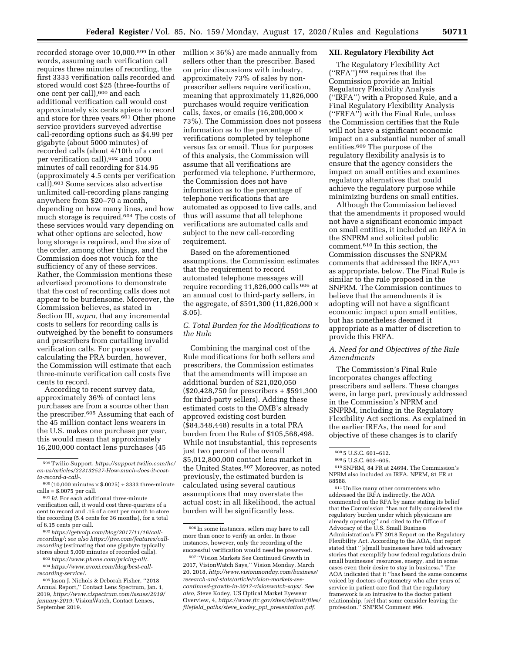recorded storage over 10,000.599 In other words, assuming each verification call requires three minutes of recording, the first 3333 verification calls recorded and stored would cost \$25 (three-fourths of one cent per call),600 and each additional verification call would cost approximately six cents apiece to record and store for three years.<sup>601</sup> Other phone service providers surveyed advertise call-recording options such as \$4.99 per gigabyte (about 5000 minutes) of recorded calls (about 4/10th of a cent per verification call),602 and 1000 minutes of call recording for \$14.95 (approximately 4.5 cents per verification call).603 Some services also advertise unlimited call-recording plans ranging anywhere from \$20–70 a month, depending on how many lines, and how much storage is required.604 The costs of these services would vary depending on what other options are selected, how long storage is required, and the size of the order, among other things, and the Commission does not vouch for the sufficiency of any of these services. Rather, the Commission mentions these advertised promotions to demonstrate that the cost of recording calls does not appear to be burdensome. Moreover, the Commission believes, as stated in Section III, *supra,* that any incremental costs to sellers for recording calls is outweighed by the benefit to consumers and prescribers from curtailing invalid verification calls. For purposes of calculating the PRA burden, however, the Commission will estimate that each three-minute verification call costs five cents to record.

According to recent survey data, approximately 36% of contact lens purchases are from a source other than the prescriber.605 Assuming that each of the 45 million contact lens wearers in the U.S. makes one purchase per year, this would mean that approximately 16,200,000 contact lens purchases (45

602*[https://getvoip.com/blog/2017/11/16/call](https://getvoip.com/blog/2017/11/16/call-recording/)[recording/](https://getvoip.com/blog/2017/11/16/call-recording/)*; *see als[o https://jive.com/features/call](https://jive.com/features/call-recording)[recording](https://jive.com/features/call-recording)* (estimating that one gigabyte typically stores about 5,000 minutes of recorded calls).

603*[https://www.phone.com/pricing-all/.](https://www.phone.com/pricing-all/)* 

604*[https://www.avoxi.com/blog/best-call](https://www.avoxi.com/blog/best-call-recording-service/)[recording-service/.](https://www.avoxi.com/blog/best-call-recording-service/)* 

605 Jason J. Nichols & Deborah Fisher, ''2018 Annual Report,'' Contact Lens Spectrum, Jan. 1, 2019, *[https://www.clspectrum.com/issues/2019/](https://www.clspectrum.com/issues/2019/january-2019) [january-2019](https://www.clspectrum.com/issues/2019/january-2019)*; VisionWatch, Contact Lenses, September 2019.

million  $\times$  36%) are made annually from sellers other than the prescriber. Based on prior discussions with industry, approximately 73% of sales by nonprescriber sellers require verification, meaning that approximately 11,826,000 purchases would require verification calls, faxes, or emails  $(16,200,000 \times$ 73%). The Commission does not possess information as to the percentage of verifications completed by telephone versus fax or email. Thus for purposes of this analysis, the Commission will assume that all verifications are performed via telephone. Furthermore, the Commission does not have information as to the percentage of telephone verifications that are automated as opposed to live calls, and thus will assume that all telephone verifications are automated calls and subject to the new call-recording requirement.

Based on the aforementioned assumptions, the Commission estimates that the requirement to record automated telephone messages will require recording 11,826,000 calls 606 at an annual cost to third-party sellers, in the aggregate, of \$591,300 (11,826,000 × \$.05).

# *C. Total Burden for the Modifications to the Rule*

Combining the marginal cost of the Rule modifications for both sellers and prescribers, the Commission estimates that the amendments will impose an additional burden of \$21,020,050 (\$20,428,750 for prescribers + \$591,300 for third-party sellers). Adding these estimated costs to the OMB's already approved existing cost burden (\$84,548,448) results in a total PRA burden from the Rule of \$105,568,498. While not insubstantial, this represents just two percent of the overall \$5,012,800,000 contact lens market in the United States.<sup>607</sup> Moreover, as noted previously, the estimated burden is calculated using several cautious assumptions that may overstate the actual cost; in all likelihood, the actual burden will be significantly less.

### **XII. Regulatory Flexibility Act**

The Regulatory Flexibility Act (''RFA'') 608 requires that the Commission provide an Initial Regulatory Flexibility Analysis (''IRFA'') with a Proposed Rule, and a Final Regulatory Flexibility Analysis (''FRFA'') with the Final Rule, unless the Commission certifies that the Rule will not have a significant economic impact on a substantial number of small entities.609 The purpose of the regulatory flexibility analysis is to ensure that the agency considers the impact on small entities and examines regulatory alternatives that could achieve the regulatory purpose while minimizing burdens on small entities.

Although the Commission believed that the amendments it proposed would not have a significant economic impact on small entities, it included an IRFA in the SNPRM and solicited public comment.610 In this section, the Commission discusses the SNPRM comments that addressed the IRFA, 611 as appropriate, below. The Final Rule is similar to the rule proposed in the SNPRM. The Commission continues to believe that the amendments it is adopting will not have a significant economic impact upon small entities, but has nonetheless deemed it appropriate as a matter of discretion to provide this FRFA.

## *A. Need for and Objectives of the Rule Amendments*

The Commission's Final Rule incorporates changes affecting prescribers and sellers. These changes were, in large part, previously addressed in the Commission's NPRM and SNPRM, including in the Regulatory Flexibility Act sections. As explained in the earlier IRFAs, the need for and objective of these changes is to clarify

611Unlike many other commenters who addressed the IRFA indirectly, the AOA commented on the RFA by name stating its belief that the Commission ''has not fully considered the regulatory burden under which physicians are already operating'' and cited to the Office of Advocacy of the U.S. Small Business Administration's FY 2018 Report on the Regulatory Flexibility Act. According to the AOA, that report stated that ''[s]mall businesses have told advocacy stories that exemplify how federal regulations drain small businesses' resources, energy, and in some cases even their desire to stay in business.'' The AOA indicated that it ''has heard the same concerns voiced by doctors of optometry who after years of service in patient care find that the regulatory framework is so intrusive to the doctor patient relationship, [*sic*] that some consider leaving the profession.'' SNPRM Comment #96.

<sup>599</sup>Twilio Support, *[https://support.twilio.com/hc/](https://support.twilio.com/hc/en-us/articles/223132527-How-much-does-it-cost-to-record-a-call-)  [en-us/articles/223132527-How-much-does-it-cost](https://support.twilio.com/hc/en-us/articles/223132527-How-much-does-it-cost-to-record-a-call-)[to-record-a-call-](https://support.twilio.com/hc/en-us/articles/223132527-How-much-does-it-cost-to-record-a-call-).* 

 $600 (10,000 \text{ minutes} \times $.0025) \div 3333 \text{ three-minute}$  $cells = $.0075$  per call.

<sup>601</sup> *Id.* For each additional three-minute verification call, it would cost three-quarters of a cent to record and .15 of a cent per month to store the recording (5.4 cents for 36 months), for a total of 6.15 cents per call.

<sup>606</sup> In some instances, sellers may have to call more than once to verify an order. In those instances, however, only the recording of the successful verification would need be preserved.

<sup>607</sup> ''Vision Markets See Continued Growth in 2017, VisionWatch Says,'' Vision Monday, March 20, 2018, *[http://www.visionmonday.com/business/](http://www.visionmonday.com/business/research-and-stats/article/vision-markets-see-continued-growth-in-2017-visionwatch-says/)  [research-and-stats/article/vision-markets-see](http://www.visionmonday.com/business/research-and-stats/article/vision-markets-see-continued-growth-in-2017-visionwatch-says/)[continued-growth-in-2017-visionwatch-says/.](http://www.visionmonday.com/business/research-and-stats/article/vision-markets-see-continued-growth-in-2017-visionwatch-says/) See also,* Steve Kodey, US Optical Market Eyewear Overview, 4, *[https://www.ftc.gov/sites/default/files/](https://www.ftc.gov/sites/default/files/filefield_paths/steve_kodey_ppt_presentation.pdf)  filefield*\_*paths/steve*\_*kodey*\_*ppt*\_*[presentation.pdf.](https://www.ftc.gov/sites/default/files/filefield_paths/steve_kodey_ppt_presentation.pdf)* 

<sup>608</sup> 5 U.S.C. 601–612.

<sup>609</sup> 5 U.S.C. 603–605.

<sup>610</sup>SNPRM, 84 FR at 24694. The Commission's NPRM also included an IRFA. NPRM, 81 FR at 88588.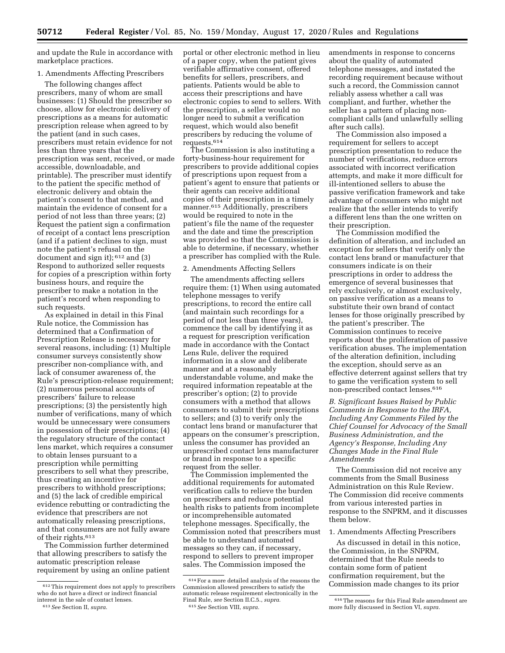and update the Rule in accordance with marketplace practices.

## 1. Amendments Affecting Prescribers

The following changes affect prescribers, many of whom are small businesses: (1) Should the prescriber so choose, allow for electronic delivery of prescriptions as a means for automatic prescription release when agreed to by the patient (and in such cases, prescribers must retain evidence for not less than three years that the prescription was sent, received, or made accessible, downloadable, and printable). The prescriber must identify to the patient the specific method of electronic delivery and obtain the patient's consent to that method, and maintain the evidence of consent for a period of not less than three years; (2) Request the patient sign a confirmation of receipt of a contact lens prescription (and if a patient declines to sign, must note the patient's refusal on the document and sign it); 612 and (3) Respond to authorized seller requests for copies of a prescription within forty business hours, and require the prescriber to make a notation in the patient's record when responding to such requests.

As explained in detail in this Final Rule notice, the Commission has determined that a Confirmation of Prescription Release is necessary for several reasons, including: (1) Multiple consumer surveys consistently show prescriber non-compliance with, and lack of consumer awareness of, the Rule's prescription-release requirement; (2) numerous personal accounts of prescribers' failure to release prescriptions; (3) the persistently high number of verifications, many of which would be unnecessary were consumers in possession of their prescriptions; (4) the regulatory structure of the contact lens market, which requires a consumer to obtain lenses pursuant to a prescription while permitting prescribers to sell what they prescribe, thus creating an incentive for prescribers to withhold prescriptions; and (5) the lack of credible empirical evidence rebutting or contradicting the evidence that prescribers are not automatically releasing prescriptions, and that consumers are not fully aware of their rights.613

The Commission further determined that allowing prescribers to satisfy the automatic prescription release requirement by using an online patient portal or other electronic method in lieu of a paper copy, when the patient gives verifiable affirmative consent, offered benefits for sellers, prescribers, and patients. Patients would be able to access their prescriptions and have electronic copies to send to sellers. With the prescription, a seller would no longer need to submit a verification request, which would also benefit prescribers by reducing the volume of requests.614

The Commission is also instituting a forty-business-hour requirement for prescribers to provide additional copies of prescriptions upon request from a patient's agent to ensure that patients or their agents can receive additional copies of their prescription in a timely manner.615 Additionally, prescribers would be required to note in the patient's file the name of the requester and the date and time the prescription was provided so that the Commission is able to determine, if necessary, whether a prescriber has complied with the Rule.

#### 2. Amendments Affecting Sellers

The amendments affecting sellers require them: (1) When using automated telephone messages to verify prescriptions, to record the entire call (and maintain such recordings for a period of not less than three years), commence the call by identifying it as a request for prescription verification made in accordance with the Contact Lens Rule, deliver the required information in a slow and deliberate manner and at a reasonably understandable volume, and make the required information repeatable at the prescriber's option; (2) to provide consumers with a method that allows consumers to submit their prescriptions to sellers; and (3) to verify only the contact lens brand or manufacturer that appears on the consumer's prescription, unless the consumer has provided an unprescribed contact lens manufacturer or brand in response to a specific request from the seller.

The Commission implemented the additional requirements for automated verification calls to relieve the burden on prescribers and reduce potential health risks to patients from incomplete or incomprehensible automated telephone messages. Specifically, the Commission noted that prescribers must be able to understand automated messages so they can, if necessary, respond to sellers to prevent improper sales. The Commission imposed the

amendments in response to concerns about the quality of automated telephone messages, and instated the recording requirement because without such a record, the Commission cannot reliably assess whether a call was compliant, and further, whether the seller has a pattern of placing noncompliant calls (and unlawfully selling after such calls).

The Commission also imposed a requirement for sellers to accept prescription presentation to reduce the number of verifications, reduce errors associated with incorrect verification attempts, and make it more difficult for ill-intentioned sellers to abuse the passive verification framework and take advantage of consumers who might not realize that the seller intends to verify a different lens than the one written on their prescription.

The Commission modified the definition of alteration, and included an exception for sellers that verify only the contact lens brand or manufacturer that consumers indicate is on their prescriptions in order to address the emergence of several businesses that rely exclusively, or almost exclusively, on passive verification as a means to substitute their own brand of contact lenses for those originally prescribed by the patient's prescriber. The Commission continues to receive reports about the proliferation of passive verification abuses. The implementation of the alteration definition, including the exception, should serve as an effective deterrent against sellers that try to game the verification system to sell non-prescribed contact lenses.616

*B. Significant Issues Raised by Public Comments in Response to the IRFA, Including Any Comments Filed by the Chief Counsel for Advocacy of the Small Business Administration, and the Agency's Response, Including Any Changes Made in the Final Rule Amendments* 

The Commission did not receive any comments from the Small Business Administration on this Rule Review. The Commission did receive comments from various interested parties in response to the SNPRM, and it discusses them below.

#### 1. Amendments Affecting Prescribers

As discussed in detail in this notice, the Commission, in the SNPRM, determined that the Rule needs to contain some form of patient confirmation requirement, but the Commission made changes to its prior

<sup>612</sup>This requirement does not apply to prescribers who do not have a direct or indirect financial interest in the sale of contact lenses.

<sup>613</sup>*See* Section II, *supra.* 

<sup>614</sup>For a more detailed analysis of the reasons the Commission allowed prescribers to satisfy the automatic release requirement electronically in the Final Rule, *see* Section II.C.5., *supra.* 615*See* Section VIII, *supra.* 

<sup>616</sup>The reasons for this Final Rule amendment are more fully discussed in Section VI, *supra.*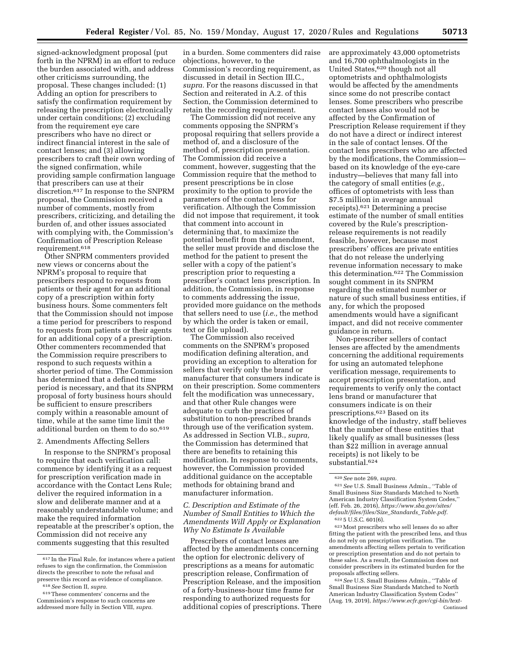signed-acknowledgment proposal (put forth in the NPRM) in an effort to reduce the burden associated with, and address other criticisms surrounding, the proposal. These changes included: (1) Adding an option for prescribers to satisfy the confirmation requirement by releasing the prescription electronically under certain conditions; (2) excluding from the requirement eye care prescribers who have no direct or indirect financial interest in the sale of contact lenses; and (3) allowing prescribers to craft their own wording of the signed confirmation, while providing sample confirmation language that prescribers can use at their discretion.617 In response to the SNPRM proposal, the Commission received a number of comments, mostly from prescribers, criticizing, and detailing the burden of, and other issues associated with complying with, the Commission's Confirmation of Prescription Release requirement.618

Other SNPRM commenters provided new views or concerns about the NPRM's proposal to require that prescribers respond to requests from patients or their agent for an additional copy of a prescription within forty business hours. Some commenters felt that the Commission should not impose a time period for prescribers to respond to requests from patients or their agents for an additional copy of a prescription. Other commenters recommended that the Commission require prescribers to respond to such requests within a shorter period of time. The Commission has determined that a defined time period is necessary, and that its SNPRM proposal of forty business hours should be sufficient to ensure prescribers comply within a reasonable amount of time, while at the same time limit the additional burden on them to do so.619

#### 2. Amendments Affecting Sellers

In response to the SNPRM's proposal to require that each verification call: commence by identifying it as a request for prescription verification made in accordance with the Contact Lens Rule; deliver the required information in a slow and deliberate manner and at a reasonably understandable volume; and make the required information repeatable at the prescriber's option, the Commission did not receive any comments suggesting that this resulted

in a burden. Some commenters did raise objections, however, to the Commission's recording requirement, as discussed in detail in Section III.C., *supra.* For the reasons discussed in that Section and reiterated in A.2. of this Section, the Commission determined to retain the recording requirement.

The Commission did not receive any comments opposing the SNPRM's proposal requiring that sellers provide a method of, and a disclosure of the method of, prescription presentation. The Commission did receive a comment, however, suggesting that the Commission require that the method to present prescriptions be in close proximity to the option to provide the parameters of the contact lens for verification. Although the Commission did not impose that requirement, it took that comment into account in determining that, to maximize the potential benefit from the amendment, the seller must provide and disclose the method for the patient to present the seller with a copy of the patient's prescription prior to requesting a prescriber's contact lens prescription. In addition, the Commission, in response to comments addressing the issue, provided more guidance on the methods that sellers need to use (*i.e.,* the method by which the order is taken or email, text or file upload).

The Commission also received comments on the SNPRM's proposed modification defining alteration, and providing an exception to alteration for sellers that verify only the brand or manufacturer that consumers indicate is on their prescription. Some commenters felt the modification was unnecessary, and that other Rule changes were adequate to curb the practices of substitution to non-prescribed brands through use of the verification system. As addressed in Section VI.B., *supra,*  the Commission has determined that there are benefits to retaining this modification. In response to comments, however, the Commission provided additional guidance on the acceptable methods for obtaining brand and manufacturer information.

## *C. Description and Estimate of the Number of Small Entities to Which the Amendments Will Apply or Explanation Why No Estimate Is Available*

Prescribers of contact lenses are affected by the amendments concerning the option for electronic delivery of prescriptions as a means for automatic prescription release, Confirmation of Prescription Release, and the imposition of a forty-business-hour time frame for responding to authorized requests for additional copies of prescriptions. There are approximately 43,000 optometrists and 16,700 ophthalmologists in the United States,620 though not all optometrists and ophthalmologists would be affected by the amendments since some do not prescribe contact lenses. Some prescribers who prescribe contact lenses also would not be affected by the Confirmation of Prescription Release requirement if they do not have a direct or indirect interest in the sale of contact lenses. Of the contact lens prescribers who are affected by the modifications, the Commission based on its knowledge of the eye-care industry—believes that many fall into the category of small entities (*e.g.,*  offices of optometrists with less than \$7.5 million in average annual receipts).621 Determining a precise estimate of the number of small entities covered by the Rule's prescriptionrelease requirements is not readily feasible, however, because most prescribers' offices are private entities that do not release the underlying revenue information necessary to make this determination.622 The Commission sought comment in its SNPRM regarding the estimated number or nature of such small business entities, if any, for which the proposed amendments would have a significant impact, and did not receive commenter guidance in return.

Non-prescriber sellers of contact lenses are affected by the amendments concerning the additional requirements for using an automated telephone verification message, requirements to accept prescription presentation, and requirements to verify only the contact lens brand or manufacturer that consumers indicate is on their prescriptions.623 Based on its knowledge of the industry, staff believes that the number of these entities that likely qualify as small businesses (less than \$22 million in average annual receipts) is not likely to be substantial.624

623Most prescribers who sell lenses do so after fitting the patient with the prescribed lens, and thus do not rely on prescription verification. The amendments affecting sellers pertain to verification or prescription presentation and do not pertain to these sales. As a result, the Commission does not consider prescribers in its estimated burden for the proposals affecting sellers.

624*See* U.S. Small Business Admin., ''Table of Small Business Size Standards Matched to North American Industry Classification System Codes'' (Aug. 19, 2019), *[https://www.ecfr.gov/cgi-bin/text-](https://www.ecfr.gov/cgi-bin/text-idx?SID=b919ec8f32159d9edaaa36a7eaf6b695amp;mc=true&node=pt13.1.121&rgn=div5#se13.1.121_1201)*Continued

<sup>617</sup> In the Final Rule, for instances where a patient refuses to sign the confirmation, the Commission directs the prescriber to note the refusal and preserve this record as evidence of compliance.

<sup>618</sup>*See* Section II, *supra.* 

<sup>619</sup>These commenters' concerns and the Commission's response to such concerns are addressed more fully in Section VIII, *supra.* 

<sup>620</sup>*See* note 269, *supra.* 

<sup>621</sup>*See* U.S. Small Business Admin., ''Table of Small Business Size Standards Matched to North American Industry Classification System Codes,'' (eff. Feb. 26, 2016), *[https://www.sba.gov/sites/](https://www.sba.gov/sites/default/files/files/Size_Standards_Table.pdf)  [default/files/files/Size](https://www.sba.gov/sites/default/files/files/Size_Standards_Table.pdf)*\_*Standards*\_*Table.pdf.* 

<sup>622</sup> 5 U.S.C. 601(6).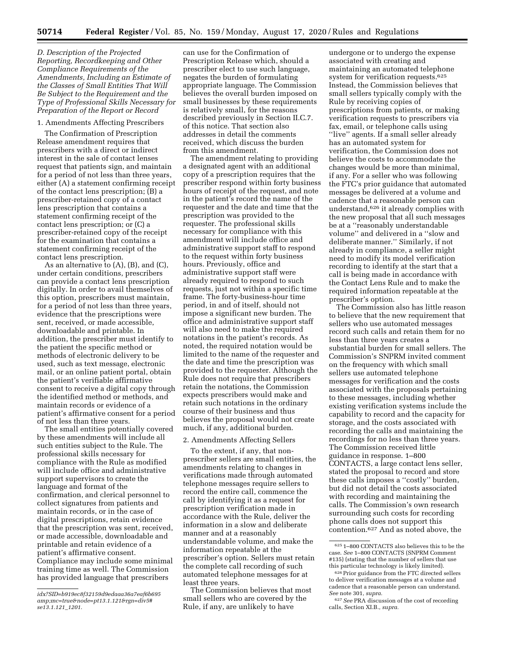*D. Description of the Projected Reporting, Recordkeeping and Other Compliance Requirements of the Amendments, Including an Estimate of the Classes of Small Entities That Will Be Subject to the Requirement and the Type of Professional Skills Necessary for Preparation of the Report or Record*

## 1. Amendments Affecting Prescribers

The Confirmation of Prescription Release amendment requires that prescribers with a direct or indirect interest in the sale of contact lenses request that patients sign, and maintain for a period of not less than three years, either (A) a statement confirming receipt of the contact lens prescription; (B) a prescriber-retained copy of a contact lens prescription that contains a statement confirming receipt of the contact lens prescription; or (C) a prescriber-retained copy of the receipt for the examination that contains a statement confirming receipt of the contact lens prescription.

As an alternative to (A), (B), and (C), under certain conditions, prescribers can provide a contact lens prescription digitally. In order to avail themselves of this option, prescribers must maintain, for a period of not less than three years, evidence that the prescriptions were sent, received, or made accessible, downloadable and printable. In addition, the prescriber must identify to the patient the specific method or methods of electronic delivery to be used, such as text message, electronic mail, or an online patient portal, obtain the patient's verifiable affirmative consent to receive a digital copy through the identified method or methods, and maintain records or evidence of a patient's affirmative consent for a period of not less than three years.

The small entities potentially covered by these amendments will include all such entities subject to the Rule. The professional skills necessary for compliance with the Rule as modified will include office and administrative support supervisors to create the language and format of the confirmation, and clerical personnel to collect signatures from patients and maintain records, or in the case of digital prescriptions, retain evidence that the prescription was sent, received, or made accessible, downloadable and printable and retain evidence of a patient's affirmative consent. Compliance may include some minimal training time as well. The Commission has provided language that prescribers

can use for the Confirmation of Prescription Release which, should a prescriber elect to use such language, negates the burden of formulating appropriate language. The Commission believes the overall burden imposed on small businesses by these requirements is relatively small, for the reasons described previously in Section II.C.7. of this notice. That section also addresses in detail the comments received, which discuss the burden from this amendment.

The amendment relating to providing a designated agent with an additional copy of a prescription requires that the prescriber respond within forty business hours of receipt of the request, and note in the patient's record the name of the requester and the date and time that the prescription was provided to the requester. The professional skills necessary for compliance with this amendment will include office and administrative support staff to respond to the request within forty business hours. Previously, office and administrative support staff were already required to respond to such requests, just not within a specific time frame. The forty-business-hour time period, in and of itself, should not impose a significant new burden. The office and administrative support staff will also need to make the required notations in the patient's records. As noted, the required notation would be limited to the name of the requester and the date and time the prescription was provided to the requester. Although the Rule does not require that prescribers retain the notations, the Commission expects prescribers would make and retain such notations in the ordinary course of their business and thus believes the proposal would not create much, if any, additional burden.

#### 2. Amendments Affecting Sellers

To the extent, if any, that nonprescriber sellers are small entities, the amendments relating to changes in verifications made through automated telephone messages require sellers to record the entire call, commence the call by identifying it as a request for prescription verification made in accordance with the Rule, deliver the information in a slow and deliberate manner and at a reasonably understandable volume, and make the information repeatable at the prescriber's option. Sellers must retain the complete call recording of such automated telephone messages for at least three years.

The Commission believes that most small sellers who are covered by the Rule, if any, are unlikely to have

undergone or to undergo the expense associated with creating and maintaining an automated telephone system for verification requests.<sup>625</sup> Instead, the Commission believes that small sellers typically comply with the Rule by receiving copies of prescriptions from patients, or making verification requests to prescribers via fax, email, or telephone calls using ''live'' agents. If a small seller already has an automated system for verification, the Commission does not believe the costs to accommodate the changes would be more than minimal, if any. For a seller who was following the FTC's prior guidance that automated messages be delivered at a volume and cadence that a reasonable person can understand,626 it already complies with the new proposal that all such messages be at a ''reasonably understandable volume'' and delivered in a ''slow and deliberate manner.'' Similarly, if not already in compliance, a seller might need to modify its model verification recording to identify at the start that a call is being made in accordance with the Contact Lens Rule and to make the required information repeatable at the prescriber's option.

The Commission also has little reason to believe that the new requirement that sellers who use automated messages record such calls and retain them for no less than three years creates a substantial burden for small sellers. The Commission's SNPRM invited comment on the frequency with which small sellers use automated telephone messages for verification and the costs associated with the proposals pertaining to these messages, including whether existing verification systems include the capability to record and the capacity for storage, and the costs associated with recording the calls and maintaining the recordings for no less than three years. The Commission received little guidance in response. 1–800 CONTACTS, a large contact lens seller, stated the proposal to record and store these calls imposes a ''costly'' burden, but did not detail the costs associated with recording and maintaining the calls. The Commission's own research surrounding such costs for recording phone calls does not support this contention.627 And as noted above, the

*idx?SID=b919ec8f32159d9edaaa36a7eaf6b695 amp;mc=true&node=pt13.1.121&rgn=div5# se13.1.121*\_*1201.* 

<sup>625</sup> 1–800 CONTACTS also believes this to be the case. *See* 1–800 CONTACTS (SNPRM Comment #135) (stating that the number of sellers that use this particular technology is likely limited).

 $^{626}\rm{Prior}$  guidance from the FTC directed sellers to deliver verification messages at a volume and cadence that a reasonable person can understand. *See* note 301, *supra.* 

<sup>627</sup>*See* PRA discussion of the cost of recording calls, Section XI.B., *supra.*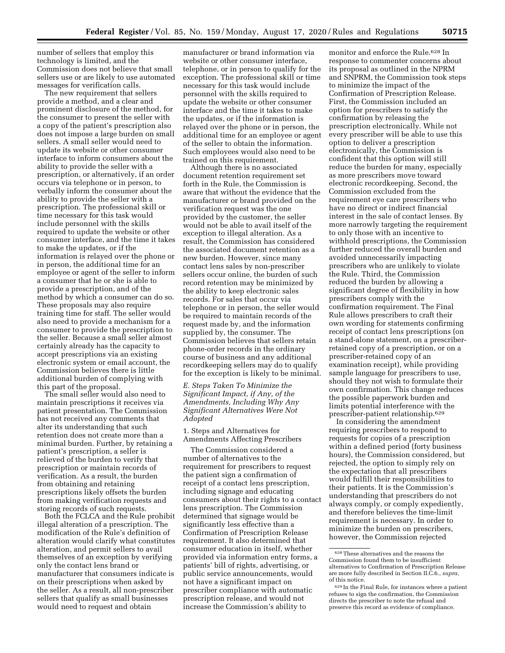number of sellers that employ this technology is limited, and the Commission does not believe that small sellers use or are likely to use automated messages for verification calls.

The new requirement that sellers provide a method, and a clear and prominent disclosure of the method, for the consumer to present the seller with a copy of the patient's prescription also does not impose a large burden on small sellers. A small seller would need to update its website or other consumer interface to inform consumers about the ability to provide the seller with a prescription, or alternatively, if an order occurs via telephone or in person, to verbally inform the consumer about the ability to provide the seller with a prescription. The professional skill or time necessary for this task would include personnel with the skills required to update the website or other consumer interface, and the time it takes to make the updates, or if the information is relayed over the phone or in person, the additional time for an employee or agent of the seller to inform a consumer that he or she is able to provide a prescription, and of the method by which a consumer can do so. These proposals may also require training time for staff. The seller would also need to provide a mechanism for a consumer to provide the prescription to the seller. Because a small seller almost certainly already has the capacity to accept prescriptions via an existing electronic system or email account, the Commission believes there is little additional burden of complying with this part of the proposal.

The small seller would also need to maintain prescriptions it receives via patient presentation. The Commission has not received any comments that alter its understanding that such retention does not create more than a minimal burden. Further, by retaining a patient's prescription, a seller is relieved of the burden to verify that prescription or maintain records of verification. As a result, the burden from obtaining and retaining prescriptions likely offsets the burden from making verification requests and storing records of such requests.

Both the FCLCA and the Rule prohibit illegal alteration of a prescription. The modification of the Rule's definition of alteration would clarify what constitutes alteration, and permit sellers to avail themselves of an exception by verifying only the contact lens brand or manufacturer that consumers indicate is on their prescriptions when asked by the seller. As a result, all non-prescriber sellers that qualify as small businesses would need to request and obtain

manufacturer or brand information via website or other consumer interface, telephone, or in person to qualify for the exception. The professional skill or time necessary for this task would include personnel with the skills required to update the website or other consumer interface and the time it takes to make the updates, or if the information is relayed over the phone or in person, the additional time for an employee or agent of the seller to obtain the information. Such employees would also need to be trained on this requirement.

Although there is no associated document retention requirement set forth in the Rule, the Commission is aware that without the evidence that the manufacturer or brand provided on the verification request was the one provided by the customer, the seller would not be able to avail itself of the exception to illegal alteration. As a result, the Commission has considered the associated document retention as a new burden. However, since many contact lens sales by non-prescriber sellers occur online, the burden of such record retention may be minimized by the ability to keep electronic sales records. For sales that occur via telephone or in person, the seller would be required to maintain records of the request made by, and the information supplied by, the consumer. The Commission believes that sellers retain phone-order records in the ordinary course of business and any additional recordkeeping sellers may do to qualify for the exception is likely to be minimal.

*E. Steps Taken To Minimize the Significant Impact, if Any, of the Amendments, Including Why Any Significant Alternatives Were Not Adopted* 

1. Steps and Alternatives for Amendments Affecting Prescribers

The Commission considered a number of alternatives to the requirement for prescribers to request the patient sign a confirmation of receipt of a contact lens prescription, including signage and educating consumers about their rights to a contact lens prescription. The Commission determined that signage would be significantly less effective than a Confirmation of Prescription Release requirement. It also determined that consumer education in itself, whether provided via information entry forms, a patients' bill of rights, advertising, or public service announcements, would not have a significant impact on prescriber compliance with automatic prescription release, and would not increase the Commission's ability to

monitor and enforce the Rule.628 In response to commenter concerns about its proposal as outlined in the NPRM and SNPRM, the Commission took steps to minimize the impact of the Confirmation of Prescription Release. First, the Commission included an option for prescribers to satisfy the confirmation by releasing the prescription electronically. While not every prescriber will be able to use this option to deliver a prescription electronically, the Commission is confident that this option will still reduce the burden for many, especially as more prescribers move toward electronic recordkeeping. Second, the Commission excluded from the requirement eye care prescribers who have no direct or indirect financial interest in the sale of contact lenses. By more narrowly targeting the requirement to only those with an incentive to withhold prescriptions, the Commission further reduced the overall burden and avoided unnecessarily impacting prescribers who are unlikely to violate the Rule. Third, the Commission reduced the burden by allowing a significant degree of flexibility in how prescribers comply with the confirmation requirement. The Final Rule allows prescribers to craft their own wording for statements confirming receipt of contact lens prescriptions (on a stand-alone statement, on a prescriberretained copy of a prescription, or on a prescriber-retained copy of an examination receipt), while providing sample language for prescribers to use, should they not wish to formulate their own confirmation. This change reduces the possible paperwork burden and limits potential interference with the prescriber-patient relationship.629

In considering the amendment requiring prescribers to respond to requests for copies of a prescription within a defined period (forty business hours), the Commission considered, but rejected, the option to simply rely on the expectation that all prescribers would fulfill their responsibilities to their patients. It is the Commission's understanding that prescribers do not always comply, or comply expediently, and therefore believes the time-limit requirement is necessary. In order to minimize the burden on prescribers, however, the Commission rejected

 $^{628}\mathrm{These}$  alternatives and the reasons the Commission found them to be insufficient alternatives to Confirmation of Prescription Release are more fully described in Section II.C.6., *supra,*  of this notice.

<sup>629</sup> In the Final Rule, for instances where a patient refuses to sign the confirmation, the Commission directs the prescriber to note the refusal and preserve this record as evidence of compliance.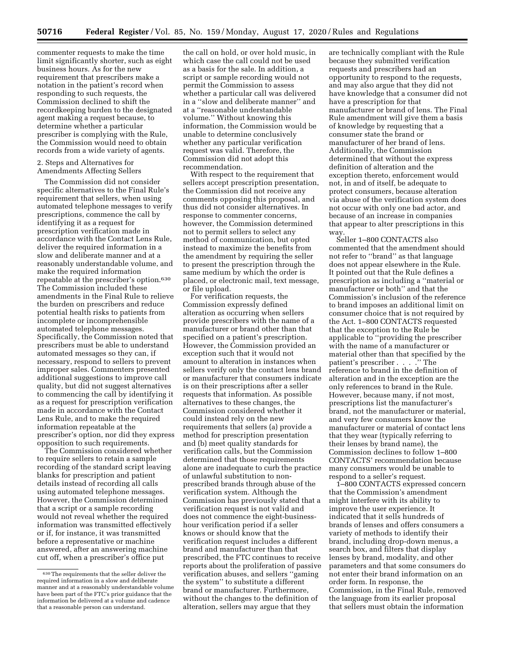commenter requests to make the time limit significantly shorter, such as eight business hours. As for the new requirement that prescribers make a notation in the patient's record when responding to such requests, the Commission declined to shift the recordkeeping burden to the designated agent making a request because, to determine whether a particular prescriber is complying with the Rule, the Commission would need to obtain records from a wide variety of agents.

2. Steps and Alternatives for Amendments Affecting Sellers

The Commission did not consider specific alternatives to the Final Rule's requirement that sellers, when using automated telephone messages to verify prescriptions, commence the call by identifying it as a request for prescription verification made in accordance with the Contact Lens Rule, deliver the required information in a slow and deliberate manner and at a reasonably understandable volume, and make the required information repeatable at the prescriber's option.630 The Commission included these amendments in the Final Rule to relieve the burden on prescribers and reduce potential health risks to patients from incomplete or incomprehensible automated telephone messages. Specifically, the Commission noted that prescribers must be able to understand automated messages so they can, if necessary, respond to sellers to prevent improper sales. Commenters presented additional suggestions to improve call quality, but did not suggest alternatives to commencing the call by identifying it as a request for prescription verification made in accordance with the Contact Lens Rule, and to make the required information repeatable at the prescriber's option, nor did they express opposition to such requirements.

The Commission considered whether to require sellers to retain a sample recording of the standard script leaving blanks for prescription and patient details instead of recording all calls using automated telephone messages. However, the Commission determined that a script or a sample recording would not reveal whether the required information was transmitted effectively or if, for instance, it was transmitted before a representative or machine answered, after an answering machine cut off, when a prescriber's office put

the call on hold, or over hold music, in which case the call could not be used as a basis for the sale. In addition, a script or sample recording would not permit the Commission to assess whether a particular call was delivered in a ''slow and deliberate manner'' and at a ''reasonable understandable volume.'' Without knowing this information, the Commission would be unable to determine conclusively whether any particular verification request was valid. Therefore, the Commission did not adopt this recommendation.

With respect to the requirement that sellers accept prescription presentation, the Commission did not receive any comments opposing this proposal, and thus did not consider alternatives. In response to commenter concerns, however, the Commission determined not to permit sellers to select any method of communication, but opted instead to maximize the benefits from the amendment by requiring the seller to present the prescription through the same medium by which the order is placed, or electronic mail, text message, or file upload.

For verification requests, the Commission expressly defined alteration as occurring when sellers provide prescribers with the name of a manufacturer or brand other than that specified on a patient's prescription. However, the Commission provided an exception such that it would not amount to alteration in instances when sellers verify only the contact lens brand or manufacturer that consumers indicate is on their prescriptions after a seller requests that information. As possible alternatives to these changes, the Commission considered whether it could instead rely on the new requirements that sellers (a) provide a method for prescription presentation and (b) meet quality standards for verification calls, but the Commission determined that those requirements alone are inadequate to curb the practice of unlawful substitution to nonprescribed brands through abuse of the verification system. Although the Commission has previously stated that a verification request is not valid and does not commence the eight-businesshour verification period if a seller knows or should know that the verification request includes a different brand and manufacturer than that prescribed, the FTC continues to receive reports about the proliferation of passive verification abuses, and sellers ''gaming the system'' to substitute a different brand or manufacturer. Furthermore, without the changes to the definition of alteration, sellers may argue that they

are technically compliant with the Rule because they submitted verification requests and prescribers had an opportunity to respond to the requests, and may also argue that they did not have knowledge that a consumer did not have a prescription for that manufacturer or brand of lens. The Final Rule amendment will give them a basis of knowledge by requesting that a consumer state the brand or manufacturer of her brand of lens. Additionally, the Commission determined that without the express definition of alteration and the exception thereto, enforcement would not, in and of itself, be adequate to protect consumers, because alteration via abuse of the verification system does not occur with only one bad actor, and because of an increase in companies that appear to alter prescriptions in this way.

Seller 1–800 CONTACTS also commented that the amendment should not refer to ''brand'' as that language does not appear elsewhere in the Rule. It pointed out that the Rule defines a prescription as including a ''material or manufacturer or both'' and that the Commission's inclusion of the reference to brand imposes an additional limit on consumer choice that is not required by the Act. 1–800 CONTACTS requested that the exception to the Rule be applicable to ''providing the prescriber with the name of a manufacturer or material other than that specified by the patient's prescriber . . . . . . The reference to brand in the definition of alteration and in the exception are the only references to brand in the Rule. However, because many, if not most, prescriptions list the manufacturer's brand, not the manufacturer or material, and very few consumers know the manufacturer or material of contact lens that they wear (typically referring to their lenses by brand name), the Commission declines to follow 1–800 CONTACTS' recommendation because many consumers would be unable to respond to a seller's request.

1–800 CONTACTS expressed concern that the Commission's amendment might interfere with its ability to improve the user experience. It indicated that it sells hundreds of brands of lenses and offers consumers a variety of methods to identify their brand, including drop-down menus, a search box, and filters that display lenses by brand, modality, and other parameters and that some consumers do not enter their brand information on an order form. In response, the Commission, in the Final Rule, removed the language from its earlier proposal that sellers must obtain the information

<sup>630</sup>The requirements that the seller deliver the required information in a slow and deliberate manner and at a reasonably understandable volume have been part of the FTC's prior guidance that the information be delivered at a volume and cadence that a reasonable person can understand.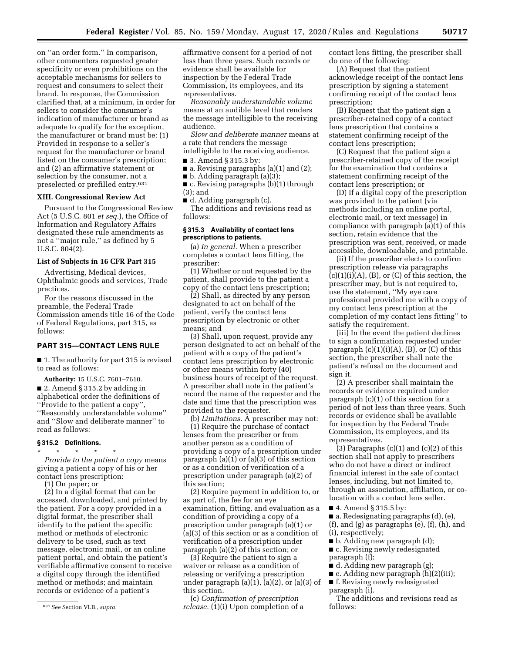on ''an order form.'' In comparison, other commenters requested greater specificity or even prohibitions on the acceptable mechanisms for sellers to request and consumers to select their brand. In response, the Commission clarified that, at a minimum, in order for sellers to consider the consumer's indication of manufacturer or brand as adequate to qualify for the exception, the manufacturer or brand must be: (1) Provided in response to a seller's request for the manufacturer or brand listed on the consumer's prescription; and (2) an affirmative statement or selection by the consumer, not a preselected or prefilled entry.631

#### **XIII. Congressional Review Act**

Pursuant to the Congressional Review Act (5 U.S.C. 801 *et seq.*), the Office of Information and Regulatory Affairs designated these rule amendments as not a ''major rule,'' as defined by 5 U.S.C. 804(2).

### **List of Subjects in 16 CFR Part 315**

Advertising, Medical devices, Ophthalmic goods and services, Trade practices.

For the reasons discussed in the preamble, the Federal Trade Commission amends title 16 of the Code of Federal Regulations, part 315, as follows:

## **PART 315—CONTACT LENS RULE**

■ 1. The authority for part 315 is revised to read as follows:

**Authority:** 15 U.S.C. 7601–7610. ■ 2. Amend § 315.2 by adding in alphabetical order the definitions of ''Provide to the patient a copy'', ''Reasonably understandable volume''

and ''Slow and deliberate manner'' to

# **§ 315.2 Definitions.**

read as follows:

\* \* \* \* \* *Provide to the patient a copy* means giving a patient a copy of his or her contact lens prescription:

(1) On paper; or

(2) In a digital format that can be accessed, downloaded, and printed by the patient. For a copy provided in a digital format, the prescriber shall identify to the patient the specific method or methods of electronic delivery to be used, such as text message, electronic mail, or an online patient portal, and obtain the patient's verifiable affirmative consent to receive a digital copy through the identified method or methods; and maintain records or evidence of a patient's

affirmative consent for a period of not less than three years. Such records or evidence shall be available for inspection by the Federal Trade Commission, its employees, and its representatives.

*Reasonably understandable volume*  means at an audible level that renders the message intelligible to the receiving audience.

*Slow and deliberate manner* means at a rate that renders the message

intelligible to the receiving audience. ■ 3. Amend § 315.3 by:

- $\blacksquare$  a. Revising paragraphs (a)(1) and (2);
- b. Adding paragraph (a)(3);

■ c. Revising paragraphs (b)(1) through (3); and

■ d. Adding paragraph (c).

The additions and revisions read as follows:

#### **§ 315.3 Availability of contact lens prescriptions to patients.**

(a) *In general.* When a prescriber completes a contact lens fitting, the prescriber:

(1) Whether or not requested by the patient, shall provide to the patient a copy of the contact lens prescription;

(2) Shall, as directed by any person designated to act on behalf of the patient, verify the contact lens prescription by electronic or other means; and

(3) Shall, upon request, provide any person designated to act on behalf of the patient with a copy of the patient's contact lens prescription by electronic or other means within forty (40) business hours of receipt of the request. A prescriber shall note in the patient's record the name of the requester and the date and time that the prescription was provided to the requester.

(b) *Limitations.* A prescriber may not: (1) Require the purchase of contact lenses from the prescriber or from another person as a condition of providing a copy of a prescription under paragraph (a)(1) or (a)(3) of this section or as a condition of verification of a prescription under paragraph (a)(2) of this section;

(2) Require payment in addition to, or as part of, the fee for an eye examination, fitting, and evaluation as a condition of providing a copy of a prescription under paragraph (a)(1) or (a)(3) of this section or as a condition of verification of a prescription under paragraph (a)(2) of this section; or

(3) Require the patient to sign a waiver or release as a condition of releasing or verifying a prescription under paragraph  $(a)(1)$ ,  $(a)(2)$ , or  $(a)(3)$  of this section.

(c) *Confirmation of prescription release.* (1)(i) Upon completion of a contact lens fitting, the prescriber shall do one of the following:

(A) Request that the patient acknowledge receipt of the contact lens prescription by signing a statement confirming receipt of the contact lens prescription;

(B) Request that the patient sign a prescriber-retained copy of a contact lens prescription that contains a statement confirming receipt of the contact lens prescription;

(C) Request that the patient sign a prescriber-retained copy of the receipt for the examination that contains a statement confirming receipt of the contact lens prescription; or

(D) If a digital copy of the prescription was provided to the patient (via methods including an online portal, electronic mail, or text message) in compliance with paragraph (a)(1) of this section, retain evidence that the prescription was sent, received, or made accessible, downloadable, and printable.

(ii) If the prescriber elects to confirm prescription release via paragraphs  $(c)(1)(i)(A)$ ,  $(B)$ , or  $(C)$  of this section, the prescriber may, but is not required to, use the statement, ''My eye care professional provided me with a copy of my contact lens prescription at the completion of my contact lens fitting'' to satisfy the requirement.

(iii) In the event the patient declines to sign a confirmation requested under paragraph  $(c)(1)(i)(A)$ ,  $(B)$ , or  $(C)$  of this section, the prescriber shall note the patient's refusal on the document and sign it.

(2) A prescriber shall maintain the records or evidence required under paragraph (c)(1) of this section for a period of not less than three years. Such records or evidence shall be available for inspection by the Federal Trade Commission, its employees, and its representatives.

(3) Paragraphs  $(c)(1)$  and  $(c)(2)$  of this section shall not apply to prescribers who do not have a direct or indirect financial interest in the sale of contact lenses, including, but not limited to, through an association, affiliation, or colocation with a contact lens seller.

■ 4. Amend § 315.5 by:

■ a. Redesignating paragraphs (d), (e),  $(f)$ , and  $(g)$  as paragraphs  $(e)$ ,  $(f)$ ,  $(h)$ , and (i), respectively;

■ b. Adding new paragraph (d);

■ c. Revising newly redesignated paragraph (f);

■ d. Adding new paragraph (g);

■ e. Adding new paragraph (h)(2)(iii);

■ f. Revising newly redesignated paragraph (i).

The additions and revisions read as follows:

<sup>631</sup>*See* Section VI.B., *supra.*